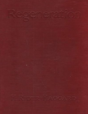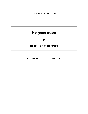https://onemorelibrary.com

# **Regeneration**

# **by**

# **Henry Rider Haggard**

Longmans, Green and Co., London, 1910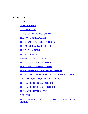#### <span id="page-2-0"></span>**CONTENTS**

[DEDICATION](#page-2-0)

[AUTHOR'S NOTE](#page-2-0)

**[INTRODUCTORY](#page-2-0)** 

[MEN'S SOCIAL WORK, LONDON](#page-2-0)

[THE SPA ROAD ELEVATOR](#page-2-0)

[THE GREAT PETER STREET SHELTER](#page-2-0)

[THE FREE BREAKFAST SERVICE](#page-2-0)

[THE EX-CRIMINALS](#page-33-0)

[THE MEN'S WORKSHOP](#page-39-0)

[STURGE HOUSE, BOW ROAD](#page-42-0)

[THE CENTRAL LABOUR BUREAU](#page-44-0)

[THE EMIGRATION DEPARTMENT](#page-47-0)

[THE WOMEN'S SOCIAL WORK IN LONDON](#page-52-0)

[THE HEADQUARTERS OF THE WOMEN'S SOCIAL WORK](#page-57-0)

[HILLSBOROUGH HOUSE INEBRIATES' HOME](#page-58-0)

[THE MATERNITY NURSING HOME](#page-61-0)

[THE MATERNITY RECEIVING HOME](#page-62-0)

[THE MATERNITY HOSPITAL](#page-63-0)

['THE NEST'](#page-66-0)

THE TRAINING [INSTITUTE](#page-68-0) FOR WOMEN SOCIAL **WORKERS**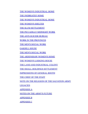[THE WOMEN'S INDUSTRIAL HOME](#page-71-0)

[THE INEBRIATES' HOME](#page-72-0)

[THE WOMEN'S INDUSTRIAL HOME](#page-75-0)

[THE WOMEN'S SHELTER](#page-76-0)

[THE SLUM SETTLEMENT](#page-78-0)

[THE PICCADILLY MIDNIGHT WORK](#page-82-0)

[THE ANTI-SUICIDE BUREAU](#page-89-0)

[WORK IN THE PROVINCES](#page-97-0)

[THE MEN'S SOCIAL WORK](#page-101-0)

[OAKHILL HOUSE](#page-104-0)

[THE MEN'S SOCIAL WORK](#page-105-0)

[THE ARDENSHAW WOMEN'S HOME](#page-111-0)

[THE WOMEN'S LODGING-HOUSE](#page-113-0)

[THE LAND AND INDUSTRIAL COLONY](#page-114-0)

[THE SMALL-HOLDINGS SETTLEMENT](#page-118-0)

[IMPRESSIONS OF GENERAL BOOTH](#page-123-0)

[THE CHIEF OF THE STAFF](#page-130-0)

[NOTE ON THE RELIGION OF THE SALVATION ARMY](#page-136-0)

[LEGACIES](#page-141-0)

[APPENDIX A](#page-142-0)

[NOTES ON THE ARMY'S FUTURE](#page-143-0)

[APPENDIX B](#page-160-0)

[APPENDIX C](#page-164-0)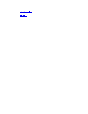[APPENDIX D](#page-167-0)

[NOTES:](#page-169-0)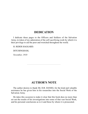# **DEDICATION**

I dedicate these pages to the Officers and Soldiers of the Salvation Army, in token of my admiration of the self-sacrificing work by which it is their privilege to aid the poor and wretched throughout the world.

H. RIDER HAGGARD.

DITCHINGHAM,

*November, 1910*

# **AUTHOR'S NOTE**

The author desires to thank Mr. D.R. DANIEL for the kind and valuable assistance he has given him in his researches into the Social Work of the Salvation Army.

He takes this occasion to make it clear that this book does no more than set out the results of his investigations into some of that vast Social Work, and his personal conclusions as to it and those by whom it is prosecuted.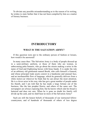To obviate any possible misunderstanding as to the reason of its writing, he wishes to state further that it has not been compiled by him as a matter of literary business.

# **INTRODUCTORY**

#### **WHAT IS THE SALVATION ARMY?**

If this question were put to the ordinary person of fashion or leisure, how would it be answered?

In many cases thus: 'The Salvation Army is a body of people dressed up in a semi-military uniform, or those of them who are women, in unbecoming poke bonnets, who go about the streets making a noise in the name of God and frightening horses with brass bands. It is under the rule of an arbitrary old gentleman named Booth, who calls himself a General, and whose principal trade assets consist in a handsome and unusual face, and an inexhaustible flow of language, which he generally delivers from a white motor-car wherever he finds that he can attract the most attention. He is a clever actor in his way, who has got a great number of people under his thumb, and I am told that he has made a large fortune out of the business, like the late prophet Dowie, and others of the same sort. The newspapers are always exposing him; but he knows which side his bread is buttered and does not care. When he is gone no doubt his family will divide up the cash, and we shall hear no more of the Salvation Army!'

Such are still the honest beliefs of thousands of our instructed fellowcountrymen, and of hundreds of thousands of others of less degree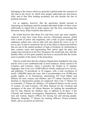belonging to the classes which are generally typified under the synonym of 'the man in the street,' by which most people understand one who knows little, and of that little nothing accurately, but who decides the fate of political elections.

Let us suppose, however, that the questioner should succeed in interesting an intelligent and fair-minded individual holder of these views sufficiently to induce him to make inquiry into the facts concerning this Salvation Army. What would he then discover?

He would discover that about five and forty years ago some impulse, wherever it may have come from, moved a Dissenting minister, gifted with a mind of power and originality, and a body of great strength and endurance, gifted, also, with an able wife who shared his views, to try, if not to cure, at least to ameliorate the lot of the fallen or distressed millions that are one of the natural products of high civilization, by ministering to their creature wants and regenerating their spirits upon the plain and simple lines laid down in the New Testament. He would find, also, that this humble effort, at first quite unaided, has been so successful that the results seem to partake of the nature of the miraculous.

Thus he would learn that the religious Organization founded by this man and his wife is now established and, in most instances, firmly rooted in 56 Countries and Colonies, where it preaches the Gospel in 33 separate languages: that it has over 16,000 Officers wholly employed in its service, and publishes 74 periodicals in 20 tongues, with a total circulation of nearly 1,000,000 copies per issue: that it accommodates over 28,000 poor people nightly in its Institutions, maintaining 229 Food Dépôts and Shelters for men, women, and children, and 157 Labour Factories where destitute or characterless people are employed: that it has 17 Homes for ex-criminals, 37 Homes for children, 116 Industrial Homes for the rescue of women, 16 Land Colonies, 149 Slum Stations for the visitation and assistance of the poor, 60 Labour Bureaux for helping the unemployed, and 521 Day Schools for children: that, in addition to all these, it has Criminal and General Investigation Departments, Inebriate Homes for men and women, Inquiry Offices for tracing lost and missing people, Maternity Hospitals, 37 Homes for training Officers, Prison-visitation Staffs, and so on almost *ad infinitum*.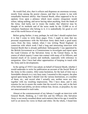He would find, also, that it collects and dispenses an enormous revenue, mostly from among the poorer classes, and that its system is run with remarkable business ability: that General Booth, often supposed to be so opulent, lives upon a pittance which most country clergymen would refuse, taking nothing, and never having taken anything, from the funds of the Army. And lastly, not to weary the reader, that whatever may be thought of its methods and of the noise made by the 23,000 or so of voluntary bandsmen who belong to it, it is undoubtedly for good or evil one of the world forces of our age.

Before going further, it may, perhaps, be well that I should explain how it is that I come to write these pages. First, I ought to state that my personal acquaintance with the Salvation Army dates back a good many years, from the time, indeed, when I was writing 'Rural England,' in connexion with which work I had a long and interesting interview with General Booth that is already published. Subsequently I was appointed by the British Government as a Commissioner to investigate and report upon the Land Colonies of the Salvation Army in the United States, in the course of which inquiry I came into contact with many of its Officers, and learned much of its system and methods, especially with reference to emigration. Also I have had other opportunities of keeping in touch with the Army and its developments.

In the spring of 1910 I was asked, on behalf of General Booth, whether I would undertake to write for publication an account of the Social Work of the Army in this country. After some hesitation, for the lack of time was a formidable obstacle to a very busy man, I assented to this request, the plan agreed upon being that I should visit the various Institutions, or a number of them, etc., and record what I actually saw, neither more nor less, together with my resulting impressions. This I have done, and it only remains for me to assure the reader that the record is true, and, to the best of his belief and ability, set down without fear, favour, or prejudice, by one not unaccustomed to such tasks.

Almost at the commencement of my labours I sought an interview with General Booth, thinking, as I told him and his Officers (the Salvation Army is not mealy-mouthed about such matters) that at his age it would be well to set down his views in black and white. On the whole, I found him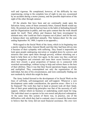well and vigorous. He complained, however, of the difficulty he was experiencing, owing to the complete loss of sight in one eye, occasioned by an accident during a motor journey, and the possible deprivation of the sight of the other through cataract.

Of the attacks that have been and are continually made upon the Salvation Army, some of them extremely bitter, General Booth would say little. He pointed out that he had not been in the habit of defending himself and his Organization in public, and was quite content that the work should speak for itself. Their affairs and finances had been investigated by eminent men, who 'could not find a sixpence out of place'; and for the rest, a balance-sheet was published annually. This balance-sheet for the year ending September 30, [1](#page-169-1)909, I reprint in an appendix.<sup>1</sup>

With regard to the Social Work of the Army, which in its beginning was a purely religious body, General Booth said that they had been driven into it because of their sympathy with suffering. They found it impossible to look upon people undergoing starvation or weighed down by sorrows and miseries that came upon them through poverty, without stretching out a hand to help them on to their feet again. In the same way they could not study wrongdoers and criminals and learn their secret histories, which show how closely a great proportion of human sin is connected with wretched surroundings, without trying to help and reform them to the best of their abilities. Thus it was that their Social operations began, increased, and multiplied. They contemplated not only the regeneration of the individual, but also of his circumstances, and were continually finding out new methods by which this might be done.

The Army looked forward to the development of its Social Work on the lines of self-help, self-management and self-support. Whenever a new development came under consideration, the question arose—How is it to be financed? The work they had in hand at present took all their funds. One of their great underlying principles was that of the necessity of selfsupport, without which no business or undertaking could stand for long. The individual must co-operate in his own moral and physical redemption. At the same time this system of theirs was, in practice, one of the difficulties with which they had to contend, since it caused the benevolent to believe that the Army did not need financial assistance. His own view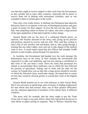was that they ought to receive support in their work from the Government, as they actually did in some other countries. Especially did he desire to receive State aid in dealing with ascertained criminals, such as was extended to them in certain parts of the world.

Thus only a few weeks before, in Holland, the Parliament had asked the Salvation Army to co-operate in the care of discharged prisoners and gave a grant of money for their support. In Java the tale was the same. There they were preparing estates as homes for lepers, and soon a large portion of the leper population of that land would be in their charge.

General Booth told me the story of a celebrated Danish doctor, an optician, who became attracted to the Army, and, giving up his practice and position, entered its service with his wife. They said they wished to lead a life of real sacrifice and self-denial, and so, after going through a training like any other Cadets, were sent out to take charge of the medical work in Java. A recent report stated that this Officer had attended 16,000 patients in nine months, and performed 516 operations.

In Australia, the Government had handed over the work amongst the Reformatory boys to the Army. In New Zealand, the Government had requested it to take over inebriates, and was now paying a contribution to that work of 10s. per head a week. There the Army had purchased two islands to accommodate these inebriates, one on which the men followed the pursuits of agriculture, fishing, and so forth, and the other for the women. In Canada there was an idea that a large prison should be erected, of which the Salvation Army would take charge. He hoped that in course of time they would be allowed greatly to extend their work in the English prisons.

General Booth pointed out to me with reference to their Social Work, that it was necessary to spend large sums of money in finding employment for men whom they had rescued. Here, one of their greatest difficulties was the vehement opposition of members of the Labour Party in different countries.

This party said, for example, that the Army ought to pay the Trade Union rate of wage to any poor fellow whom they had picked up and set to such labour as paper-sorting or carpentry. Thus in Western Australia they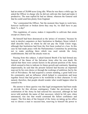had an estate of 20,000 acres lying idle. When he was there a while ago, he asked the Officer in charge why he did not cultivate this land and make it productive. The man replied he had no labour; whereon the General said that he could send him plenty from England.

'Yes,' commented the Officer, 'but the moment they begin to work here, however inefficient or broken down they may be, we shall have to pay them 7s. a day!'

This regulation, of course, makes it impossible to cultivate that estate except at a heavy loss.

He himself had been denounced as the 'prince of sweaters,' because he took in derelict carpenters at their Institution in Hanbury Street (which I shall describe later), to whom he did not pay the Trade Union wage, although that Institution had from the first been worked at a loss. In this case he had made peace with the Parliamentary Committee by promising not to make anything there which was used outside the Army establishments. But still the attacks went on.

Passing from this subject, I asked General Booth if he had formed any forecast of the future of the Salvation Army after his own death. He replied that there were certain factors in the present position of the Army which seemed to him to indicate its future growth and continuity. Speaking impersonally, he said that the present General had become an important man not by his own choice or through the workings of ambition, but by the will of Providence. He had acquired a certain standing, a great hold over his community, and an influence which helped to concentrate and keep together forces that had grown to be worldwide in their character. It was natural, therefore, that people should wonder what would happen when he ceased to be.

His answer to these queries was that legal arrangements had been made to provide for this obvious contingency. Under the provisions of the constitution of the Army he had selected his successor, although he had never told anybody the name of that successor, which he felt sure, when announced, was one that would command the fullest confidence and respect. The first duty of the General of the Army on taking up his office was to choose a man to succeed him, reserving to himself the power to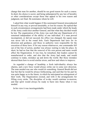change that man for another, should he see good reason for such a course. In short, his choice is secret, and being unhampered by any law of heredity or other considerations except those that appeal to his own reason and judgment, not final. He nominates whom he will.

I asked him what would happen if this nominated General misconducted himself in any way, or proved unsuitable, or lost his reason. He replied that in such circumstances arrangements had been made under which the heads of the Army could elect another General, and that what they decided would be law. The organization of the Army was such that any Department of it remained independent of the ability of one individual. If a man proved incompetent, or did not succeed, his office was changed; the square man was never left in the round hole. Each Department had laws for its direction and guidance, and those in authority were responsible for the execution of those laws. If for any reason whatsoever, one commander fell out of the line of action, another was always waiting to take his place. In short, he had no fear that the removal of his own person and name would affect the Organization. It was true, he remarked, that leaders cannot be manufactured to order, and also that the Army had made, and would continue to make, mistakes up and down the world. But those mistakes showed them how to avoid similar errors, and how and where to improve.

As regarded a change of headship, a fresh individuality always has charms, and a new force would always strike out in some new direction. The man needed was one who would *do* something. General Booth did not fear but that he would be always forthcoming, and said that for his part he was quite happy as to the future, in which he anticipated an enlargement of their work. The Organization existed, and with it the arrangements for filling every niche. The discipline of to-day would continue to-morrow, and that spirit would always be ready to burst into flame when it was needed.

In his view it was inextinguishable.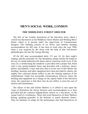# **MEN'S SOCIAL WORK, LONDON**

#### **THE MIDDLESEX STREET SHELTER**

The first of the London Institutions of the Salvation Army which I visited was that known as the Middlesex Street Shelter and Working Men's Home, which is at present under the supervision of Commissioner Sturgess. This building consists of six floors, and contains sleeping accommodation for 462 men. It has been at work since the year 1906, when it was acquired by the Army with the help of that well-known philanthropist, the late Mr. George Herring.

Of the 462 men accommodated daily, 311 pay 3d. for their night's lodging, and the remainder 5d. The threepenny charge entitles the tenant to the use of a bunk bedstead with sheets and an American cloth cover. If the extra 2d. is forthcoming the wanderer is provided with a proper bed, fitted with a wire spring hospital frame and provided with a mattress, sheets, pillow, and blankets. I may state here that as in the case of this Shelter the building, furniture and other equipment have been provided by charity, the nightly fees collected almost suffice to pay the running expenses of the establishment. Under less favourable circumstances, however, where the building and equipment are a charge on the capital funds of the Salvation Army, the experience is that these fees do not suffice to meet the cost of interest and maintenance.

The object of this and similar Shelters is to afford to men upon the verge of destitution the choice between such accommodation as is here provided and the common lodging-house, known as a 'kip house,' or the casual ward of a workhouse. Those who avail themselves of these Shelters belong, speaking generally, to the destitute or nearly destitute classes. They are harbours of refuge for the unfortunates who find themselves on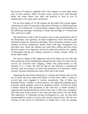the streets of London at nightfall with a few coppers or some other small sum in their pockets. Many of these social wrecks have sunk through drink, but many others owe their sad position to lack or loss of employment, or to some other misfortune.

For an extra charge of 1d. the inmates are provided with a good supper, consisting of a pint of soup and a large piece of bread, or of bread and jam and tea, or of potato-pie. A second penny supplies them with breakfast on the following morning, consisting of bread and porridge or of bread and fish, with tea or coffee.

The dormitories, both of the fivepenny class on the ground floor and of the threepenny class upstairs, are kept scrupulously sweet and clean, and attached to them are lavatories and baths. These lavatories contain a great number of brown earthenware basins fitted with taps. Receptacles are provided, also, where the inmates can wash their clothes and have them dried by means of an ingenious electrical contrivance and hot air, capable of thoroughly drying any ordinary garment in twenty minutes while its owner takes a bath.

The man in charge of this apparatus and of the baths was one who had been picked up on the Embankment during the past winter. In return for his services he received food, lodging, clothes and pocket-money to the amount of 3s. a week. He told me that he was formerly a commercial traveller, and was trying to re-enter that profession or to become a ship's steward. Sickness had been the cause of his fall in the world.

Adjoining the downstairs dormitory is a dining and sitting-room for the use of those who have taken bed tickets. In this room, when I visited it, several men were engaged in various occupations. One of them was painting flowers. Another, a watch repairer, was apparently making up his accounts, which, perhaps, were of an imaginary nature. A third was eating a dinner which he had purchased at the food bar. A fourth smoked a cigarette and watched the flower artist at his work. A fifth was a Cingalese who had come from Ceylon to lay some grievance before the late King. The authorities at Whitehall having investigated his case, he had been recommended to return to Ceylon and consult a lawyer there. Now he was waiting tor the arrival of remittances to enable him to pay his passage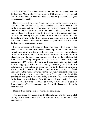back to Ceylon. I wondered whether the remittances would ever be forthcoming. Meanwhile he lived here on 7-1/2d. a day, 5d. for his bed and 2-1/2d. for his food. Of these and other men similarly situated I will give some account presently.

Having inspected the upper floors I descended to the basement, where what are called the 'Shelter men' are received at a separate entrance at 5.30 in the afternoon, and buying their penny or halfpennyworth of food, seat themselves on benches to eat. Here, too, they can sit and smoke or mend their clothes, or if they are wet, dry themselves in the annexe, until they retire to rest. During the past winter of 1909 400 men taken from the Embankment were sheltered here gratis every night, and were provided with soup and bread. When not otherwise occupied this hall is often used for the purpose of religious services.

I spoke at hazard with some of those who were sitting about in the Shelter. A few specimen cases may be interesting. An old man told me that he had travelled all over the world for fifty years, especially in the islands of the South Pacific, until sickness broke him down. He came last from Shanghai, where he had been an overseer on railway work, and before that from Manila. Being incapacitated by fever and rheumatism, and possessing 1,500 dollars, he travelled home, apparently via India and Burma, stopping a while in each country. Eventually he drifted to a lodging-house, and, falling ill there, was sent to the Highgate Infirmary, where, he said, he was so cold that he could not stop. Ultimately he found himself upon the streets in winter. For the past twelve months he had been living in this Shelter upon some help that a friend gave him, for all his own money was gone. Now he was trying to write books, one of which was in the hands of a well-known firm. He remarked, pathetically, that they 'have had it a long time.' He was also waiting 'every day' for a pension from America, which he considered was due to him because he fought in the Civil War.

Most of these poor people are waiting for something.

This man added that he could not find his relatives, and that he intended to stop in the Shelter until his book was published, or he could 'help himself out.'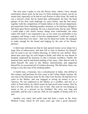The next man I spoke to was the flower artist, whom I have already mentioned, whose work, by the way, if a little striking in colour, was by no means bad, especially as he had no real flowers to draw from. By trade he was a lawyer's clerk; but he stated that, unfortunately for him, the head partner of his firm went bankrupt six years before, and the bad times, together with the competition of female labour in the clerical department, prevented him from obtaining another situation, so he had been obliged to fall back upon flower painting. He was a married man, but he said, 'While I could make a fair week's money, things were comfortable, but when orders fell slack I was requested to go, as my room was preferable to my company, and being a man of nervous temperament I could not stand it, and have been here ever since'—that was for about ten weeks. He managed to make enough for his board and lodging by the sale of his flowerpictures.

A third man informed me that he had opened twenty-seven shops for a large firm of tobacconists, and then left to start in business for himself; also he used to go out window-dressing, in which he was skilled. Then, about nine years ago, his wife began to drink, and while he was absent in hospital, neglected his business so that it became worthless. Finally she deserted him, and he had heard nothing of her since. After that he took to drink himself. He came to this Shelter intermittently, and supported himself by an occasional job of window-dressing. The Salvation Army was trying to cure this man of his drinking habits.

A fourth man, a Eurasian, was a schoolmaster in India, who drifted to this country, and had been for four years in the Colney Hatch Asylum. He was sent to the Salvation Army by the After Care Society. He had been two years in the Shelter, and was engaged in saving up money to go to America. He was employed in the Shelter as a scrubber, and also as a seller of food tickets, by which means he had saved some money. Also he had a £5 note, which his sister sent to him. This note he was keeping to return to her as a present on her birthday! His story was long and miserable, and his case a sad one. Still, he was capable of doing work of a sort.

Another very smart and useful man had been a nurse in the Army Medical Corps, which he left some years ago with a good character.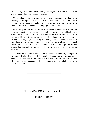Occasionally he found a job at nursing, and stayed at the Shelter, where he was given employment between engagements.

Yet another, quite a young person, was a carman who had been discharged through slackness of work in the firm of which he was a servant. He had been ten weeks in the Institution, to which he came from the workhouse, and hoped to find employment at his trade.

In passing through this building, I observed a young man of foreign appearance seated in a window-place reading a book, and asked his history. I was told that he was a German of education, whose ambition it is to become a librarian in his native country. He had come to England in order to learn our language, and being practically without means, drifted into this place, where he was employed in cleaning the windows and pursued his studies in the intervals of that humble work. Let us hope that in due course his painstaking industry will be rewarded, and his ambition fulfilled.

All these cases, and others that I have no space to mention, belonged to the class of what I may call the regular 'hangers-on' of this particular Shelter. As I visited it in the middle of the day, I did not see its multitude of normal nightly occupants. Of such men, however, I shall be able to speak elsewhere.

# **THE SPA ROAD ELEVATOR**

#### **BERMONDSEY**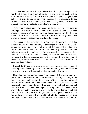The next Institution that I inspected was that of a paper-sorting works at Spa Road, Bermondsey, where all sorts of waste paper are dealt with in enormous quantities. Of this stuff some is given and some is bought. Upon delivery it goes to the sorters, who separate it out according to the different classes of the material, after which it is pressed into bales by hydraulic machinery and sold to merchants to be re-made.

These works stand upon two acres of land. Parts of the existing buildings were once a preserve factory, but some of them have been erected by the Army. There remain upon the site certain dwelling-houses, which are still let to tenants. These are destined to be pulled down whenever money is forthcoming to extend the factory.

The object of the Institution is to find work for distressed or fallen persons, and restore them to society. The Manager of this 'Elevator,' as it is called, informed me that it employs about 480 men, all of whom are picked up upon the streets. As a rule, these men are given their board and lodging in return for work during the first week, but no money, as their labour is worth little. In the second week, 6d. is paid to them in cash; and, subsequently, this remuneration is added to in proportion to the value of the labour, till in the end some of them earn 8s. or 9s. a week in addition to their board and lodging.

I asked the Officer in charge what he had to say as to the charges of sweating and underselling which have been brought against the Salvation Army in connexion with this and its other productive Institutions.

He replied that they neither sweated nor undersold. The men whom they picked up had no value in the labour market, and could get nothing to do because no one would employ them, many of them being the victims of drink or entirely unskilled. Such people they overlooked, housed, fed, and instructed, whether they did or did not earn their food and lodging, and after the first week paid them upon a rising scale. The results were eminently satisfactory, as even allowing for the drunkards they found that but few cases, not more than 10 per cent, were hopeless. Did they not rescue these men most of them would sink utterly; indeed, according to their own testimony many of such wastrels were snatched from suicide. As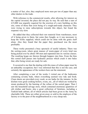a matter of fact, also, they employed more men per ton of paper than any other dealers in the trade.

With reference to the commercial results, after allowing for interest on the capital invested, the place did not pay its way. He said that a sum of £15,000 was urgently required for the erection of a new building on this site, some of those that exist being of a rough-and-ready character. They were trying to raise subscriptions towards this object, but found the response very slow.

He added that they collected their raw material from warehouses, most of it being given to them, but some they bought, as it was necessary to keep the works supplied, which could not be done with the gratis stuff alone. Also they found that the paper they purchased was the most profitable.

These works presented a busy spectacle of useful industry. There was the sorting-room, where great masses of waste-paper of every kind was being picked over by about 100 men and separated into its various classes. The resulting heaps are thrown through hoppers into bins. From the bins this sorted stuff passes into hydraulic presses which crush it into bales that, after being wired, are ready for sale.

It occurred to me that the dealing with this mass of refuse paper must be an unhealthy occupation; but I was informed that this is not the case, and certainly the appearance of the workers bore out the statement.

After completing a tour of the works I visited one of the bedrooms containing seventy beds, where everything seemed very tidy and fresh. Clean sheets are provided every week, as are baths for the inmates. In the kitchen were great cooking boilers, ovens, etc., all of which are worked by steam produced by the burning of the refuse of the sorted paper. Then I saw the household salvage store, which contained enormous quantities of old clothes and boots; also a great collection of furniture, including a Turkish bath cabinet, all of which articles had been given to the Army by charitable folk. These are either given away or sold to the employes of the factory or to the poor of the neighbourhood at a very cheap rate.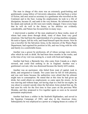The man in charge of this store was an extremely good-looking and gentlemanly young follow of University education, who had been a writer of fiction, and once acted as secretary to a gentleman who travelled on the Continent and in the East. Losing his employment, he took to a life of dissipation, became ill, and sank to the very bottom. He informed me that his ideals and outlook on life were now totally changed. I have every hope that he will do well in the future, as his abilities are evidently considerable, and Nature has favoured him in many ways.

I interviewed a number of the men employed in these works, most of whom had come down through drink, some of them from very good situations. One had been the superintendent of a sewing-machine company. He took to liquor, left his wife, and found himself upon the streets. Now he was a traveller for the Salvation Army, in the interests of the Waste-Paper Department, had regained his position in life, and was living with his wife and family in a comfortable house.

Another was a grocer by profession, all of whose savings were stolen, after which he took to drink. He had been three months in the works, and at the time of my visit was earning 6s. a week with food and lodging.

Another had been a Barnardo boy, who came from Canada as a ship's steward, and could find nothing to do in England. Another was a gentleman's servant, who was dismissed because the family left London.

Another was an auctioneer, who failed from want of capital, took to drink, and emigrated to Canada. Two years later he fell ill with pleurisy, and was sent home because the authorities were afraid that his ailment might turn to consumption. He stated that at this time he had given up drink, but could obtain no employment, so came upon the streets. As he was starving and without hope, not having slept in a bed for ten nights, he was about to commit suicide when the Salvation Army picked him up. He had seen his wife for the first time in four years on the previous Whit Monday, and they proposed to live together again so soon as he secured permanent employment.

Another had been a soldier in the Seaforth Highlanders, and served in the Egyptian Campaign of 1881, and also in the American Army. Subsequently he was employed as a porter at a lodging-house at a salary of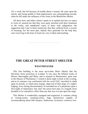25s. a week, but left because of trouble about a woman. He came upon the streets, and, being unable to find employment, was contemplating suicide, when he fell under the influence of the Army at the Blackfriars Shelter.

All these men, and others whom I spoke to at random but have no space to write of, assured me that they were quite satisfied with their treatment at the works, and repudiated—some of them with indignation—the suggestion that I put to them tentatively that they suffered from a system of sweating. For the most part, indeed, their gratitude for the help they were receiving in the hour of need was very evident and touching.

## **THE GREAT PETER STREET SHELTER**

#### **WESTMINSTER**

This fine building is the most up-to-date Men's Shelter that the Salvation Army possesses in London. It was once the billiard works of Messrs. Burroughes and Watts, and is situated in Westminster, quite near to the Houses of Parliament. I visited it about eight o'clock in the evening, and at its entrance was confronted with the word 'Full,' inscribed in chalk upon its portals, at which poor tramps, deprived of their hope of a night's lodging, were staring disconsolately. It reminded me of a playhouse upon a first-night of importance, but, alas! the actors here play in a tragedy more dreadful in its cumulative effect than any that was ever put upon the stage.

This Shelter is wonderfully equipped and organized. It contains sitting or resting-rooms, smoking-rooms, huge dormitories capable of accommodating about 600 sleepers; bathrooms, lavatories, extensive hot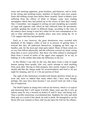water and warming apparatus, great kitchens, and butteries, and so forth. In the sitting and smoking-rooms, numbers of derelict men were seated. Some did nothing except stare before them vacantly. Some evidently were suffering from the effects of drink or fatigue; some were reading newspapers which they had picked up in the course of their day's tramp. One, I remember, was engaged in sorting out and crumpling up a number of cigar and cigarette ends which he had collected from the pavements, carefully grading the results in different heaps, according to the class of the tobacco (how strong it must be!) either for his own consumption or for sale to other unfortunates. In another place, men were eating the 1d. or 1/2d. suppers that they had purchased.

Early as it was, however, the great dormitories were crowded with hundreds of the lodgers, either in bed or in process of getting there. I noticed that they all undressed themselves, wrapping up their rags in bundles, and, for the most part slept quite naked. Many of them struck me as very fine fellows physically, and the reflection crossed my mind, seeing them thus *in puris naturalibus*, that there was little indeed to distinguish them from a crowd of males of the upper class engaged, let us say, in bathing. It is the clothes that make the difference to the eye.

In this Shelter I was told, by the way, that there exists a code of rough honour among these people, who very rarely attempt to steal anything from each other. Having so little property, they sternly respect its rights. I should add that the charge made for accommodation and food is 3d. per night for sleeping, and 1d. or 1/2d. per portion of food.

The sight of this Institution crowded with human derelicts struck me as most sad, more so indeed than many others that I have seen, though, perhaps, this may have been because I was myself tired out with a long day of inspection.

The Staff-Captain in charge here told me his history, which is so typical and interesting that I will repeat it briefly. Many years ago (he is now an elderly man) he was a steward on board a P. and O. liner, and doing well. Then a terrible misfortune overwhelmed him. Suddenly his wife and child died, and, as a result of the shock, he took to drink. He attempted to cut his throat (the scar remains to him), and was put upon his trial for the offence.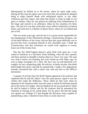Subsequently he drifted on to the streets, where he spent eight years. During all this time his object was to be rid of life, the methods he adopted being to make himself drunk with methylated spirits, or any other villainous and fiery liquor, and when that failed, to sleep at night in wet grass or ditches. Once he was picked up suffering from inflammation of the lungs and carried to an infirmary, where he lay senseless for three days. The end of it was that a Salvation Army Officer found him in Oxford Street, and took him to a Shelter in Burne Street, where he was bathed and put to bed.

That was many years ago, and now he is to a great extent responsible for the management of this Westminster Refuge. Commissioner Sturgess, one of the head Officers of the Army, told me that their great difficulty was to prevent him from overdoing himself at this charitable task. I think the Commissioner said that sometimes he would work eighteen or twenty hours out of the twenty-four.

One day this Staff-Captain played a grim little trick upon me. I was seated at luncheon in a Salvation Army building, when the door opened, and there entered as dreadful a human object as I have ever seen. The man was clad in tatters, his bleeding feet were bound up with filthy rags; he wore a dingy newspaper for a shirt. His face was cut and plastered over roughly; he was a disgusting sight. He told me, in husky accents, that drink had brought him down, and that he wanted help. I made a few appropriate remarks, presented him with a small coin, and sent him to the Officers downstairs.

A quarter of an hour later the Staff-Captain appeared in his uniform and explained that he and the 'object' were the same person. Again it was the clothes that made the difference. Those which he had worn when he appeared at the luncheon-table were the same in which he had been picked up on the streets of London. Also he thanked me for my good advice which he said he hoped to follow, and for the sixpence that he announced his intention of wearing on his watch-chain. For my part I felt that the laugh was against me. Perhaps if I had thought the Salvation Army capable of perpetrating a joke, I should not have been so easily deceived.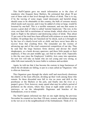This Staff-Captain gave me much information as to the class of wanderers who frequent these Shelters, He estimated that about 50 per cent of them sink to that level through the effects of drink. That is to say, if by the waving of some magic wand intoxicants and harmful drugs should cease to be obtainable in this country, the bulk of extreme misery which needs such succour, and it may be added of crime at large, would be lessened by one-half. This is a terrible statement, and one that seems to excuse a great deal of what is called 'teetotal fanaticism.' The rest, in his view, owe their fall to misfortune of various kinds, which often in its turn leads to flight to the delusive and destroying solace of drink. Thus about 25 per cent of the total have been afflicted with sickness or acute domestic troubles. Or perhaps they are 'knocked out' by shock, such as is brought on by the loss of a dearly-loved wife or child, and have never been able to recover from that crushing blow. The remainder are the victims of advancing age and of the cruel commercial competition of our day. Thus he said that the large business firms destroy and devour the small shopkeepers, as a hawk devours sparrows; and these little people or their employes, if they are past middle age, can find no other work. Especially is this the case since the Employers' Liability Acts came into operation, for now few will take on hands who are not young and very strong, as older folk must naturally be more liable to sickness and accident.

Again, he told me that it has become the custom in large businesses of which the dividends are falling, to put in a man called an 'Organizer,' who is often an American.

This Organizer goes through the whole staff and mercilessly dismisses the elderly or the least efficient, dividing up their work among those who remain. So these discarded men fall to rise no more and drift to the poorhouse or the Shelters or the jails, and finally into the river or a pauper's grave. First, however, many spend what may be called a period of probation on the streets, where they sleep at night under arches or on stairways, or on the inhospitable flagstones and benches of the Embankment, even in winter.

The Staff-Captain informed me that on one night during the previous November he counted no less than 120 men, women, and children sleeping in the wet on or in the neighbourhood of the Embankment. Think of it—in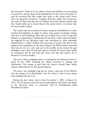this one place! Think of it, you whose women and children, to say nothing of yourselves, do not sleep on the Embankment in the wet in November. It may be answered that they might have gone to the casual ward, where there are generally vacancies. I suppose that they might, but so perverse are many of them that they do not. Indeed, often they declare bluntly that they would rather go to prison than to the casual ward, as in prison they are more kindly treated.

The reader may have noted as he drove along the Embankment or other London thoroughfares at night in winter, long queues of people waiting their turn to get something. What they are waiting for is a cup of soup and, perhaps, an opportunity of sheltering till the dawn, which soup and shelter are supplied by the Salvation Army, and sometimes by other charitable Organizations. I asked whether this provision of gratis food did in fact pauperize the population, as has been alleged. The Staff-Captain answered that men do not as a rule stop out in the middle of the winter till past midnight to get a pint of soup and a piece of bread. Of course, there might be exceptions; but for the most part those who take this charity, do so because if is sorely needed.

The cost of these midnight meals is reckoned by the Salvation Army at about £8 per 1,000, including the labour involved in cooking and distribution. This money is paid from the Army's Central Fund, which collects subscriptions for that special purpose.

'Of course, our midnight soup has its critics,' said one of the Officers who has charge of its distribution; 'but all I know is that it saves many from jumping into the river.'

During the past winter, that is from November 3, 1909, to March 24, 1910, 163,101 persons received free accommodation and food at the hands of the Salvation Army in connexion with its Embankment Soup Distribution Charity.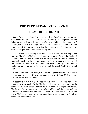## **THE FREE BREAKFAST SERVICE**

#### **BLACKFRIARS SHELTER**

On a Sunday in June I attended the Free Breakfast service at the Blackfriars Shelter. The lease of this building was acquired by the Salvation Army from a Temperance Company. Behind it lay contractors' stables, which were also bought; after which the premises were rebuilt and altered to suit the purposes to which they are now put, the stabling being for the most part converted into sleeping-rooms.

The Officer who accompanied me, Lieut.-Colonel Jolliffe, explained that this Blackfriars Shelter is, as it were, the dredger for and the feeder of all the Salvation Army's Social Institutions for men in London. Indeed, it may be likened to a dragnet set to catch male unfortunates in this part of the Metropolis. Here, as in the other Army Shelters, are great numbers of bunks that are hired out at 3d. a night, and the usual food-kitchens and appliances.

I visited one or two of these, well-ventilated places that in cold weather are warmed by means of hot-water pipes to a heat of about 70 deg., as the clothing on the bunks is light.

I observed that although the rooms had only been vacated for a few hours, they were perfectly inoffensive, and even sweet; a result that is obtained by a very strict attention to cleanliness and ample ventilation. The floors of these places are constantly scrubbed, and the bunks undergo a process of disinfection about once a week. As a consequence, in all the Army Shelters the vermin which sometimes trouble common lodginghouses are almost unknown.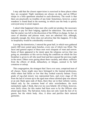I may add that the closest supervision is exercised in these places when they are occupied. Night watchmen are always on duty, and an Officer sleeps in a little apartment attached to each dormitory. The result is that there are practically no troubles of any kind. Sometimes, however, a poor wanderer is found dead in the morning, in which case the body is quietly conveyed away to await inquest.

I asked what happened when men who could not produce the necessary coppers to pay for their lodging, applied for admission. The answer was that the matter was left to the discretion of the Officer in charge. In fact, in cases of absolute and piteous want, men are admitted free, although, naturally enough, the Army does not advertise that this happens. If it did, its hospitality would be considerably overtaxed.

Leaving the dormitories, I entered the great hall, in which were gathered nearly 600 men seated upon benches, every one of which was filled. The faces and general aspect of these men were eloquent of want and sorrow. Some of them appeared to be intent upon the religious service that was going on, attendance at this service being the condition on which the free breakfast is given to all who need food and have passed the previous night in the street. Others were gazing about them vacantly, and others, sufferers from the effects of drink, debauchery, or fatigue, seemed to be half comatose or asleep.

This congregation, the strangest that I have ever seen, comprised men of all classes. Some might once have belonged to the learned professions, while others had fallen so low that they looked scarcely human. Every grade of rag-clad misery was represented here, and every stage of life from the lad of sixteen up to the aged man whose allotted span was almost at an end. Rank upon rank of them, there they sat in their infinite variety, linked only by the common bond of utter wretchedness, the most melancholy sight, I think, that ever my eyes beheld. All of them, however, were fairly clean, for this matter had been seen to by the Officers who attend upon them. The Salvation Army does not only wash the feet of its guests, but the whole body. Also, it dries and purifies their tattered garments.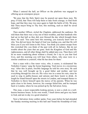When I entered the hall, an Officer on the platform was engaged in offering up an extempore prayer.

'We pray that the Holy Spirit may be poured out upon these men. We pray, O God, that Thou wilt help them to take fresh courage, to find fresh hope, and that they may rise once again to fight the battle of life. We pray that Thou mayst bring to Thy feet, this morning, such as shall be saved eternally.'

Then another Officer, styled the Chaplain, addressed the audience. He told them that there was a way out of their troubles, and that hundreds who had sat in that hall as they did, now blessed the day which brought them there. He said: 'You came here this morning, you scarcely knew how or why. You did not know the hand of God was leading you, and that He will bless you if you will listen to His Voice. You think you cannot escape from this wretched life; you think of the past with all its failures. But do not trouble about the years that are gone. Seek the Kingdom of God and His righteousness, and all other things shall be added unto you. Then there will be no more wandering about without a friend, for I say to you that God lives, and this morning you will hear from others, who once were in a similar condition to yourself, what He has done for them.'

Next a man with a fine tenor voice, who, it seems, is nicknamed 'the Yorkshire Canary,' sang the hymn beginning, 'God moves in a mysterious way.' After this in plain, forcible language he told his own story. He said that he was well brought up by a good father and mother, and lost everything through his own sin. His voice was in a sense his ruin, since he used to sing in public-houses and saloons and there learnt to drink. At length he found himself upon the streets in London, and tramped thence to Yorkshire to throw himself upon the mercy of his parents. When he was quite close to his home, however, his courage failed him, and he tramped back to London, where he was picked up by the Salvation Army.

This man, a most respectable-looking person, is now a clerk in a wellknown business house. In his own words, 'I knelt down and gave my heart to God, and am to-day in a good situation.'

Next a Salvation Army soldier spoke. Four years before he had attended the Sunday morning meeting in this hall and 'found the friendship of God.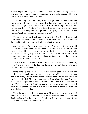He has helped me to regain the manhood I had lost and to do my duty. For two years now I have helped to support an invalid sister instead of being a burden to every one I knew, as once I was.'

After the singing of the hymn, 'Rock of Ages,' another man addressed the meeting. He had been a drunkard, a homeless wanderer, who slept night after night on the Embankment till fortune brought him to this service and to the Penitent-Form. Since that time, two and a half years before, no drink had passed his lips, and once again, as he declared, he had become 'a self-respecting, respectable citizen.'

Then a dwarf whom I had seen at work in the Spa Road Elevator, and who once was taken about the country to be exhibited as a side show at fairs and there fell a victim to drink, gave his testimony.

Another verse, 'Could my tears for ever flow,' and after it, in rapid succession, spoke a man who had been a schoolmaster and fallen through drink and gambling; a man who, or whose brother, I am not sure which, had been a Wesleyan preacher, and who is now employed in a Life Assurance Company; a man who had been a prisoner; a man who had been a confirmed drunkard, and others.

Always it was the same earnest, simple tale of drink and degradation, passed now for ever; of the Penitent-Form; of the building up of a new self, and of position regained.

More singing and an eloquent prayer which seemed to move the audience very much, some of them to tears; an address from a woman Salvation Army Officer, who pleaded with the people in the name of their mothers, and a brief but excellent sermon from Commissioner Sturgess, based upon the parable of the Marriage of the King's Son as recorded in the 22nd chapter of St. Matthew, and of the guests who were collected from the highways and byways to attend the feast whence the rich and worldly had excused themselves.

Then the great and final invocation to Heaven to move the hearts of these men, and the invitation to them to present themselves at the Penitent-Form. Lastly a mighty, thundering hymn, 'Jesu, Lover of my soul,' and the ending of the long drama.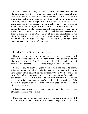It was a wonderful thing to see the spiritually-faced man on the platform pleading with his sordid audience, and to watch them stirring beneath his words. To see, also, a uniformed woman flitting to and fro among that audience, whispering, exhorting, invoking—a temptress to Salvation, then to note the response and its manner that were stranger still. Some poor wretch would seem to awaken, only to relapse into a state of sullen, almost defiant torpor. A little while and the leaven begins to work in him. He flushes, mutters something, half rises from his seat, sits down again, rises once more and with a peculiar, unwilling gait staggers to the Penitent-Form, and in an abandonment of grief and repentance throws himself upon his knees and there begins to sob. A watching Officer comes to him, kneels at his side and, I suppose, confesses him. The tremendous hymn bursts out like a paean of triumph—

Just as I am, without one plea,

it begins, the rest I forget or did not catch.

Now the ice is broken. Another comes and another, and another, till there is no more room at the Penitent-Bench. They swarm on to the platform which is cleared for them, and there kneel down, and I observed the naked feet of some of them showing through the worn-out boots.

So it goes on. At length the great audience rises and begins to depart, filing one by one through a certain doorway. As they pass, Officers who have appeared from somewhere wait for them with outstretched arms. The most of them brush past shaking their heads and muttering. Here and there one pauses, is lost—or rather won. The Salvation Army has him in its net and he joins the crowd upon the platform. Still the hymn swells and falls till all have departed save those who remain for good—about 10 per cent of that sad company.

It is done and the catcher feels that he has witnessed the very uttermost of tragedies, human and spiritual.

Mere common 'revivalism'! the critic will say, and it may be so. Still such revivalism, if that is the term for it, must be judged by its fruits. I am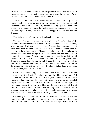informed that of those who kneel here experience shows that but a small percentage relapse. The most of them become what in the Salvation Army cant—if one chooses so to name it—is known as 'saved.'

This means that from drunkards and wastrels stained with every sort of human fault, or even crime, they are turned into God-fearing and respectable men who henceforward, instead of being a pest to society and a terror to all those who have the misfortune to be connected with them, become props of society and a comfort and a support to their relatives and friends.

Thus is the mesh of mercy spread, and such is its harvest.

The age of miracles is past, we are told; but I confess that while watching this strange sight I wondered more than once that if this were so, what that age of miracles had been like. Of one thing I was sure, that it must have been to such as these that He who is acknowledged even by sceptics to have been the very Master of mankind, would have chosen to preach, had this been the age of His appearance, He who came to call sinners to repentance. Probably, too, it was to such as these that He did preach, for folk of this character are common to the generations. Doubtless, Judea had its knaves and drunkards, as we know it had its victims of sickness and misfortune. The devils that were cast out in Jerusalem did not die; they reappear in London and elsewhere to-day, and, it would seem, can still be cast out.

I confess another thing, also; namely, that I found all this drama curiously exciting. Most of us who have passed middle age and led a full and varied life will be familiar with the great human emotions. Yet I discovered here a new emotion, one quite foreign to a somewhat extended experience, one that I cannot even attempt to define. The contagion of revivalism! again it will be said. This may be so, or it may not. But at least, so far as this branch of the Salvation Army work is concerned, those engaged in it may fairly claim that the tree should be judged by its fruits. Without doubt, in the main these fruits are good and wholesome.

I have only to add to my description of this remarkable service, that the number netted, namely, about 10 per cent of those present, was, I am told, just normal, neither more nor less than the average. Some of these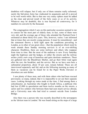doubtless will relapse; but if only *one* of them remains really reformed, surely the Salvation Army has vindicated its arguments and all is proved to be well worth while. But to that one very many ciphers must be added as the clear and proved result of the forty years or so of its activity. Whatever may be doubtful, this is true beyond all controversy, for it numbers its converts by the thousand.

The congregation which I saw on this particular occasion seemed to me to consist for the most part of elderly men; in fact, some of them were very old, and the average age of those who attended the Penitent-Form I estimated at about thirty-five years. This, however, varies. I am informed that at times they are mostly young persons. It must be remembered—and the statement throws a lurid light upon the conditions prevailing in London, as in other of our great cities—that the population which week by week attends these Sunday morning services is of an ever-shifting character. Doubtless, there are some *habitués* and others who reappear from time to time. But the most of the audience is new. Every Saturday night the highways and the hedges, or rather the streets and the railway arches yield a new crop of homeless and quite destitute wanderers. These are gathered into the Blackfriars Shelter, and go their bitter road again after the rest, the breakfast, and the service. But as we have seen here a substantial proportion, about 10 per cent, remain behind. These are all interviewed separately and fed, and on the following morning as many of them as vacancies can be found for in the Paper Works Elevator or elsewhere are sent thither.

I saw plenty of these men, and with them others who had been rescued previously; so many, indeed, that it is impossible to set out their separate cases. Looking through my notes made at the time, I find among them a schoolmaster, an Australian who fought in South Africa, a publican who had lost £2,000 in speculation and been twelve months on the streets, a sailor and two soldiers who between them had seen much service abroad, and a University man who had tried to commit suicide from London Bridge.

Also there was a person who was recently described in the newspapers as the 'dirtiest man in London.' He was found sitting on the steps of a large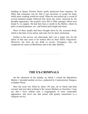building in Queen Victoria Street, partly paralysed from exposure. So filthy and verminous was he, that it was necessary to scrape his body, which mere washing would not touch. When he was picked up, a crowd of several hundred people followed him down the street, attracted by his dreadful appearance. His pockets were full of filth, amongst which were found 5s. in coppers. He had then been a month in the Shelter, where he peels or peeled potatoes, etc., and looked quite bright and clean.

Most of these people had been brought down by the accursed drink, which is the bane of our nation, and some few by sheer misfortune.

<span id="page-33-0"></span>Neither at the service, nor afterwards, did I see a single Jew, for the fallen of that race seem to be looked after by their fellow religionists. Moreover, the Jews do not drink to excess. Foreigners, also, are comparatively scarce at Blackfriars and in the other Shelters.

## **THE EX-CRIMINALS**

On the afternoon of the Sunday on which I visited the Blackfriars Shelter, I attended another service, conducted by Commissioner Sturgess, at Quaker Street.

Here the room was filled by about 150 men, all of whom had been rescued, and were then working in the various Shelters or elsewhere. I may say that I have seldom seen a congregation of more respectable appearance, and never one that joined with greater earnestness in a religious service.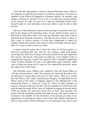I will take this opportunity to observe that the Salvation Army enforces no religious test upon those to whom it extends its assistance. If a man is a member of the Church of England or a Roman Catholic, for instance, and wishes to remain so, all that it tries to do is to make him a good member of his Church. Its only *sine qua non* is that the individual should show himself ready to work zealously at any task which it may be able to find for him.

The rest of that afternoon I spent in interviewing ex-criminals who were then in the charge of the Salvation Army. To give details of their cases in this book is impossible. Here I will only say, therefore, that some of these had been most desperate characters, who had served as much as thirty or forty years in various prisons, or even been condemned to death for murder. Indeed, the nineteen men whom I interviewed had, between them, done 371 years of what is known as 'time.'

I cannot honestly report that I liked the looks of all these gentry, or believed everything that they told me. For instance, when such people swear that they have been wrongly convicted, an old lawyer and magistrate like myself, who knows what pains are taken by every English Court to safeguard the innocent, is apt to be sceptical. Still, it should be added that many of these jailbirds are now to all appearance quite reformed, while some of them are doing well in more or less responsible positions, under the supervision of the Army.

The Salvation Army Officers have authority from the Home Office to visit the various prisons, where the inmates are informed that those who are desirous of seeing them must give in their names. Then on a certain day, the Officer, who, under Commissioner Sturgess, is responsible for the Prison work of the Army in England, appears at the Wandsworth or the Pentonville Prison, or wherever it may be. There he finds, perhaps, as many as 150 men waiting to see him, the total number of ex-prisoners who pass through the hands of the Army in England averaging at present about 1,000 per annum. He interviews these men in their cells privately, the prison officials remaining outside, and stops as long with each of them as he deems to be needful, for the Governors of the prisons give him every opportunity of attaining the object of his work. This Officer informed me that his conversation with the prisoners is not restricted in any way. It may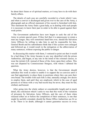be about their future or of spiritual matters, or it may have to do with their family affairs.

The details of each case are carefully recorded in a book which I saw, and when a convict is discharged and given over to the care of the Army, a photograph and an official statement of his record is furnished with him. This statement the Army finds a great help, as in dealing with such people it is necessary to know their past in order to be able to guard against their weak points.

The Government authorities have now begun to seek the aid of the Army in certain special cases. If they feel that it is unnecessary to retain a man any longer, they will sometimes hand him over, should the Salvation Army Officers be willing to take him in and be responsible for him. General Booth and his subordinates think that if this system were enlarged and followed up, it would result in the mitigation or the abbreviation of many sentences, without exposing the public to danger.

In discussing this matter with them, I ventured to point out that it would be a bad thing if the Army became in any way identified with the prison Authorities, and began, at any rate in the mind of the criminal classes, to wear the initials G.R. instead of those of the Army upon their collars. This was not disputed by Commissioner Sturgess, with whom I debated the question.

What the Army desires, however, is that the Government should subsidize this work in order to enable it to support the ex-convicts until it can find opportunity to place them in positions where they can earn their own bread. The trouble with such folk is that, naturally enough, few desire to employ them, and until they are employed, which in the case of aged persons or of those with a very bad record may be never, they must be fed, clothed, and housed.

After going into the whole subject at considerable length and in much detail, the conclusion which I came to was that this work of the visitation of prisoners by Salvation Army Officers, and the care of them when released either on or before the completion of their sentences, is one that might be usefully extended, should the Home Office Authorities see fit so to do. There is no doubt, although it cannot guarantee success in every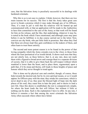case, that the Salvation Army is peculiarly successful in its dealings with hardened criminals.

Why this is so is not easy to explain. I think, however, that there are two main reasons for its success. The first is that the Army takes great care never to break a promise which it may make through any of its Officers. Thus, if a man in jail is told that his relatives will be hunted up and communicated with, or that an application will be made to the Authorities to have him committed to the care of the Army, or that work will be found for him on his release, and the like, that undertaking, whatever it may be, is noted in the book which I have mentioned, and although years may pass before it can be fulfilled, is in due course carried out to the letter. Now, convicts are shy birds, who put little faith in promises. But when they find that these are always kept they gain confidence in the makers of them, and often learn to trust them entirely.

The second and more potent reason is to be found in the power of that loving sympathy which the Army extends even to the vilest, to those from whom the least puritanical of us would shrink. It shows such men that they are not utterly lost, as these believe; that it, at any rate, does not mark them with a figurative broad arrow and consign them to a separate division of society; that it is able to give them back the self-respect without which mankind is lower than the beast, and to place them, regenerated, upon a path that, if it be steep and thorny, still leads to those heights of peace and honour which they never thought to tread again.

This is done not by physical care and comfort, though, of course, these help towards the desired end, but by its own spiritual means, or so it would appear. Its Officers pray with the man; they awake his conscience, which is never dead in any of us; they pour the blessed light of hope into the dark places of his soul; they cause him to hate the past, and to desire to lead a new life. Once this desire is established, the rest is comparatively simple, for where the heart leads the feet will follow; but without it little or nothing can be done. Such is the explanation I have to offer. At any rate, I believe it remains a fact that among the worst criminals the Salvation Army often succeeds where others have failed.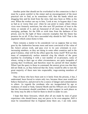Another point that should not be overlooked in this connexion is that it must be a great comfort to the sinner and an encouragement of the most practical sort to find, as he sometimes will, that the hands which are dragging him and his kind from the mire, had once been as filthy as his own. When the worker can say to him, 'Look at me; in bygone days I was as bad as or worse than you'; when he can point to many others whose vices were formerly notorious, but who now fill positions of trust in the Army or outside of it, and are honoured of all men; then the lost one, emerging, perhaps, for the fifth or sixth time from the darkness of his prison, sees by the light of these concrete examples that the future has promise for us all. If *they* have succeeded why should *he* fail? That is the argument which comes home to him.

There remains a matter to be considered. Let us suppose that as time goes by the Authorities become more and more convinced of the value of the Army's prison work, and pass over to its care criminals in everincreasing numbers, as they are doing in some other countries and in the great Colonies, what will be the effect upon the Army itself? Will not this mass of comparatively useless material clog the wheels of the great machine by overlading it with a vast number of ex-prisoners, some of whom, owing to their age or other circumstances, are quite incapable of earning their livelihood, and therefore must be carried till their deaths? When I put the query to those in command, the answer given was that they did not think so, as they believed that the Army would be able to turn the great majority of these men into respectable, wage-earning members of society.

Thus of those who have been sent to it lately from the prisons, it has, I understand, been forced to return only two, because these men would not behave themselves, and proved to be a source of danger and contamination to others. As regards the residuum who are incapacitated by age or weakness of mind or body, General Booth and his Officers are of opinion that the Government should contribute to their support in such places as the Army may be able to find for them to dwell in under its care.

I hope that these forecasts, which after all are made by men of great experience who should know, may not prove to be over-sanguine. Still it must be remembered that in England alone there are, I am told, some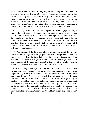30,000 confirmed criminals in the jails, not reckoning the 5,000 who are classed as convicts. If even 20 per cent of these were passed over to the care of the Army, with or without State grants in aid of their support, this must in the nature of things prove a heavy burden upon its resources. When all is said and done it is harder to find employment for a jailbird, even if reformed, than for any other class of man, because so damaged a human article has but little commercial value in the Labour market.

If, however, the Salvation Army is prepared to face this gigantic task, it may be hoped that it will be given an opportunity of showing what it can do on a large scale, as it has already shown upon one more restricted. Prison reform is in the air. The present system is admitted more or less to have broken down. It has been shown to be incompetent to attain the real end for which it is established; that is, not punishment, as many still believe, for this hereditary idea is hard to eradicate, but prevention and, still more, reformation.

The 'Vengeance of the Law' is a phrase not easy to forget; but among humane and highly-civilized peoples the word Vengeance should be replaced by another, the best that I can think of is—Regeneration. The Law should not seek to avenge—that may be left to the savage codes, civil and religious, of the dark ages. Except in the case of the death sentence, which is not everywhere in favour, it should seek to regenerate.

If, then, among other agencies, the Salvation Army is able to prove beyond cavil that it can assist our criminal system to attain this noble end, ought not opportunity to be given it in full measure? Is it too much to hope that when the new Prison Act, of which the substance has recently been outlined by the Home Secretary, comes to be discussed, this object may be kept in view and the offer of the Salvation Army to co-operate in the great endeavour may not be lightly thrust aside? If its help is found so valuable in the solution of this particular problem in other lands, why should it be rejected here, or, rather, why should it not be more largely utilized, as I know from their own lips, General Booth and his Officers hope and desire? [2](#page-169-0)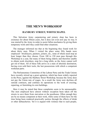### **THE MEN'S WORKSHOP**

### **HANBURY STREET, WHITECHAPEL**

This Salvation Army carpentering and joinery shop has been in existence for about fifteen years, but it does not even now pay its way. It was started by the Army in order to assist fallen mechanics by giving them temporary work until they could find other situations.

The manager informed me that at the beginning they found work for about thirty men. When I visited the place some fifty hands were employed—bricklayers, painters, joiners, etc., none of whom need stop an hour longer than they choose. From 100 to 150 men pass through this Workshop in a year, but many of them being elderly and therefore unable to obtain work elsewhere, stop for a long while, as the Army cannot well get rid of them. All of these folk arrive in a state of absolute destitution, having even sold their tools, the last possessions with which a competent workman parts.

The Parliamentary Committee of the Labour Party and the Trade Unions have recently stirred up a great agitation, which has been widely reported in the Press, against the Hanbury Street Workshop, because the Army does not pay the Union rate of wages. As a result the Army now declines all outside contracts, and confines its operations to the work of erecting, repairing, or furnishing its own buildings.

Here it may be stated that these complaints seem to be unreasonable. The men employed have almost without exception been taken off the streets to save them from starvation or the poorhouse. Often enough they are by no means competent at their work, while some of them have for the time being been rendered practically useless through the effects of drink or other debaucheries. Yet it is argued with violence that to such people,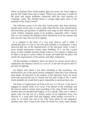whom no business firm would employ upon any terms, the Army ought to pay the full Trade Union rate of wages. When every allowance is made for the great and urgent problems connected with the cruel practice of 'sweating,' surely this attitude throws a strange light upon some of the methods of the Trade Unions?

The inference seems to be that they would prefer that these derelicts should come on the rates or starve rather than that the Army should house and feed them, giving them, in addition, such wage as their labour may be worth. Further comment seems to be needless, especially when I repeat that, as I am assured, this Hanbury Street Institution never has earned, and does not now earn, the cost of its upkeep.

It is situated in the heart of a very poor district, and is rather a ramshackle place to look at, but still quite suitable to its purposes. I have observed that one of the characteristics of the Salvation Army is that it never spends unnecessary money upon buildings. If it can buy a good house or other suitable structure cheap it does so. If it cannot, it makes use of what it can get at a price within its means, provided that the place will satisfy the requirements of the sanitary and other Authorities.

All the machines at Hanbury Street are driven by electric power that is supplied by the Stepney Council at a cost of 1*d*. per unit for power and 3*d*. per unit for lighting.

An elderly man whom I saw there attending to this machinery, was dismissed by one of the great railway companies when they were reducing their hands. He had been in the employ of the Salvation Army for seven years and received the use of a house rent free and a wage of 30*s*. a week, which probably he would find it quite impossible to earn anywhere else.

The hours of employment are from 6.30 a.m. to 5.30 p.m. if the man is engaged on outside work, or to 6 p.m. if he labours in the workshop, and the men are paid at various rates according to the value of their work, and whether they are boarded and lodged, or live outside. Thus one to whom I spoke, who was the son of a former mayor of an important town, was allowed 3*s.* a week plus food and lodging, while another received 9*s.* a week, 5*s.* of which was sent to his wife, from whom he was separated. Another man, after living on the Army for about two years, made charges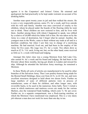against it to the Carpenters' and Joiners' Union. He returned and apologized, but had practically to be kept under restraint on account of his drinking habits.

Another man spent twenty years in jail and then walked the streets. He is now a very respectable person, earns 27*s.* 6*d.* a week, and lives outside with his wife and family. Another was once convicted of cruelty to his children, whom he placed under the boards of the flooring while he went out to drink. These children are now restored to him, and he lives with them. Another among those with whom I happened to speak, was robbed by a relative of £4,000 which his father left to him. He was taken on by the Army in a state of destitution, but I forget what he earned. Another, the youngest man in the Works, came to them without any trade at all and in a destitute condition, but when I saw him was in charge of a morticing machine. He had married, lived out, and had been in the employ of the Army for five years. His wage was 27*s.* 6*d.* a week. Two others drew as much as £2 5*s.* 11*d.* each, living out; but, on the other hand, some received as little as 3*s.* a week with board and lodging.

Amongst this latter class was a young Mormon from Salt Lake City, who earned 4*s.* 6*d.* a week and his board and lodging. He had been in the Elevator about three months, having got drunk in London and missed his ship. Although he attended the Salvation Army meetings, he remained a Mormon.

In these Works all sorts of articles are manufactured to be used by other branches of the Salvation Army. Thus I saw poultry-houses being made for the Boxted Small Holdings; these cost from £4 5*s.* to £4 10*s.* net, and were excellent structures designed to hold about two dozen fowls. Further on large numbers of seats of different patterns were in process of manufacture, some of them for children, and other longer ones, with reversible backs, to be used in the numerous Army halls. Next I visited a room in which mattresses and mattress covers are made for the various Shelters, also the waterproof bunk bedding, which costs 7*s.* 9*d.* per cover. Further on, in a separate compartment, was a flock-tearing machine, at which the Mormon I have mentioned was employed. This is a very dusty job whereat a man does not work for more than one day in ten.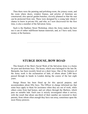Then there were the painting and polishing-room, the joinery room, and the room where doors, window frames, and articles of furniture are constructed; also special garden benches, cleverly planned so that the seat can be protected from rain. These were designed by a young lady whom I chance to know in private life, and who, as I now discovered for the first time, is also a member of the Salvation Army.

Such is the Hanbury Street Workshop, where the Army makes the best use it can of rather indifferent human materials, and, as I have said, loses money at the business.

## **STURGE HOUSE, BOW ROAD**

This branch of the Men's Social Work of the Salvation Army is a home for poor and destitute boys. The house, which once belonged to the late Dr. Barnardo, has been recently hired on a short lease. One of the features of the Army work is the reclamation of lads, of whom about 2,400 have passed through its hands in London during the course of the last eight years.

Sturge House has been fitted up for this special purpose, and accommodates about fifty boys. The Officer in charge informed me that some boys apply to them for assistance when they are out of work, while others come from bad homes, and yet others through the Shelters, which pass on suitable lads. Each case is strictly investigated when it arrives, with the result that about one-third of their number are restored to their parents, from whom often enough they have run away, sometimes upon the most flimsy pretexts.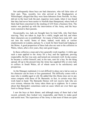Not unfrequently these boys are bad characters, who tell false tales of their past. Thus, recently, two who arrived at the Headquarters at Whitechapel, alleged that they were farm-labourers from Norfolk. As they did not in the least look the part, inquiries were made, when it was found that they had never been nearer to Norfolk than Hampstead, where both of them had been concerned in the stealing of £10 from a business firm. The matter was patched up with the intervention of the Army, and the boys were restored to their parents.

Occasionally, too, lads are brought here by kind folk, who find them starving. They are taken in, kept for a while, taught and fed, and when their characters are re-established—for many of them have none left—put out into the world. Some of them, indeed, work daily at various employments in London, and pay 5s. a week for their board and lodging at the Home. A good proportion of these lads also are sent to the collieries in Wales, where, after a few years, they earn good wages.

In these collieries a man and a boy generally work together. A while ago such a man applied to the Army for a boy, and the applicant, proving respectable, the boy was sent, and turned out extremely well. In due course he became a collier himself, and, in his turn, sent for a boy. So the thing spread, till up to the present time the Army has supplied fifty or sixty lads to colliers in South Wales, all of whom seem to be satisfactory and prosperous.

As the Manager explained, it is not difficult to place out a lad as soon as his character can be more or less guaranteed. The difficulty comes with a man who is middle-aged or old. He added that this Home does not in any sense compete with those of Dr. Barnardo; in fact, in certain ways they work hand in hand. The Barnardo Homes will not receive lads who are over sixteen, whereas the Army takes them up to eighteen. So it comes about that Barnardo's sometimes send on cases which are over their age limit to Sturge House.

I saw the boys at their dinner, and although many of them had a bad record, certainly they looked very respectable, and likely to make good and useful men. The experience of the Army is that most of them are quite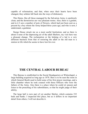capable of reformation, and that, when once their hearts have been changed, they seldom fall back into the ways of dishonesty.

This Home, like all those managed by the Salvation Army, is spotlessly clean, and the dormitories are very pleasant rooms. Also, there is a garden, and in it I saw a number of pots of flowers, which had just been sent as a present by a boy whom the Army helped three years ago, and who is now, I understand, a gardener.

Sturge House struck me as a most useful Institution; and as there is about it none of the depressing air of the adult Shelters, my visit here was a pleasant change. The reclamation or the helping of a lad is a very different business from that of restoring the adult or the old man to a station in life which he seems to have lost for ever.

## **THE CENTRAL LABOUR BUREAU**

This Bureau is established in the Social Headquarters at Whitechapel, a large building acquired as long ago as 1878. Here is to be seen the room in which General Booth used to hold some of his first prayer meetings, and a little chamber where he took counsel with those Officers who were the fathers of the Army. Also there is a place where he could sit unseen and listen to the preaching of his subordinates, so that he might judge of their ability.

The large hall is now part of yet another Shelter, which contains 232 beds and bunks. I inspected this place, but as it differs in no important detail from others, I will not describe it.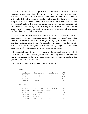The Officer who is in charge of the Labour Bureau informed me that hundreds of men apply there for work every week, of whom a great many are sent into the various Elevators and Shelters. The Army finds it extremely difficult to procure outside employment for these men, for the simple reason that there is very little available. Moreover, now that the Government Labour Bureaux are open, this trouble is not lessened. Of these Bureaux, the Manager said that they are most useful, but fail to find employment for many who apply to them. Indeed, numbers of men come on from them to the Salvation Army.

The hard fact is that there are more idle hands than there is work for them to do, even where honest and capable folk are concerned. Thus, in the majority of instances, the Army is obliged to rely upon its own Institutions and the Hadleigh Land Colony to provide some sort of job for out-ofworks. Of course, of such jobs there are not enough to go round, so many poor folk must be sent empty away or supported by charity.

I suggested that it might be worth while to establish a school of chauffeurs, and the Officers present said that they would consider the matter. Unfortunately, however, such an experiment must be costly at the present price of motor-vehicles.

I annex the Labour Bureau Statistics for May, 1910:—

LONDON

| Applicants for temporary employment | 479 |
|-------------------------------------|-----|
| Sent to temporary employment        | 183 |
| Applicants for Elevators            | 864 |
| Sent to Elevators                   | 260 |
| Sent to Shelters                    | 32. |
|                                     |     |

PROVINCES

| Applicants for temporary employment 461 |     |
|-----------------------------------------|-----|
| Sent to temporary employment            | 160 |
| Applicants for Elevators                | 417 |
| Sent to Elevators                       | 202 |
| Sent to Shelters                        | 20  |
| Sent to permanent situations            | 35  |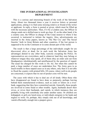### **THE INTERNATIONAL INVESTIGATION DEPARTMENT**

This is a curious and interesting branch of the work of the Salvation Army. About two thousand times a year it receives letters or personal applications, asking it to find some missing relative or friend of the writer or applicant. In reply, a form is posted or given, which must be filled up with the necessary particulars. Then, if it be a London case, the Officer in charge sends out a skilled man to work up clues. If, on the other hand, it be a country case, the Officer in charge of the Corps nearest to where it has occurred, is instructed to initiate the inquiry. Also, advertisements are inserted in the Army papers, known as 'The War Cry' and 'The Social Gazette,' both in Great Britain and other countries, if the lost person is supposed to be on the Continent or in some distant part of the world.

The result is that a large percentage of the individuals sought for are discovered, alive or dead, for in such work the Salvation Army has advantages denied to any other body, scarcely excepting the Police. Its representatives are everywhere, and to whatever land they may belong or whatever tongue they may speak, all of them obey an order sent out from Headquarters wholeheartedly and uninfluenced by the question of regard. The usual fee charged for this work is 10*s*. 6*d*.; but when this cannot be paid, a large number of cases are undertaken free. The Army goes to as much trouble in these unpaid cases as in any others, only then it is not able to flood the country with printed bills. Of course, where well-to-do people are concerned, it expects that its out-of-pocket costs will be met.

The cases with which it has to deal are of all kinds. Often those who have disappeared are found to have done so purposely, perhaps leaving behind them manufactured evidence, such as coats or letters on a riverbank, suggesting that they have committed suicide. Generally, these people are involved in some fraud or other trouble. Again, husbands desert their wives, or wives their husbands, and vanish, in which instances they are probably living with somebody else under another name. Or children are kidnapped, or girls are lured away, or individuals emigrate to far lands and neglect to write. Or, perhaps, they simply sink out of all knowledge, and vanish effectually enough into a paupers grave.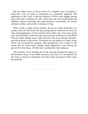But the oddest cases of all are those of a complete loss of memory, a thing that is by no means so infrequent as is generally supposed. The experience of the Army is that the majority of these cases happen among those who lead a studious life. The victim goes out in his usual health and suddenly forgets everything. His mind becomes a total blank. Yet certain instincts remain, such as that of earning a living.

Thus, to take a single recent example, the son of a large bookseller in a country town left the house one day, saying that he would not be away for long, and disappeared. At the invitation of his father, the Army took up the case, and ultimately found that the man had been working in its Spa Road Elevator under another name. Afterwards he went away, became destitute, and sold matches in the streets. Ultimately he was found in a Church Army Home. He recovered his memory, and subsequently lost it again to the extent that he could recall nothing which happened to him during the period of its first lapse. All that time vanished into total darkness.

This business of the hunting out of the missing through the agency of the Salvation Army is one which increases every day. It is not unusual for the Army to discover individuals who have been missing for thirty years and upwards.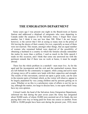## **THE EMIGRATION DEPARTMENT**

Some years ago I was present one night in the Board-room at Euston Station and addressed a shipload of emigrants who were departing to Canada under the auspices of the Salvation Army. I forget their exact number, but I think it was not less than 500. What I do not forget, however, is the sorrow that I felt at seeing so many men in the prime of life leaving the shores of their country for ever, especially as most of them were not married. This meant, amongst other things, that an equal number of women who remained behind were deprived of the possibility of obtaining a husband in a country in which the females already outnumber the males by more than a million. I said as much in the little speech I made on this occasion, and I think that some one answered me with the pertinent remark that if there was no work at home, it must be sought abroad.

There lies the whole problem in a nutshell—men must live. As for the aged and the incompetent and the sick and the unattached women, these are left behind for the community to support, while young and active men of energy move off to endow new lands with their capacities and strength. The results of this movement, carried out upon a great scale, can be seen in the remoter parts of Ireland, which, as the visitor will observe, appear to be largely populated by very young children and by persons getting on in years. Whether or no this is a satisfactory state of affairs is not for me to say, although the matter, too large to discuss here, is one upon which I may have my own opinion.

Colonel Lamb, the head of the Salvation Army Emigration Department, informed me that during the past seven years the Army has emigrated about 50,000 souls, of whom 10,000 were assisted out of its funds, the rest paying their own way or being paid for from one source or another. From 8,000 to 10,000 people have been sent during the present year, 1910, most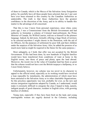of them to Canada, which is the Mecca of the Salvation Army Emigration policy. So carefully have all these people been selected, that not 1 per cent have ever been returned to this country by the Canadian Authorities as undesirable. The truth is that those Authorities have the greatest confidence in the discretion of the Army, and in its ability to handle this matter to the advantage of all concerned.

That this is true I know from personal experience, since when, some years ago, I was a Commissioner from the British Government and had authority to formulate a scheme of Colonial land-settlement, the Prime Minister of Canada, Sir Wilfrid Laurier, told me so himself in the plainest language. Indeed, he did more, formally offering a huge block of territory to be selected anywhere I might choose in the Dominion, with the aid of its Officers, for the purposes of settlement by poor folk and their children under the auspices of the Salvation Army. Also, he added the promise of as much more land as might be required in the future for the same purpose.<sup>[3](#page-171-0)</sup>

Most unhappily, as I hold, that offer was not accepted by the British Government. If this had been done, by now hundreds of English families would have been transferred from conditions of want at home in the English towns, into those of peace and plenty upon the land abroad. Moreover, the recent rise in the value of Canadian land has been so great that the scheme would not have cost the British taxpayer a halfpenny, or so I most firmly believe.

Unfortunately, however, my scheme was too novel in its character to appeal to the official mind, especially as its working would have involved a loan repayable by instalments, the administration of which must have been entrusted to the Salvation Army or to other charitable Organizations. So this priceless opportunity was lost, probably for ever, as the new and stricter emigration regulations adopted by Canada, as I understand, would make it extremely difficult to emigrate the class I hoped to help, namely, indigent people of good character, resident in English cities, with growing families of children.

Young men, especially if they have been bred on the land, and young marriageable women are eagerly desired in the Colonies, including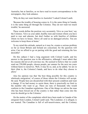Australia; but at families, as we have read in recent correspondence in the newspapers, they look askance.

'Why do they not want families in Australia? I asked Colonel Lamb.

'Because the trouble of housing comes in. It is the same thing in Canada, it is the same thing all through the Colonies. They do not want too much trouble,' he answered.

These words define the position very accurately. 'Give us your best,' say the Colonies. 'Give us your adult, healthy men and women whom you have paid to rear and educate, but don't bother us with families of children whom we have to house. Above all send us no damaged articles. You are welcome to keep those at home.'

To my mind this attitude, natural as it may be, creates a serious problem so far as Great Britain and Ireland are concerned, for the question will arise, Can we afford to go on parting with the good and retaining the less desirable?

On this subject I had a long argument with Colonel Lamb, and his answer to the question was in the affirmative, although I must admit that his reasons did not at all convince me. He seemed to believe that we could send out 250,000 people, chosen people, per annum for the next ten years without harm to ourselves. Well, it may be so, and, as he added, 'we are in their (that is, the Colonies') hands, and have to do what they choose to allow.'

Also his opinion was that 'the best thing possible for this country is wholesale emigration,' of course of those whom the Colonies will accept. He said, 'People here are dissatisfied with their present condition and want a change. If we had money to assist them, there is practically no limit to the number who want to go. There are tens of thousands who would conform to the Canadian regulations. One of the things we advise the man who has been forced out of the country is that rather than come into the town he should go to the Colonies.'

On the matter of the complaints which have been made in Canada of the emigrant from London, Colonel Lamb said, 'The Londoner, it is alleged, is not wanted. The Canadian is full of self-assertiveness, and the Cockney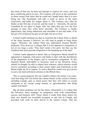has some of that too; he does not hesitate to express his views, and you have conflicting spirits at once. The Cockney will arrive at the conclusion in about twenty-four hours that he could run Canada better than it is now being run. The Scotchman will take a week to arrive at the same conclusion, and holds his tongue about it. The Cockney says what he thinks on the first day of arrival, and the result is—fireworks. He and the Canadians do not agree to begin with; but when they get over the first passage of arms they settle down amicably. The Cockney is finally appreciated, and, being industrious and amenable to law and order, if he has got a bit of humour he gets on all right, but not at first.'

Colonel Lamb informed me that in Australia the Labour Party is afraid of the Army because it believes 'we will send in people to bring down wages.' Therefore, the Labour Party has sidetracked General Booth's proposals. Now, however, it alleges that it is not opposed to emigration, if not on too large a scale. 'They don't mind a few girls; but they say the condition that must precede emigration is the breaking up of the land.'

Colonel Lamb appeared to desire that an Emigration Board should be appointed in England, with power and funds to deal with the distribution of the population of the Empire and to systematize emigration. To this Imperial Board, individuals or Societies, such as the Salvation Army, should, he thought, be able to submit their schemes, which schemes would receive assistance according to their merits under such limitations as the Board might see fit to impose. To such a Board he would even give power to carry out land-settlement schemes in the British Isles.

This is a great proposal, but one wonders whence the money is to come. Also how long will it be before the Labour Parties in the various Colonies, including Canada, gain so much power that they will refuse to accept emigrants at all, except young women, or agriculturalists who bring capital with them?

But all these problems are for the future. Meanwhile it is evident that the Salvation Army manages its emigration work with extraordinary success and business skill. Those whom it sends from these shores for their own benefit are invariably accepted, at any rate in Canada, and provided with work on their arrival in the chosen Colony. That the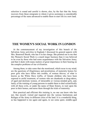selection is sound and careful is shown, also, by the fact that the Army recovers from those emigrants to whom it gives assistance a considerable percentage of the sums advanced to enable them to start life in a new land.

## **THE WOMEN'S SOCIAL WORK IN LONDON**

At the commencement of my investigation of this branch of the Salvation Army activities in England, I discussed its general aspects with Mrs. Bramwell Booth, who has it in her charge. She pointed out to me that this Women's Social Work is a much larger business than it was believed to be even by those who had some acquaintance with the Salvation Army, and that it deals with many matters of great importance in their bearing on the complex problems of our civilization.

Among them, to take some that she mentioned, which recur to my mind, are the questions of illegitimacy and prostitution, of maternity homes for poor girls who have fallen into trouble, of women thieves, of what is known as the White Slave traffic, of female children who have been exposed to awful treatment, of women who are drunkards or drug-takers, of aged and destitute women, of intractable or vicious-minded girls, and, lastly, of the training of young persons to enable them to deal scientifically with all these evils, or under the name of Slum Sisters, to wait upon the poor in their homes, and nurse them through the trials of maternity.

How practical and efficient this training is, no one can know who has not, like myself, visited and inquired into the various Institutions and Refuges of the Army in different cities of the land. It is a wonderful thing, as has happened to me again and again, to see some quiet, middle-aged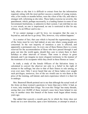lady, often so shy that it is difficult to extract from her the information required, ruling with the most perfect success a number of young women, who, a few weeks or months before, were the vilest of the vile, and what is stranger still, reforming as she rules. These ladies exercise no severity; the punishment, which, perhaps necessarily, is a leading feature in some of our Government Institutions, is unknown to their system. I am told that no one is ever struck, no one is imprisoned, no one is restricted in diet for any offence. As an Officer said to me:—

'If we cannot manage a girl by love, we recognize that the case is beyond us, and ask her to go away. This, however, very seldom happens.'

As a matter of fact, that case which is beyond the regenerating powers of the Army must be very bad indeed, at any rate where young people are concerned. In the vast majority of instances a cure is effected, and apparently a permanent cure. In every one of these Homes there is a room reserved for the accommodation of those who have passed through it and gone out into the world again, should they care to return there in their holidays or other intervals of leisure. That room is always in great demand, and I can imagine no more eloquent testimony to the manner of the treatment of its occupants while they dwelt in these Homes as 'cases.'

In truth, a study of the female Officers of the Salvation Army is calculated to convert the observer not only to a belief in the right of women to the suffrage, but also to that of their fitness to rule among, or even over men. Only I never heard that any of these ladies ever sought such privileges; moreover, few of the sex would care to win them at the price of the training, self-denial, and stern experience which it is their lot to undergo.

Mrs. Bramwell Booth pointed out to me that although the actual work of the Army on these women's questions is 'more than just a little,' it had, as it were, only touched their fringe. Yet even this 'fringe' has many threads, seeing that over 44,000 of these women's cases have been helped in one way or another since this branch of the home work began about twenty years ago.

She added that scarcely a month goes by in which the Army does not break out in a new direction, open a new Institution, or attempt to attack a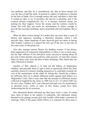new problem; and this, be it remembered, not only in these islands but over the face of half the earth. At present its sphere of influence is limited by the lack of funds. Give it enough money, she said, and there is little that it would not dare to try. Everywhere the harvest is plentiful, and if the workers remain comparatively few, it is because material means are lacking for their support. Given the money and the workers would be found. Nor will they ask much for maintenance or salary, enough to provide the necessary buildings, and to keep body and soul together, that is all.[4](#page-171-1)

What are these women doing? In London they run more than a score of Homes and Agencies, including a Maternity Hospital, which I will describe later, where hundreds of poor deceived girls are taken in during their trouble. I believe it is almost the only one of the sort, at any rate on the same scale, in that great city.

Also they manage various Homes for drunken women. It has always been supposed to be a practical impossibility to effect a cure in such cases, but the lady Officers of the Salvation Army succeed in turning about 50 per cent of their patients into perfectly sober persons. At least they remain sober for three years from the date of their discharge, after which they are often followed no further.

Another of their objects is to find out the fathers of illegitimate children, and persuade them to sign a form of agreement which has been carefully drawn by Counsel, binding themselves to contribute towards the cost of the maintenance of the child. Or failing this, should the evidence be sufficient, they try to obtain affiliation orders against such fathers in a Magistrates' Court. Here I may state that the amount of affiliation money collected in England by the Army in 1909 was £1,217, of which £208 was for new cases. Further, £671 was collected and paid over for maintenance to deserted wives. Little or none of this money would have been forthcoming but for its exertions.

Mrs. Bramwell Booth informed me that there exists a class of young men, most of them in the employ of tradesfolk, who habitually amuse themselves by getting servant girls into trouble, often under a promise of marriage. Then, if the usual results follow, it is common for these men to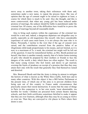move away to another town, taking their references with them and, sometimes under a new name, to repeat the process there. She was of opinion that the age of consent ought to be raised to eighteen at least, a course for which there is much to be said. Also she thought, and this is more controversial, that when any young girl has been seduced under promise of marriage, the seducer should be liable to punishment under the criminal law. Of course, one of the difficulties here would be to prove the promise of marriage beyond all reasonable doubt.

Also to bring such matters within the cognizance of the criminal law would be a new and, indeed, a dangerous departure not altogether easy to justify, especially as old magistrates like myself, who have considerable experience of such cases must know, it is not always the man who is to blame. Personally, I incline to the view that if the age of consent were raised, and the contribution exacted from the putative father of an illegitimate child made proportionate to his means, and not limited, as it is now, to a maximum of 5s. a week, the criminal law might well be left out of the question. It must be remembered further, as Mrs. Booth pointed out herself, that there is another remedy, namely, that of a better home-training of girls who should be prepared by their mothers or friends to face the dangers of the world, a duty which these too often neglect. The result is that many young women who feel lonely and desire to get married, overstep the limits of prudence on receipt of a promise that thus they may attain their end, with the result that generally they find themselves ruined and deserted.

Mrs. Bramwell Booth said that the Army is doing its utmost to mitigate the horrors of what is known as the White Slave traffic, both here and in many other countries. With this object it has a Bill before Parliament at the present time, of which one of the aims is to prevent children from being sent out of this country to France under circumstances that practically ensure their moral destruction. It seems that the state of things in Paris in this connexion is, in her own words, 'most abominable, too horrible for words.' Children are procured from certain theatre dancing schools, and their birth certificates sometimes falsified to make it appear that they are over fourteen, although often they may be as young as twelve or even ten. Then they are conveyed to vile places in Paris where their doom is sure.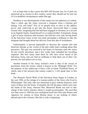Let us hope that in due course this Bill will become law, for if girls are protected up to sixteen in this country, surely they should not be sent out of it in doubtful circumstances under that age.

Needless to say abominations of this nature are not unknown in London. Thus a while ago the Army received a telegram from a German girl asking, 'Can you help?' Two of its people went at once to the address given, and, contriving to get into the house, discovered there a young woman who, imagining that she had been engaged in Germany as a servant in an English family, found herself in a London brothel. Fortunately, being a girl of some character and resource, she held her own, and, having heard of the Salvation Army in her own land, persuaded a milkman to take the telegram that brought about her delivery from this den of wickedness.

Unfortunately it proved impossible to discover the woman who had hired her abroad, as the victim of the plot really knew nothing about that procuress. This girl was restored to her home in Germany none the worse for her terrific adventure, and a few weeks later refunded her travelling expenses. But how many must there be who have never heard of the Salvation Army, and can find no milkman to help them out of their vile prisons, for such places are no less.

Another branch of the Army women's work is that of the rescue of prostitutes from the streets, which is known as the 'Midnight Work.' For the purpose of this endeavour it hires a flat in Great Titchfield Street, of which, and of the mission that centres round it, I will speak later in this book.

The Women's Social Work of the Salvation Army began in London, in the year 1884, at the cottage of a woman-soldier of the Army who lived in Whitechapel. This lady, who was interested in girls without character, took some of them into her home. Eventually she left the place which came into the hands of the Army, whereon Mrs. Bramwell Booth was sent to take charge of the twelve inmates whom it would accommodate. The seed that was thus sown in 1884 has now multiplied itself into fifty-nine Homes and Agencies for women in Great Britain alone, to say nothing of others abroad and in the Colonies. But this is only a beginning.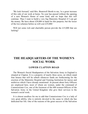'We look forward,' said Mrs. Bramwell Booth to me, 'to a great increase of this side of our work at home. No year has passed without the opening of a new Women's Home of some kind, and we hope that this will continue. Thus I want to build a very big Maternity Hospital if I can get the money. We have about £20,000 in hand for this purpose; but the lesser of the two schemes before us will cost £35,000.'

Will not some rich and charitable person provide the £15,000 that are lacking?

# **THE HEADQUARTERS OF THE WOMEN'S SOCIAL WORK**

### **LOWER CLAPTON ROAD**

The Women's Social Headquarters of the Salvation Army in England is situated at Clapton. It is a property of nearly three acres, on which stand four houses that will be rebuilt whenever funds are forthcoming for the erection of the Maternity Hospital and Training Institution for nurses and midwives which I have already mentioned. At present about forty Officers are employed here, most of whom are women, under the command of Commissioner Cox, one of the foremost of the 600 women-Officers of the Salvation Army in the United Kingdom who give their services to the women's social work.

It is almost needless for me to add that Commissioner Cox is a lady of very great ability, who is entirely devoted to the cause to which she has dedicated her life. One of the reasons of the great success of the Salvation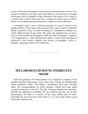Army is that only able people exactly suited to the particular work in view are put in authority over that work. Here there are no sinecures, no bought advowsons, and no freehold livings. Moreover, the policy of the Army, as a general rule, is not to allow any one to remain too long in any one office, lest he or she should become fossilized or subject to local influences.

I remember when I was in America hearing of a case in which a very leading Officer of the Army, who chanced to be a near relative of General Booth, declined to obey an order to change his command for another in a totally different part of the world. The order was repeated once or twice, and as often disobeyed. Resignation followed and an attempt to found a rival Organization. I only mention this matter to show that discipline is enforced in this Society without fear, favour, or prejudice, which is, perhaps, a principal reason of its efficiency.

# **HILLSBOROUGH HOUSE INEBRIATES' HOME**

Under the guidance of Commissioner Cox I inspected a number of the London Women's Institutions of the Army, first visiting the Hillsborough House Inebriates' Home. This Home, a beautifully clean and well-kept place, has accommodation for thirty patients, twenty-nine beds being occupied on the day of my visit. The lady in charge informed me that these patients are expected to contribute 10s. per week towards the cost of their maintenance; but that, as a matter of fact, they seldom pay so much. Generally the sum recovered varies from 7s. to 3s. per week, while a good many give nothing at all.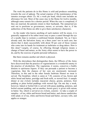The work the patients do in this Home is sold and produces something towards the cost of upkeep. The actual expense of the maintenance of the inmates averages about 12s. 6d. a week per head, which sum includes an allowance for rent. Most of the cases stay in the Home for twelve months, although some remain for a shorter period. When the cure is completed, if they are married, the patients return to their husbands. The unmarried are sent out to positions as governesses, nurses, or servants, that is, if the authorities of the Home are able to give them satisfactory characters.

As the reader who knows anything of such matters will be aware, it is generally supposed to be rather more easy to pass a camel through the eye of a needle than to reclaim a confirmed female drunkard. Yet, as I have already said, the Salvation Army, on a three years' test in each case, has shown that it deals successfully with about 50 per cent of those women who come into its hands for treatment as inebriates or drug-takers. How is this done? Largely, of course, by effecting through religious means a change of heart and nature, as the Army often seems to have the power to do, and by the exercise of gentle personal influences.

But there remains another aid which is physical.

With the shrewdness that distinguishes them, the Officers of the Army have discovered that the practice of vegetarianism is a wonderful enemy to the practice of alcoholism. The vegetarian, it seems, conceives a bodily distaste to spirituous liquors. If they can persuade a patient to become a vegetarian, then the chances of her cure are enormously increased. Therefore, in this and in the other female Inebriate Homes no meat is served. The breakfast, which is eaten at 7.30, consists of tea, brown and white bread and butter, porridge and fresh milk, or stewed fruit. A sample dinner at one o'clock includes macaroni cheese, greens, potatoes, fruit pudding or plain boiled puddings with stewed figs. On one day a week, however, baked or boiled fish is served with pease pudding, potatoes, and boiled currant pudding, and on another, brown gravy is given with onions in batter. Tea, which is served at six o'clock, consists—to take a couple of samples—of tea, white and brown bread and butter, and cheese sandwiches with salad; or of tea, white and brown bread and butter, savoury rolls, and apples or oranges.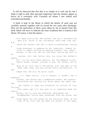It will be observed that this diet is as simple as it well can be; but I think it right to add, after personal inspection, that the inmates appear to thrive on it extremely well. Certainly all whom I saw looked well nourished and healthy.

A book is kept in the Home in which the details of each case are carefully entered, together with its record for two years after discharge. Here are the particulars of three cases taken by me at hazard from this book which will serve to indicate the class of patient that is treated at this Home. Of course, I omit the names:—

*A.B.* Aged thirty-one. Her mother, who was a drunkard and gave A.B. drink in her childhood, died some time ago. A.B. drove her father, who was in good circumstances, having a large business, to madness by her inebriety. Indeed, he tried to commit suicide by hanging himself, but, oddly enough, it was A.B. who cut him down, and he was sent to an asylum. A.B. had fallen very low since her mother's death; but I do not give these details. All the members of her family drank, except, strange to say, the father, who at the date of my visit was in the asylum. A.B. had been in the Home some time, and was giving every satisfaction. It was hoped that she will be quite cured. *C.D.* Aged thirty. C.D.'s father, a farmer, was a moderate drinker, her mother was a temperance woman. Her parents discovered her craving for drink about ten years ago. She was unable to keep any situation on account of this failing. Four years ago C.D. was sent to an Inebriate Home for twelve months, but no cure was effected. Afterwards she disappeared, having been dismissed from her place, and was found again for the mother by the Salvation Army. At the time of my visit she had been six months in the Home,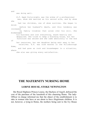was doing well. *E.F.* Aged forty-eight; was the widow of a professional man, whom she married as his second wife, and by whom she had two children, one of whom survives. She began to drink before her husband's death, and this tendency was increased by family troubles that arose over his will. She mismanaged his business and lost everything, drank heavily and despaired. She tried to keep a boarding house, but her furniture was seized and she came absolutely to the end of her resources, her own daughter being sent away to her relatives. E.F. was nine months in the Hillsborough Home, and had gone as cook and housekeeper to a situation, where she also was giving every satisfaction.

### **THE MATERNITY NURSING HOME**

#### **LORNE HOUSE, STOKE NEWINGTON**

Her Royal Highness Princes Louise, the Duchess of Argyll, defrayed the cost of the purchase of the leasehold of this charming Home. The lady-Officer in charge informed me that the object of the establishment is to take in women who have or are about to have illegitimate children. It is not, however, a lying-in Home, the mothers being sent to the Ivy House

and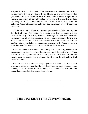Hospital for their confinements. After these are over they are kept for four or sometimes for six months at Lorne House. At the expiration of this period situations are found for most of them, and the babies are put out to nurse in the houses of carefully selected women with whom the mothers can keep in touch. These women are visited from time to time by Salvation Army Officers who make sure that the infants are well treated in every way.

All the cases in this Home are those of girls who have fallen into trouble for the first time. They belong to a better class than do those who are received in many of the Army Homes. The charge for their maintenance is supposed to be £1 a week, but some pay only 5s., and some nothing at all. As a matter of fact, out of the twelve cases which the Home will hold, at the time of my visit half were making no payment. If the Army averages a contribution of 7s. a week from them, it thinks itself fortunate.

I saw a number of the babies in cradles placed in an old greenhouse in the garden to protect them from the rain that was falling at the time. When it is at all fine they are kept as much as possible in the open air, and the results seem to justify this treatment, for it would be difficult to find healthier infants.

Five or six of the inmates sleep together in a room; for those with children a cot is provided beside each bed. I saw several of these young women, who all seemed to be as happy and contented as was possible under their somewhat depressing circumstances.

## **THE MATERNITY RECEIVING HOME**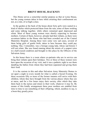### **BRENT HOUSE, HACKNEY**

This Home serves a somewhat similar purpose as that at Lorne House, but the young women taken in here while awaiting their confinement are not, as a rule, of so high a class.

In the garden at the back of the house about forty girls were seated in a kind of shelter which protected them from the rain, some of them working and some talking together, while others remained apart depressed and silent. Most of these young women were shortly expecting to become mothers. Certain of them, however, already had their infants, as there were seventeen babies in the Home who had been crowded out of the Central Maternity Hospital. Among these were some very sad cases, several of them being girls of gentle birth, taken in here because they could pay nothing. One, I remember, was a foreign young lady, whose sad history I will not relate. She was found running about the streets of a seaport town in a half-crazed condition and brought to this place by the Officers of the Salvation Army.

In this house there is a room where ex-patients who are in service can bring their infants upon their holidays. Two or three of these women were here upon the occasion of my visit, and it was a pathetic sight to see them dandling the babies from whom they had been separated and giving them their food.

It is the custom in this and other Salvation Army Maternity Homes to set apart a night in every month for what is called a Social Evening. On these occasions fifty or more of the former inmates will arrive with their children, whom they have brought from the various places where they are at nurse, and for a few hours enjoy their society, after which they take them back to the nurses and return to their work, whatever it may be. By means of this kindly arrangement these poor mothers are enabled from time to time to see something of their offspring, which, needless to say, is a boon they greatly prize.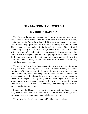## **THE MATERNITY HOSPITAL**

#### **IVY HOUSE, HACKNEY**

This Hospital is one for the accommodation of young mothers on the occasion of the birth of their illegitimate children. It is a humble building, containing twenty-five beds, although I think a few more can be arranged. That it serves its purpose well, until the large Maternity Hospital of which I have already spoken can be built, is shown by the fact that 286 babies (of whom only twenty-five were not illegitimate) were born here in 1900 without the loss of a single mother. Thirty babies died, however, which the lady-Officer in charge thought rather a high proportion, but one accounted for by the fact that during this particular year a large number of the births were premature. In 1908, 270 children were born, of whom twelve died, six of these being premature.

The cases are drawn from London and other towns where the Salvation Army is at work. Generally they, or their relatives and friends, or perhaps the father of the child, apply to the Army to help them in their trouble, thereby, no doubt, preventing many child-murders and some suicides. The charge made by the Institution for these lying-in cases is in proportion to the ability of the patient to pay. Many contribute nothing at all. From those who do pay, the average sum received is 10*s*. a week, in return for which they are furnished with medical attendance, food, nursing, and all other things needful to their state.

I went over the Hospital, and saw these unfortunate mothers lying in bed, each of them with her infant in a cot beside her. Although their immediate trial was over, these poor girls looked very sad.

'They know that their lives are spoiled,' said the lady in charge.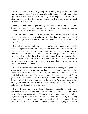Most of them were quite young, some being only fifteen, and the majority under twenty. This, it was explained to me, is generally due to the ignorance of the facts of life in which girls are kept by their parents or others responsible for their training. Last year there was a mother aged thirteen in this Hospital.

One girl, who seemed particularly sad, had twins lying beside her. Hoping to cheer her up, I remarked that they were beautiful babies, whereon she hid her face beneath the bedclothes.

'Don't talk about them,' said the Officer, drawing me away, 'that child nearly cried her eyes out when she was told that there were two. You see, it is hard enough for these poor mothers to keep one, but when it comes to two—!'

I asked whether the majority of these unfortunate young women really tried to support their children. The answer was that most of them try very hard indeed, and will use all their money for this purpose, even stinting themselves of absolute necessaries. Few of them go wrong again after their first slip, as they have learned their lesson. Moreover, during their stay in hospital and afterwards, the Salvation Army does its best to impress on them certain moral teachings, and thus to make its work preventive as well as remedial.

Places in service are found for a great number of these girls, generally where only one servant is kept, so that they may not be taunted by the others if these should find out their secret. This as a rule, however, is confided to the mistress. The average wage they receive is about £18 a year. As it costs them £13, or 5*s*. a week, to support an infant (not allowing for its clothes), the struggle is very hard unless the Army can discover the father, and make him contribute towards the support of his child, either voluntarily or through a bastardy order.

I was informed that many of these fathers are supposed to be gentlemen, but when it comes to this matter of payment, they show that they have little title to that description. Of course, in the case of men of humbler degree, money is even harder to recover. I may add, that my own long experience as a magistrate goes to confirm this statement. It is extraordinary to what meanness, subterfuge, and even perjury, a man will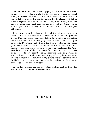sometimes resort, in order to avoid paying so little as 1*s*. 6*d*. a week towards the keep of his own child. Often the line of defence is a cruel attempt to blacken the character of the mother, even when the accuser well knows that there is not the slightest ground for the charge, and that he alone is responsible for the woman's fall. $\overline{5}$  $\overline{5}$  $\overline{5}$  Also, if the case is proved, and the order made, many such men will run away and hide themselves in another part of the country to escape the fulfilment of their just obligations.

In connexion with this Maternity Hospital, the Salvation Army has a Training School for midwives and nurses, all of whom must pass the Central Midwives Board examination before they are allowed to practise. Some of the students, after qualifying, continue to work for the Army in its Hospital Department, and others in the Slum Department, while some go abroad in the service of other Societies. The scale of fees for this four months' course in midwifery varies according to circumstances. The Army asks the full charge of eighteen guineas from those students who belong to, or propose to serve other Societies. Those who intend to go abroad to work with medical missionaries, have to pay fifteen guineas, and those who are members of the Salvation Army, or who intend to serve the Army in this Department, pay nothing, unless, at the conclusion of their course, they decide to leave the Army's service.

At the last examination, out of fourteen students sent up from this Institution, thirteen passed the necessary test.

## **'THE NEST'**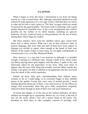### **CLAPTON**

When I began to write this book, I determined to set down all things exactly as I saw or heard them. But, although somewhat hardened in such matters by long experience of a very ugly world, I find that there are limits to what can be told of such a place as 'The Nest' in pages which are meant for perusal by the general public. The house itself is charming, with a good garden adorned by beautiful trees. It has every arrangement and comfort possible for the welfare of its child inmates, including an open-air bedroom, cleverly contrived from an old greenhouse for the use of those among them whose lungs are weakly.

But these inmates, these sixty-two children whose ages varied from about four to about sixteen! What can I say of their histories? Only in general language, that more than one half of them have been subject to outrages too terrible to repeat, often enough at the hands of their own fathers! If the reader wishes to learn more, he can apply confidentially to Commissioner Cox, or to Mrs. Bramwell Booth.

Here, however, is a case that I can mention, as although it is dreadful enough, it belongs to a different class. Seeing a child of ten, whose name was Betty, playing about quite happily with the others, I spoke to her, and afterwards asked for the particulars of her story. They were brief. It appears that this poor little thing had actually seen her father murder her mother. I am glad to be able to add that to all appearance she has recovered from the shock of this awful experience.

Indeed, all these little girls, notwithstanding their hideous pasts, seemed, so far as I could judge, to be extremely happy at their childish games in the garden. Except that some were of stunted growth, I noted nothing abnormal about any of them. I was told, however, by the Officer in charge, that occasionally, when they grow older, propensities originally induced in them through no fault of their own will assert themselves.

To lessen this danger, as in the case of the women inebriates, all these children are brought up as vegetarians. Before me, as I write, is the bill of fare for the week, which I tore off a notice board in the house. The breakfast on three days, to take examples, consists of porridge, with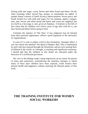boiling milk and sugar, cocoa, brown and white bread and butter. On the other mornings either stewed figs, prunes, or marmalade are added. A sample dinner consists of lentil savoury, baked potatoes, brown gravy and bread; boiled rice with milk and sugar. For tea, bananas, apples, oranges, nuts, jam, brown and white bread and butter and cocoa are supplied, but tea itself as a beverage is only given on Sundays. A footnote to the bill of fare states that all children over twelve years of age who wish for it, can have bread and butter before going to bed.

Certainly the inmates of 'The Nest,' if any judgment may be formed from their personal appearance, afford a good argument to the advocates of vegetarianism.

It costs £13 a year to endow a bed in this Institution. Amongst others, I saw one which was labelled 'The Band of Helpers' Bed. This is maintained by girls who have passed through the Institution, and are now earning their livelihood in the world, as I thought, a touching and significant testimony. I should add that the children in this Home are educated under the direction of a certificated governess.

My visit to this Refuge made a deep impression on my mind. No person of sense and experience, remembering the nameless outrages to which many of these poor children have been exposed, could witness their present health and happiness without realizing the blessed nature of this work.

# **THE TRAINING INSTITUTE FOR WOMEN SOCIAL WORKERS**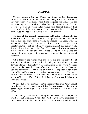### **CLAPTON**

Colonel Lambert, the lady-Officer in charge of this Institution, informed me that it can accommodate sixty young women. At the time of my visit forty-seven pupils were being prepared for service in the Women's Department of what is called 'Salvation Army Warfare.' These Cadets come from all sources and in various ways. Most of them have first been members of the Army and made application to be trained, feeling themselves attracted to this particular branch of its work.

The basis of their instruction is religious and theological. It includes the study of the Bible, of the doctrine and discipline of the Salvation Army and the rules and regulations governing the labours of its Social Officers. In addition, these Cadets attend practical classes where they learn needlework, the scientific cutting out of garments, knitting, laundry work, first medical aid, nursing, and so forth. The course at this Institution takes ten months to complete, after which those Cadets who have passed the examinations are appointed to various centres of the Army's Social activities.

When these young women have passed out and enter on active Social work they are allowed their board and lodging and a small salary to pay for their clothing. This salary at the commencement of a worker's career amounts to the magnificent sum of 4s. a week, if she 'lives in' (about the pay of a country kitchen maid); out of which she is expected to defray the cost of her uniform and other clothes, postage stamps, etc. Ultimately, after many years of service, it may rise to as much as 10s. in the case of senior Officers, or, if the Officer finds her own board and lodging, to a limit of £1 a week.

Of these ladies who are trained in the Home few leave the Army. Should they do so, however, I am informed that they can generally obtain from other Organizations double or treble the pay which the Army is able to afford.

This Training Institution is a building admirably suited to the purpose to which it is put. Originally it was a ladies' school, which was purchased by the Salvation Army. The dining-room of the Cadets was very well arranged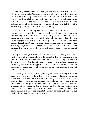and charmingly decorated with flowers, as was that of the Officers beyond. There was also a Cadets' retiring-room, where I saw some of them reading or otherwise amusing themselves on their Saturday half-holiday. The Army would be glad to find and train more of these self-sacrificing workers; but the conditions of the pay which they can offer and the arduous nature of the lifelong service involved, are such that those of a satisfactory class are not too readily forthcoming.

Attached to this Training Institution is a Home for girls of doubtful or bad antecedents, which I also visited. This Rescue Home is linked up with the Training School, so that the Cadets may have the opportunity of acquiring a practical knowledge of the class of work upon which they are to be engaged in after-life. Most of the girls in the Rescue Home have passed through the Police-courts, and been handed over to the care of the Army by magistrates. The object of the Army is to reform them and instruct them in useful work which will enable them to earn an honest living.

Many of these girls have been in the habit of thieving from their mistresses or others, generally in order to enable them to make presents to their lovers. Indeed, it would seem that this mania for making presents is a frequent cause of the fall of young persons with a natural leaning to dishonesty and a desire to appear rich and liberal. The Army succeeds in reclaiming a great number of them; but the thieving instinct is one not easy to eradicate.

All these girls seemed fairly happy. A great deal of knitting is done by them, and I saw a room furnished with a number of knitting machines, where work is turned out to the value of nearly £25 a week. Also I was shown piles of women's and children's underclothing and other articles, the produce of the girls' needles, which are sold to help to defray the expenses of the Home. In the workroom on this Saturday afternoon a number of the young women were engaged in mending their own garments. After their period of probation many of these girls are sent out to situations found for them by the Army.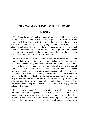### **THE WOMEN'S INDUSTRIAL HOME**

#### **HACKNEY**

This Home is one of much the same class as that which I have just described. It has accommodation for forty-eight girls, of whom over 1,000 have passed through the Institution, where they are generally kept for a period of six months. Most of the young women in the Home when I visited it had been thieves. One, who was twenty-seven years of age, had stolen ever since she was twelve, and the lady in charge told me that when she came to them everything she had on her, and almost all the articles in her trunk were the property of former mistresses.

In answer to my questions, Commissioner Cox informed me that the result of their work in this Home was so satisfactory that they scarcely liked to announce it. They computed, however, that taken on a three years' test—for the subsequent career of each inmate is followed for that period —90 per cent of the cases prove to be permanent moral cures. This, when the previous history of these young women is considered, may, I think, be accounted a great triumph. No money contribution is asked or expected in this particular Home. Indeed, it would not be forthcoming from the class of girls who are sent or come here to be reformed, many of whom, on entering, are destitute of underclothing and other necessaries, The needlework which they do, however, is sold, and helps to pay for the upkeep of the place.

I asked what was done if any of them refused to work. The answer was that this very rarely happened, as the women-Officers shared in their labours, and the girls could not for shame's sake sit idle while their Officers worked. I visited the room where this sewing was in progress, and observed that Commissioner Cox, who conducted me, was received with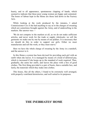hearty, and to all appearance, spontaneous clapping of hands, which seemed to indicate that these poor young women are happy and contented. The hours of labour kept in the Home are those laid down in the Factory Acts.

While looking at the work produced by the inmates, I asked Commissioner Cox if she had anything to say as to the charges of sweating which are sometimes brought against the Army, and of underselling in the markets. Her answer was:—

'We do not compete in the markets at all, as we do not make sufficient articles, and never work for the trade or supply wholesale; we sell the garments we make one by one by means of our pedlars. It is necessary that we should do this in order to support our girls. Either we must manufacture and sell the work, or they must starve.'

Here we have the whole charge of sweating by the Army in a nutshell, and the answer to it.

In this Home a system has been devised for providing each girl with an outfit when she leaves. It is managed by means of a kind of deferred pay, which is increased if she keeps up to the standard of work required. Thus, gradually, she earns her outfit, and leaves the place with a box of good clothes. The first thing provided is a pair of boots, then a suitable box, and lastly, the materials which they make into clothes.

This house, like all the others, I found to be extremely well arranged, with properly-ventilated dormitories, and well suited to its purposes.

# **THE INEBRIATES' HOME**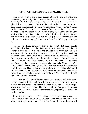### **SPRINGFIELD LODGE, DENMARK HILL.**

This house, which has a fine garden attached, was a gentleman's residence purchased by the Salvation Army, to serve as an Inebriates' Home for the better class of patients. With the exception of a few who give their services in connexion with the work of the place as a return for their treatment, it is really a Home for gentlefolk. When I visited it, some of the inmates, of whom there are usually from twenty-five to thirty, were talented ladies who could speak several languages, or paint, or play very well. All these came here to be cured of the drink or drug habit. The fee for the course ranges from a guinea to 10*s*. per week, according to the ability of the patient to pay, but some who lack this ability pay nothing at all.

The lady in charge remarked drily on this point, that many people seemed to think that as the place belonged to the Salvation Army it did not matter if they paid or not. As is the practice at Hillsborough House, a vegetarian diet is insisted upon as a condition of the patient receiving treatment at the Home. Often this is a cause of much remonstrance, as the inmates, who are mostly persons in middle or advanced life, think that it will kill them. The actual results, however, are found to be most satisfactory, as the percentage of successes is found to be 50 per cent, after a year in the Home and three years' subsequent supervision. I was told that a while ago, Sir Thomas Barlow, the well-known physician, challenged this statement. He was asked to see for himself, he examined a number of the patients, inspected the books and records, and finally satisfied himself that it was absolutely correct.

The Army attaches much importance to what may be called the aftercare of the cases, for the lack of which so many people who pass through Homes and then return to ordinary life, break down, and become, perhaps, worse than they were before. The seven devils of Scripture are always ready to re-occupy the swept and garnished soul, especially if they be the devils of drink.

Moreover, the experience of the Army is that relatives and friends are extraordinarily thoughtless in this matter. Often enough they will, as it were, thrust spirituous liquors down the throat of the newly-reformed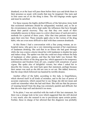drunkard, or at the least will pass them before their eyes and drink them in their presence as usual, with results that may be imagined. One taste and in four cases out of six the thing is done. The old longings awake again and must be satisfied.

For these reasons the highly-skilled Officers of the Salvation Army hold that reclaimed inebriates should be safeguarded, watched, and, so far as the circumstances may allow, kept under the influences that have brought about their partial recovery. They say that they owe much of their remarkable success in those cases to a strict observance of such preventive methods for a period of three years. After that time patients must stand upon their own feet. These remarks apply also to the victims of the drug habit, who are even more difficult to deal with than common drunkards.

At this Home I had a conversation with a fine young woman, an exhospital nurse, who gave me a very interesting account of her experiences of laudanum drinking. She said that in an illness she had gone through while she was a nurse a doctor dosed her with laudanum to deaden her pain and induce sleep. The upshot was that she could not sleep without the help of laudanum or other opiates, and thus the fatal habit was formed. She described the effects of the drug upon her, which appeared to be temporary exhilaration and freedom from all care, coupled with sensations of great vigour. She spoke also of delightful visions; but when I asked her to describe the visions, she went back upon that statement, perhaps because their nature was such as she did not care to set out. She added, however, that the sleep which followed was haunted by terrible dreams.

Another effect of the habit, according to this lady, is forgetfulness, which showed itself in all kinds of mistakes, and in the loss of power of accurate expression, which caused her to say things she did not mean and could not remember when she had said them. She told me that the process of weaning herself from the drug was extremely painful and difficult; but that she now slept well and desired it no more.

To be plain, I was not satisfied with the truth of this last statement, for there was a strange look in her eyes which suggested that she still desired it very much; also she seemed to me to prevaricate upon certain points. Further, those in charge of her allowed that this diagnosis was probably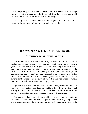correct, especially as she is now in the Home for the second time, although her first visit there was a very short one. Still they thought that she would be cured in the end. Let us hope that they were right.

The Army has also another Home in this neighbourhood, run on similar lines, for the treatment of middle-class and poor people.

## **THE WOMEN'S INDUSTRIAL HOME**

### **SOUTHWOOD, SYDENHAM HILL**

This is another of the Salvation Army Homes for Women. When I visited Southwood, which is an extremely good house, having been a gentleman's residence, with a garden and commanding a beautiful view, there were about forty inmates, some of whom were persons of gentle birth. For such ladies single sleeping places are provided, with special dining and sitting-rooms. These are supposed to pay a guinea a week for their board and accommodation, though I gathered that this sum was not always forthcoming. The majority of the other inmates, most of whom have gone astray in one way or another, pay nothing.

A good many of the cases here are what are called preventive; that is to say, that their parents or guardians being able to do nothing with them, and fearing lest they should come to ruin, send them to this place as a last resource, hoping that they may be cured of their evil tendencies.

Thus one girl whom I think I saw, could not be prevented from gadding on the streets, and therefore had been placed here. Another young woman was a schoolmistress who would not get out of bed and refused to work.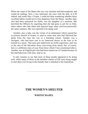When she came to the Home she was very insolent and bad-tempered, and would do nothing. Now, I was informed, she rises with the lark, at 6.30 indeed, and works like a Trojan. I could not help wondering whether these excellent habits would survive her departure from the Home. Another lady, who had been sentenced for thefts, was the daughter of a minister. She horrified the Officers by regretting that she had gone to jail for so little, when others who had taken and enjoyed large sums received practically the same sentence. She was reported to be doing well.

Another, also a lady, was the victim of an infatuation which caused her to possess herself of money to send to some man who had followed her about from the time she was in a boarding school. Another was a foreigner, who had been sent to an American doctor in the East to be trained as a nurse. This poor girl underwent an awful experience, and was in the care of the Salvation Army recovering from shock; but, of course, hers is a different class of case from those which I have mentioned above. Another was an English girl who had been turned out of Canada because of her bad behaviour with men. And so on.

It only remains to say that most of these people appeared to be doing well, while many of those in the humbler classes of life were being taught to earn their own living in the laundry that is attached to the Institution.

# **THE WOMEN'S SHELTER**

### **WHITECHAPEL**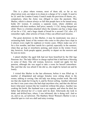This is a place where women, most of them old, so far as my observation went, are taken in to sleep at a charge of 3*d.* a night. It used to be 2*d*. until the London County Council made the provision of sheets, etc., compulsory, when the Army was obliged to raise the payment. This Shelter, which is almost always so full that people have to be turned away, holds 261 women. It contains a separate room, where children are admitted with their mothers, half price, namely 1-1/2*d.*, being charged per child. There is a kitchen attached where the inmates can buy a large mug of tea for a 1/2*d.*, and a huge chunk of bread for a second 1/2*d.*; also, if I remember right, other articles of food, if they can afford such luxuries.

The great dormitory in this Shelter, it may be mentioned, was once a swimming-bath. Some of the women who come to this place have slept in it almost every night for eighteen or twenty years. Others make use of it for a few months, and then vanish for a period, especially in the summer, when they go hop or strawberry picking, and return in the winter. Every day, however, fresh people appear, possibly to depart on the morrow and be seen no more.

I asked whether the aged folk had not been benefited by the Old Age Pensions Act. The lady Officer in charge replied that it had been a blessing to some of them. One old woman, however, would not apply for her pension, although she was urged to take a room for herself somewhere. She said that she was afraid if she did so, she might be turned out and be lonely.

I visited this Shelter in the late afternoon, before it was filled up. A number of dilapidated and antique females were sitting about in the rooms, talking or sewing. One old lady was doing crochet work. She told me that she made her living by it, and by flower-selling. Another informed me that it was years since she had slept anywhere else, and that she did not know what poor women like her would do without this place. Another was cooking the broth. Her husband was a sea captain, and when he died, her father had allowed her *£1* a week until he died. Afterwards she took to drink, and drifted here, where, I was informed, she is doing well. And so on, and so on, *ad infinitum*. The Hanbury Street Women's Shelter is not a cheerful spot to visit on a dull and rainy evening.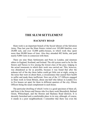## **THE SLUM SETTLEMENT**

#### **HACKNEY ROAD**

Slum work is an important branch of the Social labours of the Salvation Army, Thus last year the Slum Sisters visited over 105,000 families, over 20,000 sick, and over 32,000 public-houses, in which work they spent more than 90,000 hours of time. Also they attended 482 births, and paid nearly 9,000 visits in connexion with them.

There are nine Slum Settlements and Posts in London, and nineteen others in England, Scotland, and Ireland. The old system used to be for the Sisters and Nurses to live among the lowest class of the poor, lodging in the actual tenements in which their work was carried out. This, however, was abandoned as far as possible, because it was found that after the arduous toil of the day these ladies could get little rest at night, owing to the noise that went on about them, a circumstance that caused their health to suffer and made them inefficient. Now out of the 117 Officers engaged in Slum work in Great Britain, about one-half who labour in London live in five houses set apart for them in different quarters of the city; fifteen Officers being the usual complement to each house.

The particular dwelling of which I write is a good specimen of them all, and from it the Sisters and Nurses who live there work Shoreditch, Bethnal Green, Whitechapel, and the Hoxton and Hackney Road districts. It is decently furnished and a comfortable place in its way, although, of course, it stands in a poor neighbourhood. I remember that there was even the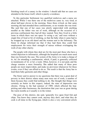finishing touch of a canary in the window. I should add that no cases are attended in the house itself, which is purely a residence.

To this particular Settlement two qualified midwives and a nurse are attached. While I was there one of the midwives came in, very tired, at about half-past eleven in the morning. Since three o'clock on that same morning she had attended three confinements, so no wonder she was tired. She said that one of her cases was utterly unprovided with anything needful as the father was out of work, although on the occasion of a previous confinement they had all they wanted. Now they lived in a little room in which there was not space 'to swing a cat,' and were without a single bite of food or bit of clothing, so that the baby when it came had to be wrapped up in an old shawl and the woman sent to the Infirmary. The Sister in charge informed me that if they had them they could find employment for twice their strength of nurses without overlapping the work of any other charity.

The people with whom they deal are for the most part those who have a rooted objection to infirmaries, although the hospitals are much more used than was formerly the case. The system of the Army is to make a charge of 6*s*. 6*d*. for attending a confinement, which, if paid, is generally collected in instalments of 3*d*. or 6*d*. a week. Often, however, it is not paid, and the charge remains a mere formality. She added that many of these poor people are most improvident, and make no provision whatsoever for these events, even if they can afford to do so. The result is that the Army has to lend them baby garments and other things.

The Sister said in answer to my questions that there was a great deal of poverty in their district where many men were out of work, a number of them because they could find nothing to do. She thought that things were certainly no better in this respect; indeed, the state of depression was chronic. Owing to the bad summer of 1909, which affected the hoppicking and other businesses, the destitution that year was as great during the warm months as it usually is in the winter.

The poor of this district, she said, 'generally live upon fried fish and chips. You know they cannot cook, anyway they don't, and what they do cook is all done in the frying-pan, which is also a very convenient article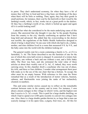to pawn. They don't understand economy, for when they have a bit of money they will buy in food and have a big feast, not thinking of the days when there will be little or nothing. Then, again, they buy their goods in small portions; for instance, their coal by the ha'p'orth or their wood by the farthing's-worth, which, in fact, works out at a great profit to the dealers. Or they buy a farthing's-worth of tea, which is boiled up again and again till it is awful-looking stuff.'

I asked her what she considered to be the main underlying cause of this misery. She answered that she thought it was due 'to the people flocking from the country to the city,' thereby confirming an opinion that I have long held and advanced. She added that the overcrowding in the district was terrible, the regulations of the Public Health Authorities designed to check it being 'a dead letter.' In one case with which she had to do, a father, mother, and nine children lived in a room that measured 9 ft. by 9 ft., and the baby came into the world with the children looking on!

The general weekly rent for a room containing a family is 5*s*., or if it is furnished, 7*s*. 6*d*. The Sister described to me the furniture of one for the use of which this extra half-crown is charged. It consisted of a rickety bed, two chairs, one without a back and one without a seat, and a little shaky table. The floor was bare, and she estimated the total value of these articles at about their weekly rent of 2*s*. 6*d*., if, indeed, they were worth carrying away. In this chamber dwelt a coachman who was out of place, his wife, and three or four children, I wonder what arrangement these poor folk make as to the use of the one chair that has a bottom. To occupy the other must be an empty honour. With reference to this man the Sister remarked that as a result of the introduction of motor vehicles, busmen, cabmen, and blacksmiths were joining the ranks of her melancholy clientele in numbers.

This and some similar stories caused me to reflect on the remarkable contrast between rents in the country and in town. For instance, I own about a dozen cottages in this village in which I write, and the highest rent that I receive is 2*s*. 5*d*. a week. This is paid for a large double dwelling, on which I had to spend over £100 quite recently to convert two cottages into one. Also, there is a large double garden thrown in, so large that a man can scarcely manage it in his spare time, a pigsty, fruit trees, etc. All this for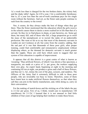1*d*. a week less than is charged for the two broken chairs, the rickety bed, and the shaky table! Again, for £10 a year, I let a comfortable farmhouse; that is, £3 a year less than the out-of-work coachman pays for his single room without the furniture. And yet, as the Sister said, people continue to rush from the country to the towns!

Nor, it seems, do they always make the best of things when they get there. Thus the Sister mentioned that the education which the girls receive in the schools causes them to desire a more exalted lot in life than that of a servant. So they try to find places in shops, or jam factories, etc. Some get them, but many fail; and of those who fail, a large proportion go to swell the mass of the unemployed, or to recruit the ranks of an undesirable profession. She went so far as to say that most of the domestic servants in London are not Cockneys at all, but come from the country; adding, that the sad part of it was that thousands of these poor girls, after proper training, could find comfortable and remunerative employment without displacing others, as the demand for domestic servants is much greater than the supply. These are cold facts which seem to suggest that our system of free education is capable of improvement.

It appears that all this district is a great centre of what is known as 'sweating.' Thus artificial flowers, of which I was shown a fine specimen, a marguerite, are made at a price of 1*s*. per gross, the workers supplying their own glue. An expert hand, beginning at eight in the morning and continuing till ten at night, can produce a gross and a half of these flowers, and thus net 1*s*. 6*d*., minus the cost of the glue, scissors, and sundries. The Officers of the Army find it extremely difficult to talk to these poor people, who are invariably too busy to listen. Therefore, some of them have learnt how to make artificial flowers themselves, so that when they call they can join in the family manufacture, and, while doing so, carry on their conversation.

For the making of match-boxes and the sticking on of the labels the pay is 2-1/2*d*. per gross. Few of us, I think, would care to manufacture 144 matchboxes for 2-1/2*d*. I learned that it is not unusual to find little children of four years of age helping their mothers to make these boxes.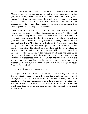The Slum Sisters attached to the Settlement, who are distinct from the Maternity Nurses, visit the very poorest and worst neighbourhoods, for the purpose of helping the sick and afflicted, and incidentally of cleaning their homes. Also, they find out persons who are about sixty-nine years of age, and contribute to their maintenance, so as to save them from being forced to receive poor-law relief, which would prevent them from obtaining their old-age pensions when they come to seventy.

Here is an illustration of the sort of case with which these Slum Sisters have to deal; perhaps, I should say, the easiest sort of case. An old man and his wife whom they visited, lived in a clean room. The old woman fell sick, and before she died the Slum Sisters gave her a bath, which, as these poor people much object to washing, caused all the neighbours to say that they had killed her. After his wife's death, the husband, who earned his living by selling laces on London Bridge, went down in the world, and his room became filthy. The Slum Sisters told him that they would clean up the place, but he forbade them to touch the bed, which, he said, was full of mice and beetles. As he knew that women dread mice and beetles, he thought that this statement would frighten them. When he was out selling his laces, they descended upon his room, where the first thing that they did was to remove the said bed into the yard and burn it, replacing it with another. On his return, the old man exclaimed: 'Oh, my darlings, whatever *have* you been doing?'

They still clean this room once a week.

The general impression left upon my mind, after visiting this place at Hackney Road and conversing with its guardian angels, is, that in some of its aspects, if not in all, civilization is a failure. Probably thoughtful people made the same remark in ancient Rome, and in every other city since cities were. The truth is, that so soon as its children desert the land which bore them for the towns, these horrors follow as surely as the night follows the day.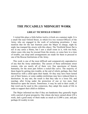# **THE PICCADILLY MIDNIGHT WORK**

#### **GREAT TICHFIELD STREET**

I visited this place a little before twelve o'clock on a summer night. It is a small flat near Oxford Street, in which live two women-Officers of the Army, who are engaged in the work of reclaiming prostitutes. I may mention that for the last fourteen years the Major in charge, night by night, has tramped the streets with this object. The Titchfield Street flat is not in any sense a Home, but I saw a small room in it, with two beds, where cases who may be rescued from the streets, or come here in a time of trouble, can sleep until arrangements are made for them to proceed to one of the Rescue Institutions of the Army.

This work is one of the most difficult and comparatively unproductive of any that the Army undertakes. The careers of these unfortunate street women, who are nearly all of them very fine specimens of female humanity, for the most part follow a rocket-like curve. The majority of them begin by getting into trouble, at the end of which, perhaps, they find themselves with a child upon their hands. Or they may have been turned out of their homes, or some sudden misfortune may have reduced them to destitution. At any rate, the result is that they take to a loose life, and mayhap, after living under the protection of one or two men, find themselves upon the streets. Sometimes, it may be said to their credit, if that word can be used in this connexion, they adopt this mode of life in order to support their child or children.

The Major informed me that if they are handsome they generally begin with a period of great prosperity. One whom she knew earned about £30 a week, and a good many of them make as much as £1,000 a year, and pay perhaps £6 weekly in rent.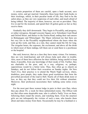A certain proportion of them are careful, open a bank account, save money, retire, and get married. Generally, these keep their bank-books in their stockings, which, in their peculiar mode of life, they find to be the safest place, as they are very suspicious of each other, and much afraid of being robbed. The majority of them, however, are not so provident. They live in and for the moment, and spend their ill-gotten gains as fast as they receive them.

Gradually they drift downwards. They begin in Piccadilly, and progress, or rather retrogress, through Leicester Square on to Tottenham Court Road and Oxford Street, and thence to the Euston Road, ending their sad careers in Bishopsgate and Whitechapel. The Major informed me that there are but very few in the Piccadilly neighbourhood whom she knew when she took up this work, and that, as a rule, they cannot stand the life for long. The irregular hours, the exposure, the excitement, and above all the drink in which most of them indulge, kill them out or send them to a poorhouse or the hospital.

She said, however, that as a class they have many virtues. For instance, they are very kind-hearted, and will always help each other in trouble. Also, most of them have affection for their children, being careful to keep them, if possible, from any knowledge of their mode of life. Further, they are charitable to the poor, and, in a way, religious; or, perhaps, superstitious would be a better term. Thus, they often go to church on Sundays, and do not follow their avocation on Sunday nights. On New Year's Eve, their practice is to attend the Watch Night services, where, doubtless, poor people, they make those good resolutions that form the proverbial pavement of the road to Hell. Nearly all of them drink more or less, as they say that they could not live their life without stimulant. Moreover, their profession necessitates their walking some miles every night.

For the most part these women lodge in pairs in their own flats, where they pay about 35*s*. a week for three unfurnished rooms. The Officer told me that often some despicable man, who is called a 'bully,' lives on them, following them round the streets, and watching them. Even the smartest girls are not infrequently the victims of such a man, who knocks them about and takes money from them. Occasionally he may be a husband or a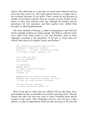relative. She added that as a class they are much better behaved and less noisy than they used to be. This improvement, however, is largely due to the increased strictness of the police. These women do not decrease in number. In the Major's opinion, there are as many or more of them on the streets as there were fourteen years ago, although the brothels and the procuresses are less numerous, and their quarters have shifted from Piccadilly to other neighbourhoods.

The Army methods of dealing, or rather of attempting to deal with this utterly insoluble problem are simple enough. The Officers walk the streets every night from about twelve to two and distribute cards in three languages according to the nationality of the girl to whom these are offered. Here they are in English, French, and German:—

Mrs. Booth will gladly help any Girl or Woman in need of a friend. *APPLY AT* 79 Great Titchfield Street, or 259 Mare Street, Hackney, N.E. Vous avez une amie qui est disposée à vous aider. (S addresser) Madame Booth 79 Great Titchfield Street, Oxford Street, Londres, W. MADAM BOOTH will herzlich gerne Jedem Mädchen oder Jeder Frau helfen, die sich in Noth auf eine Freundin befinden. 259 Mare Street, Hackney, 70 Great Titchfield Street, W.

Most of the girls to whom they are offered will not take them, but a good number do and, occasionally, the seed thus sown bears fruit. Thus the woman who takes the card may come to Great Titchfield Street and be rescued in due course. More frequently, however, she will give a false address, or make an appointment which she does not keep, or will say that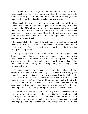it is too late for her to change her life. But this fact does not always prevent such a woman from trying to help others by sending young girls who have recently taken to the trade to the Titchfield Street Refuge in the hope that they may be induced to abandon their evil courses.

Occasionally the Army has midnight suppers in its Regent Hall for these women, who attend in large numbers, perhaps out of curiosity. At the last supper nearly 300 'swell girls' were present and listened to the prayers and the exhortations to amend their lives. Sometimes, too, the Officers attend them when they are sick or dying. Once they buried one of the women, who died whilst under their care, holding a midnight funeral over her at their hall in Oxford Street.

It was attended by hundreds of the sisterhood, and the Major described the scene as terrible. The women were seized with hysterics, and burst into shrieks and sobs. They even tried to open the coffin in order to kiss the dead girl who lay within.

Amongst many other cases, I was informed of a black girl called Diamond, so named because she wore real diamonds on her dresses, which dresses cost over £100 apiece. The Army tried to help her in vain, and wrote her many letters. In the end she died in an Infirmary, when all the letters were found carefully hidden away among her belongings and returned to the Major.

The average number of rescues compassed, directly or indirectly, by the Piccadilly Midnight work is about fifty a year. This is not a very great result; but after all the taking of even a few people from this hellish life and their restoration to decency and self-respect is well worth the cost and labour of the mission. The Officers told me that they meet with but little success in the case of those women who are in their bloom and earning great incomes. It can scarcely be otherwise, for what has the Army to offer them in place of their gaudy, glittering life of luxury and excitement?

The way of transgressors is hard, but the way of repentance is harder; at any rate, while the transgressor is doing well. On the one hand jewels and champagne, furs and motors, and on the other prayers that talk of death and judgment, plain garments made by the wearer's labour, and at the end the drudgery of earning an honest livelihood, perhaps as a servant. Human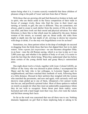nature being what it is, it seems scarcely wonderful that these children of pleasure cling to the path of 'roses' and turn from that of 'thorns.'

With those that are growing old and find themselves broken in body and in spirit, who are thrust aside in the fierce competition of their trade in favour of younger rivals; those who find the wine in their tinsel cup turning, or turned, to gall, the case is different. They are sometimes, not always, glad to creep to such shelter from the storms of life as the Army can offer, and there work out their moral and physical salvation. For what bitterness is there like to that which must be endured by the poor, broken woman of the streets, as scorned, spat on, thrust aside, she sinks from depth to depth into the last depth of all, striving to drown her miseries with drugs or drink, if so she may win forgetfulness even for an hour?

Sometimes, too, these patient toilers in the deep of midnight sin succeed in dragging from the brink those that have but dipped their feet in its dark waters. *Nemo repente fuit turpissimus*—no one becomes altogether filthy in an hour—runs the old Roman saying, which is as true to-day as it was 2,000 years ago, and whether it be spoken of body or of soul, it is easier to wash the feet than the whole being. When they understand what lies before them certain of the young shrink back and grasp Mercy's outstretched arms.

One night about twelve o'clock, together with Lieut.-Colonel Jolliffe, an Officer of the Army who was dressed in plain clothes, I accompanied the Major and the lady who is her colleague, to Leicester Square and its neighbourhood, and there watched their methods of work, following them at a little distance. Dressed in their uniform they mingled with the women who marched the pavements, and now and again, with curiously swift and decisive steps glided up to one of them, whispered a few earnest words into her ear, and proffered a printed ticket. Most of those spoken to walked on stonily as people do when they meet an undesirable acquaintance whom they do not wish to recognize. Some thrust past them rudely; some hesitated and with a hard laugh went their way; but a few took the tickets and hid them among their laces.

So far as the work was concerned that was all there was to see. Nothing dramatic happened; no girl fled to them imploring help or asking to be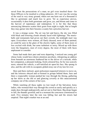saved from the persecutions of a man; no girl even insulted them—for these Officers to be insulted is a thing unknown. All I saw was the sowing of the seed in very stony ground, where not one kern out of a thousand is like to germinate and much less to grow. Yet as experience proves, occasionally it does both germinate and grow, yes, and bloom and come to the harvest of repentance and redemption. It is for this that these unwearying labourers scatter their grain from night to night, that at length they may garner into their bosoms a scanty but a priceless harvest.

It was a strange scene. The air was hot and heavy, the sky was filled with black and lowering clouds already laced with lightnings. The musichalls and restaurants had given out their crowds, the midnight mart was open. Everywhere were women, all finely dressed, most of them painted, as could be seen in the glare of the electric lights, some of them more or less excited with drink, but none turbulent or noisy. Mixed up with these were the bargainers, men of every degree, the most of them with faces unpleasant to consider.

Some had made their pact and were departing. I noticed one young girl whose looks would have drawn attention anywhere, whispering an address from beneath an enormous feathered hat to the driver of a taxicab, while her companion, a pleasant-looking, fresh-coloured boy, for he was scarcely more, entered the vehicle, a self-satisfied air upon his face. She sprang in also, and the cab with its occupants glided away out of my ken for ever.

Here and there stalwart, quiet policemen requested loiterers to move on, and the loiterers obeyed and re-formed in groups behind them; here and there a respectable woman pushed her way through the throng, gathering up her skirts as she did so and glancing covertly at this unaccustomed company out of the corners of her eyes.

While watching all these sights we lost touch of the Salvation Army ladies, who wormed their way through the crowd as easily and quickly as a snake does through undergrowth, and set out to find them. Big drops began to fall, the thunder growled, and in a moment the concourse commenced to melt. Five minutes later the rain was falling fast and the streets had emptied. That night's market was at an end.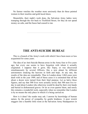No farmer watches the weather more anxiously than do these painted women in their muslins and gold-laced shoes.

Meanwhile, their night's work done, the Salvation Army ladies were tramping through the wet back to Titchfield Street, for they do not spend money on cabs, and the buses had ceased to run.

# **THE ANTI-SUICIDE BUREAU**

This is a branch of the Army's work with which I have been more or less acquainted for some years.

The idea of an Anti-Suicide Bureau arose in the Army four or five years ago; but every one seems to have forgotten with whom it actually originated. I suppose that it grew, like Topsy, or was discovered simultaneously by several Officers, like a new planet by different astronomers studying the heavens in faith and hope. At any rate, the results of the idea are remarkable. Thus in London alone 1,064 cases were dealt with in the year 1909, and of those cases it is estimated that all but about a dozen were turned from their fatal purpose. Let us halve these figures, and say that 500 lives were actually saved, that 500 men live today in and about London who otherwise would be dead by their own hands and buried in dishonoured graves. Or let us even quarter them, and surely this remains a wonderful work, especially when we remember that London is by no means the only place in which it is being carried on.

How is it done? the reader may ask. I answer by knowledge of human nature, by the power of sympathy, by gentle kindness. A poor wretch staggers into a humble little room at the Salvation Army Headquarters in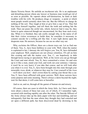Queen Victoria Street. He unfolds an incoherent tale. He is an unpleasant and disturbing person whom any lawyer or business man would get rid of as soon as possible. He vapours about self-destruction, he hints at dark troubles with his wife. He produces drugs or weapons—a point at which most people would certainly show him out. But the Officers in charge do nothing of the sort. They laugh at him or give him a cup of tea. They bid him brace himself together, and tell them the truth and nothing but the truth. Then out pours the awful tale, which, however bad it may be, they listen to quite unmoved though not unconcerned, for they hear such every day. When it is finished, they ask coolly enough why, in the name of all that their visitor reverences or holds dear, he considers it necessary to commit suicide for a trifling job like that. A new light dawns upon the desperate man. He answers, because he can see no other way out.

Why, exclaims the Officer, there are a dozen ways out. Let us find one of them. You, A., have been faithless to your wife. Well, when the matter is explained to her, I daresay she will forgive you. You, B., have defrauded your employer. Well, employers are not always relentless. I'll call on him this evening and talk the matter over. You, C., are hopelessly in debt through horse-racing or speculation. Well, at the worst you can go through the Court and start afresh. You, D., have committed a crime. Go and own up to it like a man, stand your trial, and work out your sentence. I daresay it won't be so very heavy if you take that course, and we will look after you when it is over. You, E., have been brought into this state through your miserable vices, drink, or whatever they may be. Cure yourself of the vices —we'll show you how—don't crown them by cutting your throat like a cur. You, F., have been afflicted with great sorrows. Well, those sorrows have some purpose and some meaning. There's always a dawn beyond the night; wait for that dawn; it will come here or hereafter.

And so on, and on, through all the gamut of human sin and misery.

Of course, there are cases in which the Army fails. As I have said, there were about a dozen of these last year, six of which, if I remember right, occurred with startling rapidity one after the other. The Suicide Officers of the Army always take up the daily paper with fear and trembling, and not infrequently find that the man whom they thought they had consoled and set upon a different path, has been discovered dead by drowning in the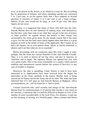river, or by poison in the streets, or by whatever it may be. But everything has its proportion of failures, and where intending suicides are concerned 1 or 2 per cent, or on the quarter basis that I have adopted as beyond question of sincerity of intent, 4 or 8 per cent is not a large average. Indeed, 20 per cent would not be large, or even 50 per cent. But these figures do not occur.

Of course, it is suggested that many of those who drift into the Anti-Suicide Bureau have no real intention of making away with themselves, but that they come there only to see what they can get in the way of money or other comfort. As regards money, the answer is that, except very occasionally, the Army gives none, for the simple reason that it has none to give. For the rest the fatal cases which happen show that there is a grim purpose at work in the minds of many of the applicants. But I repeat, let us halve the figures, let us even quarter them, which, as Euclid remarked, is absurd, and even then what are we to conclude?

Before proceeding with my comments upon this work I ought to state, perhaps, that the Army has various branches of this Anti-Suicide Crusade. Thus, it is at work in almost all our big cities, and also in America, in Australia, and in Japan. The Japanese Bureau was opened last year with very good results. This is the more remarkable in a country where ancient tradition and immemorial custom hallow the system of *hara-kiri* in any case of trouble or disgrace.

Moreover, the idea is spreading, Count Tolstoy is said to have been interested in it. Applications have been received from the Hague for particulars of the Army methods in the matter. Similar work is being carried out in Vienna, not by the Army, but on its lines. The Army has been informed that if it will open an Anti-Suicide Bureau in Budapest, office accommodation, etc., will be found for it. And so forth.

Colonel Unsworth who, until recently had charge of the Anti-Suicide Bureau from its commencement, is of opinion that suicide is very much on the increase, a statement that it would be difficult to dispute in view of the number of cases recorded daily in the local Press. For instance, I read one on this morning of writing, in a Norfolk paper, where a farmer had blown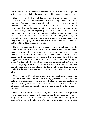out his brains, to all appearance because he had a difference of opinion with his wife as to whether he should, or should not, take on another farm.

Colonel Unsworth attributed this sad state of affairs to sundry causes. The first of these was the intense and ever-increasing nervous pressure of our time. The second, the spread of fatalism, The third, the advance of materialistic ideas, and of the general disbelief in the doctrine of future retribution. The fourth, a certain noticeable return in such matters to the standard of Pagan nations, especially of ancient Rome, where it was held that if things went wrong and life became valueless, or even uninteresting, to bring it to an end was in no sense shameful but praiseworthy. In illustration of this point, he quoted a remark said to have been made by a magistrate not long ago, to the effect that in certain conditions a man was not to be blamed for taking his own life.

His fifth reason was that circumstances arise in which some people convince themselves that their deaths would benefit their families. Thus, insurances may fall in, for, after one or two premiums have been paid, many offices take the risk of suicide. Or they may know that when they are gone, wealthy relatives will take care of their children, who will thus be happier and better off than these are while they, the fathers, live. Wrong as it may be, this, indeed, is an attitude with which it is difficult not to feel a certain sympathy. After all, we are told that there is no greater love than that of a man who lays down his life for his friend, though there ran be no doubt that the saying was not intended to include this kind of laying down of life.

Colonel Unsworth's sixth cause was the increasing atrophy of the public conscience. He stated that suicide is rarely preached against from the pulpit, as drunkenness is for instance. Further, a jury can seldom be induced to bring in a verdict of *felo-de-se.* Even where the victim was obviously and, perhaps painfully sane, his act is put down to temporary insanity.

Other causes are drink, hereditary disposition, madness in all its protean shapes; incurable disease, unwillingness to face the consequences of sin or folly; the passion of sexual love, which is sometimes so mighty as to amount to madness; the effects of utter grief such as result from the loss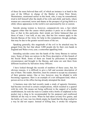of those far more beloved than self, of which an instance is at hand in the case of the Officer in charge of the Shelter at Great Peter Street, Westminster, mentioned earlier in this book, who, it may be remembered, tried to kill himself after the death of his wife and child; and lastly, where women are concerned, terror and shame at the prospect of giving birth to a child, whose appearance in the world is not sanctioned by law or custom.

Suicide among women is, however, comparatively rare, a fact which suggests either that the causes which produce it press on or affect them less, or that in this particular, their minds are better balanced than are those of men. I was told, at any rate, that but few women apply to the Suicide Bureau of the Army for help in this temptation; though, perhaps, that may be due to the greater secretiveness of the sex.

Speaking generally, this magnitude of the evil to be attacked may be gauged from the fact that about 3,800 people die by their own hands in England and Wales every year, a somewhat appalling total.

Intending suicides come into the hands of the Army Bureau in various ways. Some of them see notices in the Press descriptive of this branch of the Social Work. Some of them are found by policemen in desperate circumstances and brought to the Bureau, and some are sent there from different localities by Salvation Army Officers.

I have looked through the records of numbers of these cases, but, for obvious reasons, it is difficult to give a full and accurate description of any of them. The reader, therefore, must be content to accept my assurance of their genuine nature. One or two, however, may be alluded to with becoming vagueness. Here is an example of a not infrequent kind, when a person arrives at the office having already attempted the deed.

A business man who had recently made a study of agnostic literature, had become involved in certain complications, which resulted in a quarrel with his wife. His means not being sufficient to the support of a double establishment, he took the train to London with a bottle of sulphonal in his pocket (not a drug to be recommended for his purpose) and swallowed tabloids all the way to town. When he had taken seventy-five grains, and the bottle, as I saw, was two-thirds empty, he found that the drug worked in a way he did not expect. Instead of killing him, it awoke his religious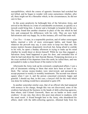susceptibilities, which the course of agnostic literature had scotched but not killed, and he began to wonder with some earnestness whether, after all, there might not be a Hereafter which, in the circumstances, he did not care to face.

In this acute perplexity he bethought him of the Salvation Army, and arrived at the Bureau in a state of considerable excitement, as quickly as a taxicab could bring him. A doctor and a fortnight in hospital did the rest. The Army found him another situation in place of the one which he had lost, and composed his differences with his wife. They are now both Salvationists and very happy. So, in this instance, all's well that ends well.

*Case Two.*—A man, in a responsible position, and of rather extravagant habits, married a wife of more extravagant habits, and found that, whatever the proverb may say, it costs more to keep two than one. His money matters became desperately involved, but, being afraid to confide in his wife, he spent a Sunday afternoon in trying to make up his mind whether he would shoot or drown himself. While he was thus engaged, a Salvation Army band happened to pass his door, and reminded him of what he had read about the Anti-Suicide Bureau. Postponing decision as to the exact method of his departure from this earth, he called there, and was persuaded to make a clean breast of the matter to his wife.

Afterwards the Army took up his extremely complicated affairs. I saw a pile of documents relating to them that must have been at least 4 ins. thick. The various money-lenders were interviewed, and persuaded to accept payment in weekly or monthly instalments. The account was almost square when I saw it, and the person concerned extremely happy and grateful. I should say that, in this case, a lawyer's bill for the work which was done for nothing would have amounted to quite £50.

In another somewhat similar case, that of an official who had tampered with moneys in his charge, though this was not discovered, some of the creditors had placed the business in the hands of debt-collecting-agencies, than whom, said Colonel Unsworth, 'there are no harder or more cruel creditors.' At any rate, they drove this poor man almost to madness, with the usual result. A friend brought him to the Army, who shouldered his affairs, dealt with the debt-collecting agencies, obtained help from his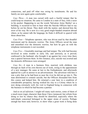connexions, and paid off what was owing by instalments. He and his family are now again quite comfortable.

*Case Three*.—A man was cursed with such a fearful temper that he could keep no situation. He came to London in a state of fury, with a razor in his pocket. Happening to see the words 'Salvation Army Shelter' on a building, it occurred to him to hear what the Suicide Officers had to say before he cut his throat. They dealt with the matter, and showed him the error of his way. He is now in a very good single-handed situation abroad where, as he cannot talk the language, he finds it difficult to quarrel with those about him.

*Case Four*.—Telephone operator, who was driven mad by that dreadful instrument and by domestic worries. The Army Officers saved the man and smoothed over the domestic worries; but how he gets on with the telephone instruments is not recorded.

*Case Five*.—Unsuitable marriage and bad temper. The wife had become involved in some trouble in early life, and unwisely, as it proved, confessed to the husband, who brought it up against her every time there was a quarrel between them. In this instance, also, suicide was averted and the domestic differences were arranged.

*Case Six*—A man in a business firm, married, with children, was through no fault of his own thrown out of work, owing to the appointment of a new manager. He came at last to the Embankment, and afterwards applied for a job in answer to an advertisement. The advertiser told him it was a pity that as he had been so near the river he did not go into it. The man determined to commit suicide; but the Officers dissuaded him from this course and helped him. He returned a year later in a condition of considerable prosperity, having worked his way to a Colony where he is now doing extremely well, his visit to England being in connexion with the business in which he had become a partner.

And so on *ad infinitum.* I might tell many such stories, some of them of a much more tragic character than those I have instanced, but refrain from doing so lest by chance they should be identified, especially where the individuals concerned belonged to the upper strata of society. Perhaps enough has been said, however, to show what a great work is being done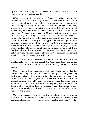by the Army in this Department, where in London alone it deals with several would-be suicides every day.

Of course, some of these people are frauds. For instance, one of the Officers told me that not long ago a medical man, who was evidently a drunkard, called on him and said that he would commit suicide unless money were given to him. He was informed that this was against the rules; whereon the man produced a bottle and said that if the money were not forthcoming, he would drink its contents and make an end of himself in the office. As may be imagined the Officer went through an anxious moment, not quite knowing what to do. However, he looked the man over, summed him up to the best of his judgment and ability, and coming to the conclusion that he was a bully and a braggart, said that he might do what he liked. The man swallowed the contents of the bottle, exclaiming that he would be dead in a few minutes, and a pause ensued, during which the Officer confessed to me that he felt very uncomfortable. The end of it was that his visitor said, with a laugh, that 'he would not like to cumber the Salvation Army with his corpse,' and walked out of the room. The draught which he had taken was comparatively harmless.

As I have mentioned, however, a proportion of the cases are quite irreclaimable. They come and consult the Army, then depart and do the deed. Six that can be traced have been lost in this way during the last few months.

Colonel Unsworth explained to me what I had already guessed, that this business of dealing with scores and hundreds of despairing beings standing on the very edge of the grave, is a terrible strain upon any man. The responsibility becomes too great, and he who has to bear it is apt to be crushed beneath its weight. Every morning he reads his paper with a sensation of nervous dread, fearing lest among the police news he should find a brief account of the discovery of some corpse which he can identify as that of an individual with whom he had pleaded at his office on the yesterday and in vain.

On former occasions when I visited him, Colonel Unsworth used to show me a small museum of poisons, knives, revolvers, etc., which he had taken from those who proposed to use them to cut the Gordian knot of life.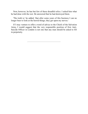Now, however, he has but few of these dreadful relics. I asked him what he had done with the rest. He answered that he had destroyed them.

'The truth is,' he added, 'that after some years of this business I can no longer bear to look at the horrid things; they get upon my nerves.'

If I may venture to offer a word of advice to the Chiefs of the Salvation Army, I would suggest that the very responsible position of first Anti-Suicide Officer in London is not one that any man should be asked to fill in perpetuity.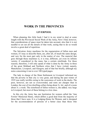## **WORK IN THE PROVINCES**

#### **LIVERPOOL**

When planning this little book I had it in my mind to deal at some length with the Provincial Social Work of the Army, Now I find, however, that considerations of space must be taken into account; also that it is not needful to set out all the details of that work, seeing that to do so would involve a great deal of repetition.

The Salvation Army machines for the regeneration of fallen men and women, if I may so describe them, are, after all, of much the same design, and vary for the most part only in the matter of size. The material that goes through those machines is, it is true, different, yet even its infinite variety, if considered in the mass, has a certain similitude. For these reasons, therefore, I will only speak of what is done by the Army in three of the great Midland and Northern cities that I have visited, namely, Manchester, Liverpool, and Glasgow, and of that but briefly, although my notes concerning it run to over 100 typed pages.

The lady in charge of the Slum Settlement in Liverpool informed me that the poverty in that city is very great, and during the past winter of 1919 was really terrible owing to the scarceness of work in the docks. The poor, however, are not so overcrowded, and rents are cheaper than in London, the cost of two dwelling-cellars being about 2*s*. 6*d*., and of a room about 3*s*. a week. The sisterhood of fallen women is, she added, very large in Liverpool; but most of these belong to a low class.

In this city the Army has one Institution for women called the 'Ann Fowler' Memorial Home, which differs a good deal from the majority of those that I have seen. It is a Lodging-Home for Women, and is designed for the accommodation of persons of a better class than those who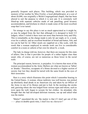generally frequent such places. This building, which was provided in memory of her mother by Miss Fowler, a local philanthropist, at a cost of about £6,000, was originally a Welsh Congregational chapel, that has been altered to suit the purpose to which it is now put. It is extremely well fitted-up with separate cubicles made of oak panelling, good lavatory accommodation, and kitchens in which is made some of the most excellent soup that I ever tasted.

Yet strange to say this place is not as much appreciated as it might be, as may be judged from the fact that although it is designed to hold 113 lodgers, when I visited it there were not more than between forty and fifty. This is remarkable, as the charge made is only 4*d*. per night, or 2*s*. a week, even for a cubicle, and an excellent breakfast of bread and butter, fish, and tea can be had for 2*d*. Other meals are supplied on a like scale, with the result that a woman employed in outside work can live in considerable comfort in a room or cubicle of her own for about 8*s*. a week.

The lady in charge told me, however, that there are reasons for this state of affairs. One is that it provides for people of a rather higher class than usual, who, of course, are not so numerous as those lower in the social scale.

The principal reason, however, is prejudice. It is known that most of the women accommodated in the Army Shelters are what are known as 'fallen' or 'drunks.' Therefore, occupants of a Home devoted to a higher section of society fear lest they should be tarred with the same brush in the eyes of their associates.

Here is a story which illustrates this point which I remember hearing in the United States. A woman, whose inebriety was well known, was picked up absolutely dead drunk in an American city and taken by an Officer of the Army to one of its Homes and put to bed. In the morning she awoke and, guessing where she was lodged from various signs and tokens, such as texts upon the wall, began to scream for her clothes. An attendant, who thought that she had developed delirium tremens, ran up and asked what was the matter.

'Matter?' ejaculated the sot, 'the matter is that if I don't get out of this —— place in double quick time, *I shall lose my character!*'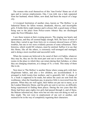The women who avail themselves of this 'Ann Fowler' Home are of all ages and in various employments. One, I was told, was a lady separated from her husband, whose father, now dead, had been the mayor of a large city.

A Liverpool Institution of another class, known as 'The Hollies,' is an Industrial Home for fallen women, drunkards, thieves, and incorrigible girls. It holds thirty-eight inmates and is always full, a good many of these being sent to the place from Police-courts whence they are discharged under the First Offenders Acts.

I saw these women at their evening prayers. The singing was hearty and spontaneous, and they all seemed happy enough. Still, the faces of most of them (they varied in age from forty-six to sixteen) showed traces of life's troubles, but one or two were evidently persons of some refinement. Their histories, which would fill volumes, must be omitted. Suffice it to say that this Home, like all the others, is extremely well-arranged and managed, and is doing a most excellent and successful work.

When the women are believed to be cured of their evil habits, whatever they may be, they are for the most part sent out to service. There are two rooms in the place to which they can return during their holidays, or when they are changing situations, at a charge of 5s. a week. This many of them like to do.

Next door to 'The Hollies' is another Home where young girls with their illegitimate babies, and also a few children, are accommodated. It is arranged to hold twenty-four mothers, and is generally full. A charge of 5s. a week is supposed to be made, but unless the cases are sent from the workhouse, when the Guardians pay, in practice little is recovered from the patients. When they are well again, their babies are put out to nurse, as at the London Maternity Home, and the girls are sent to service, no difficulty being experienced in finding them places. During the two years that this Home had been open eighty-two girls had passed through it, and of these, the Matron informed me, there were but ten who were not doing so well as they might. The rest were in employment of one sort or another, and seemed to be in the way of completely regaining their characters.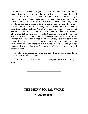I visited this place late at night, and in the room devoted to children, as distinct from infants, saw one girl of nine with a curious history. This child had been twelve times in the hands of the police before her father brought her to the Army on their suggestion. Her mania was to run away from home, where it does not appear that she was ill-treated, and to sleep in the streets, on one occasion for as long as five nights. This child had a very curious face, and even in her sleep, as I saw her, there was about it something wild and defiant. When the Matron turned her over she did not yawn or cry, but uttered a kind of snarl. I suppose that here is an instance of atavism, that the child throw back for thousands or tens of thousands of years, to when her progenitors were savages, and that their primitive instincts have reasserted themselves in her, although she was born in the twentieth century. She had been ten months in the Home and was doing well. Indeed, the Matron told me that they had taken her out and given her opportunities of running away, but that she had never attempted to avail herself of them.

The Officer in charge informed me that there is much need for a Maternity Hospital in Liverpool.

There are also Institutions for men in Liverpool, but these I must pass over.

# **THE MEN'S SOCIAL WORK**

### **MANCHESTER**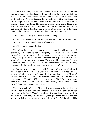The Officer in charge of the Men's Social Work in Manchester told me the same story that I had heard in Liverpool as to the prevailing distress. He said, 'It has been terrible the last few winters. I have never seen anything like it. We know because they come to us, and the trouble is more in a fixed point than in London. Numbers and numbers come, destitute of shelter or food or anything. The cause is want of employment. There is no work. Many cases, of course, go down through drink, but the most cannot get work. The fact is that there are more men than there is work for them to do, and this I may say is a regular thing, winter and summer.'

A sad statement surely, and one that excites thought.

I asked what became of this residue who could not find work. His answer was, 'They wander about, die off, and so on.'

A still sadder statement, I think.

The Major in charge is a man of great organising ability, force of character, and abounding human sympathy. Yet he was once one of the melancholy army of wasters. Some seventeen years ago he came into the Army through one of its Shelters, a drunken, out-of-place cabinet-maker, who had been tramping the streets. They gave him work and he 'got converted.' Now he is the head of the Manchester Social Institutions, engaged in finding work for or converting thousands of others.

At first the Army had only one establishment in Manchester, which used to be a cotton mill. Now it is a Shelter for 200 men. Then it took others, some of which are owned and some hired, among them a great 'Elevator' on the London plan, where waste paper is sorted and sold. The turn-over here was over £8,000 in 1909, and may rise to £12,000. I forget how many men it finds work for, but every week some twenty-five new hands come in, and about the same number pass out.

This is a wonderful place, filled with what appears to be rubbish, but which is really valuable material. Among this rubbish all sorts of strange things are to be found. Thus I picked out of it, and kept as a souvenir, a beautifully-bound copy of Wesley's Hymns, published about a hundred years ago. Lying near it was an early edition of Scott's 'Marmion.' This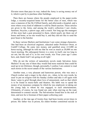Elevator more than pays its way; indeed the Army is saving money out of it, which is put by to purchase other buildings.

Then there are houses where the people employed in the paper-works lodge, a recently-acquired home for the better class of men, which was once a mansion of the De Clifford family, and afterwards a hospital, and a store where every kind of oddment is sold by Dutch auction. These articles are given to the Army, and among the week's collection I saw clocks, furniture, bicycles, a parrot cage, and a crutch. Not long ago the managers of this store had a goat presented to them, which nearly ate them out of house and home, as no one would buy it, and they did not like to send the poor beast to the butcher.

In these various Shelters and Institutions I saw some strange characters. One had been an electrical engineer, educated under Professor Owen, at Cardiff College. He came into money, and gambled away £13,000 on horse-racing, although he told me that he won as much as £8,000 on one Ascot meeting. His subsequent history is a story in itself, one too long to set out; but the end of it, in his own words, was 'Four years ago I came here, and, thank God! I am going on all right.'

Why do not the writers of naturalistic novels study Salvation Army Shelters? In any one of them they would find more material than could be used up in ten lifetimes; though, personally, I confess I am content to read such stories in the secret annals of the various Institutions.

Another man, a very pleasant and humorous person, who was once a Church worker and a singer in the choir, etc., when, in his own words, he used 'to put on religion with his Sunday clothes and take it off again with them,' came to grief through sheer love of amusement, such as that which is to be found in music-halls and theatres. His habit was to spend the money of an insurance company by which he was employed, in taking out the young lady to whom he was engaged, to such entertainments. Ultimately, of course, he was found out, and, when starving on the road, determined to commit suicide. The Salvationists found him in the nick of time, and now he is foreman of their paper-collecting yard.

Another, at the ripe age of twenty-four, had been twenty-seven times in prison. His father was in prison, his eldest brother committed suicide in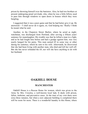prison by throwing himself over the banisters. Also, he had two brothers at present undergoing penal servitude, who, when he was a little fellow, used to pass him through windows to open doors in houses which they were burgling.

I suggested that it was a poor game and that he had better give it up. He answered:—'I shall never do it again, sir, God helping me.' Really I think he meant what he said.

Another, in the Chepstow Street Shelter, where he acted as nightwatchman, was discharged from Portland, after serving a fifteen years' sentence for manslaughter. His trouble was that he killed a man in a fight, and as he had fought him before and had a grudge against him, was very nearly hanged for his pains. This man earned £9 in some way or other during his sentence, which he sent to his wife. Afterwards, he discovered that she had been living with another man, who died and left her well off. But she has never refunded the £9, nor will she have anything to do with her husband.

# **OAKHILL HOUSE**

### **MANCHESTER**

Oakhill House is a Rescue Home for women, which was given to the Army by Mrs. Crossley, a well-known local lady. It deals with prison, fallen, inebriate, and preventive cases. At the time of my visit there were sixty-three inmates, but when a new adjacent building is completed there will be room for more. There is a wonderful laundry in this Home, where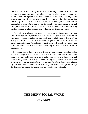the most beautiful washing is done at extremely moderate prices. The ironing and starching room was a busy sight, but what I chiefly remember about it was the spectacle of one melancholy old man, the only male among that crowd of women, seated by a steam-boiler that drove the machinery, to which it was his business to attend. (No woman can be persuaded to look after a boiler.) In the midst of all those females he had the appearance of a superannuated and disillusioned Turk contemplating his too extensive establishment and reflecting on its monthly bills.

The matron in charge informed me that even for these rough women there is no system of punishment whatsoever. No girl is ever restricted in her food, or put on bread and water, or struck, or shut away by herself. The Army maxim is that it is its mission not to punish but to try to reform. If in any particular case its methods of gentleness fail, which they rarely do, it is considered best that the case should depart, very possibly to return again later on.

She added that although many of these women had committed assaults, and even fought the Police, not one of them attacks another in the Home once in a year, and that during her twenty years of work, although she had lived among some of the worst women in England, she had never received a single blow. As an illustration of what the Salvation Army understands by this word 'work' I may state that throughout these twenty years, except for the allotted annual fortnight, this lady has had no furlough.

# **THE MEN'S SOCIAL WORK**

### **GLASGOW**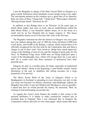I saw the Brigadier in charge of the Men's Social Work in Glasgow at a great central Institution where hundreds of poor people sleep every night. The inscriptions painted on the windows give a good idea of its character. Here are some of them: 'Cheap beds.' 'Cheap food.' 'Waste paper collected.' 'Missing friends found.' 'Salvation for all.'

In addition to this Refuge there is an 'Elevator' of the usual type, in which about eighty men were at work, and an establishment called the Dale House Home, a very beautiful Adams' house, let to the Army at a small rent by an Eye Hospital that no longer requires it. This house accommodates ninety-seven of the men who work in the Elevator.

The Brigadier informed me that the distress at Glasgow was very great last year. Indeed, during that year of 1909 the Army fed about 35,000 men at the docks, and 65,000 at the Refuge, a charity which caused them to be officially recognized for the first time by the Corporation, that sent them a cheque in aid of their work. Now, however, things have much improved, owing to the building of men-of-war and the forging of great guns for the Navy. At Parkhead Forge alone 8,000 men are being employed upon a vessel of the Dreadnought class, which will occupy them for a year and a half. So it would seem that these monsters of destruction have their peaceful uses.

Glasgow, he said, 'is a terrible place for drink, especially of methylated spirits and whisky.' Drink at the beginning, I need hardly remark, means destitution at the end, so doubtless this failing accounts for a large proportion of its poverty.

The Men's Social Work of the Army in Glasgow, which is its Headquarters in Scotland, is spreading in every direction, not only in that city itself, but beyond it to Paisley, Greenock, and Edinburgh. Indeed, the Brigadier has orders 'to get into Dundee and Aberdeen as soon as possible.' I asked him how he would provide the money. He answered, 'Well, by trusting in God and keeping our powder dry.'

As regards the Army's local finance the trouble is that owing to the national thriftiness it is harder to make commercial ventures pay in Scotland than in England. Thus I was informed that in Glasgow the Corporation collects and sells its own waste paper, which means that there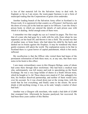is less of that material left for the Salvation Army to deal with. In England, so far as I am aware, the waste-paper business is not a form of municipal trading that the Corporations of great cities undertake.

Another leading branch of the Salvation Army effort in Scotland is its Prison work. It is registered in that country as a Prisoners' Aid Society, and the doors of every jail in the land are open to its Officers. I saw the Army's prison book, in which are entered the details of each prison case with which it is dealing. Awful enough some of them were.

I remember two that caught my eye as I turned its pages. The first was that of a man who had gone for a walk with his wife, from whom he was separated, cut her head off, and thrown it into a field. The second was that of another man, or brute beast, who had taken his child by the heels and dashed out its brains against the fireplace. It may be wondered why these gentle creatures still adorn the world. The explanation seems to be that in Scotland there is a great horror of capital punishment, which is but rarely inflicted.

My recollection is that the Officer who visited them had hopes of the permanent reformation of both these men; or, at any rate, that there were notes in his book to this effect.

I saw many extraordinary cases in this Glasgow Refuge, some of whom had come there through sheer misfortune. One had been a medical man who, unfortunately, was left money and took to speculating on the Stock Exchange. He was a very large holder of shares in a South African mine, which he bought at 1s. 6d. These shares now stand at £7; but, unhappily for him, his brokers dissolved partnership, and neither of them would carry over his account. So it was closed down just at the wrong time, with the result that he lost everything, and finally came to the streets. He never drank or did anything wrong; it was, as he said, 'simply a matter of sheer bad luck.'

Another was a Glasgow silk merchant, who made a bad debt of £3,000 that swamped him. Afterwards he became paralysed, but recovered. He had been three years cashier of this Shelter.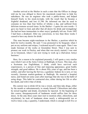Another arrived at the Shelter in such a state that the Officer in charge told me he was obliged to throw his macintosh round him to hide his nakedness. He was an engineer who took a public-house, and helped himself freely to his stock-in-trade, with the result that he became a frightful drunkard, and lost £1,700. He informed me that he used to consume no less than four bottles of whisky a day, and suffered from delirium tremens several times. In the Shelter—I quote his own words—'I gave my heart to God, and after that all desire for drink and wrongdoing' (he had not been immaculate in other ways) 'gradually left me. From 1892 I had been a drunkard. After my conversion, in less than three weeks I ceased to have any desire for drink.'

This man became night-watchman in the Shelter, a position which he held for twelve months. He said: 'I was promoted to be Sergeant; when I put on my uniform and stripes, I reckoned myself a man again. Then I was made foreman of the works at Greendyke Street. Then I was sent to pioneer our work in Paisley, and when that was nicely started, I was sent on to Greenock, where I am now trying to work up a (Salvation Army) business.'

Here, for a reason to be explained presently, I will quote a very similar case which I saw at the Army Colony at Hadleigh, in Essex. This man, also a Scotsman (no Englishman, I think, could have survived such experiences), is a person of fine and imposing appearance, great bodily strength, and good address. He is about fifty years of age, and has been a soldier, and after leaving the Service, a gardener. Indeed, he is now, or was recently, foreman market-gardener at Hadleigh. He married a hospital nurse, and found out some years after marriage that she was in the habit of using drugs. This habit he contracted also, either during her life or after her death, and with it that of drink.

His custom was to drink till he was a wreck, and then take drugs, either by the mouth or subcutaneously, to steady himself. Chloroform and ether he mixed together and drank, strychnine he injected. At the beginning of this course, threepennyworth of laudanum would suffice him for three doses. At the end, three years later (not to mention ether, chloroform, and strychnine), he took of laudanum alone nearly a tablespoonful ten or twelve times a day, a quantity, I understand, which is enough to kill five or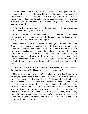six horses. One of the results was that when he had to be operated on for some malady, it was found impossible to bring him under the influence of the anaesthetic. All that could be done was to deprive him of his power of movement, in which state he had to bear the dreadful pain of the operation. Afterwards the surgeon asked him if he were a drug-taker, and he told me that he answered:—

'Why, sir, I could have drunk all the lot you have been trying to give me, without ever knowing the difference.'

In this condition, when he was such a wreck that he trembled from head to foot and was contemplating suicide, he came into the hands of the Army, and was sent down to the Hadleigh Farm.

Now comes the point of the story. At Hadleigh he 'got converted,' and from that hour has never touched either drink or drugs. Moreover, he assured me solemnly that he could go into a chemist's shop or a bar with money in his pocket without feeling the slightest desire to indulge in such stimulants. He said that after his conversion, he had a 'terrible fight' with his old habits, the physical results of their discontinuance being most painful. Subsequently, however, and by degrees, the craving left him entirely, I asked him to what he attributed this extraordinary cure. He replied:—

'To the power of God. If I trusted in my own strength I should certainly fail, but the power of God keeps me from being overcome.'

Now these are only two out of a number of cases that I have seen myself, in which a similar explanation of his cure has been given to me by the person cured, and I would like to ask the unprejudiced and openminded reader how he explains them. Personally I cannot explain them except upon an hypothesis which, as a practical person, I confess I hesitate to adopt. I mean that of a direct interposition from above, or of the working of something so unrecognized or so undefined in the nature of man (which it will be remembered the old Egyptians, a very wise people, divided into many component parts, whereof we have now lost count), that it may be designated an innate superior power or principle, brought into action by faith or 'suggestion.'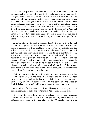That these people who have been the slaves of, or possessed by certain gross and palpable vices, of which drink is only one, are truly and totally changed, there can be no question. To that I am able to bear witness. The demoniacs of New Testament history cannot have been more transformed; and I know of no stranger experience than to listen to such men, as I have times and again, speaking of their past selves as entities cast off and gone, and of their present selves as new creatures. It is, indeed, one that throws a fresh light upon certain difficult passages in the Epistles of St. Paul, and even upon the darker sayings of the Master of mankind Himself. They do, in truth, seem to have been 'born again.' But this is a line of thought that I will not attempt to follow; it lies outside my sphere and the scope of these pages.

After the Officer who used to consume four bottles of whisky a day, and is now in charge of the Salvation Army work in Greenock, had left the room, I propounded these problems to Lieut.-Colonel Jolliffe and the Brigadier, as I had done previously to Commissioner Sturgess. I pointed out that religious conversion seemed to me to be a spiritual process, whereas the craving for drink or any other carnal satisfaction was, or appeared to be, a physical weakness of the body. Therefore, I did not understand how the spiritual conversion could suddenly and permanently affect or remove the physical desire, unless it were by the action of the phenomenon called miracle, which mankind admits doubtfully to have been possible in the dim period of the birth of a religion, but for the most part denies to be possible in these latter days.

'Quite so,' answered the Colonel, calmly, in almost the same words that Commissioner Sturgess had used, 'it *is* miracle; that is our belief. These men cannot change and purify themselves, their vices are instantaneously, permanently, and miraculously removed by the power and the Grace of God. This is the truth, and nothing more wonderful can be conceived.'

Here, without further comment, I leave this deeply interesting matter to the consideration of abler and better instructed persons than myself.

To come to something more mundane, which also deserves consideration, I was informed that in Glasgow, with a population of about 900,000, there exists a floating class of 80,000 people, who live in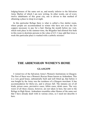lodging-houses of the same sort as, and mostly inferior to the Salvation Army Shelter of which I am now writing. In other words, out of every twelve inhabitants of this great city, one is driven to that method of obtaining a place to sleep in at night.

In this particular Refuge there is what is called a free shelter room, where people are accommodated in winter who have not even the few coppers necessary to pay for a bed. During the month before my visit, which took place in the summer-time, the Brigadier had allotted free beds in this room to destitute persons to the value of £13. I may add that twice a week this particular place is washed with a carbolic mixture!

### **THE ARDENSHAW WOMEN'S HOME**

#### **GLASGOW**

I visited two of the Salvation Army's Women's Institutions in Glasgow. The first of these was a Women's Rescue Home known as Ardenshaw. This is a very good house, substantially built and well fitted up, that before it was bought by the Army was the residence of a Glasgow merchant. It has accommodation for thirty-six, and is always full. The inmates are of all kinds, prison cases, preventive cases, fallen cases, drink cases. The very worst of all these classes, however, are not taken in here, but sent to the Refuge in High Street. Ardenshaw resembles other Homes of the same sort that I have already dealt with in various cities, so I need not describe it here.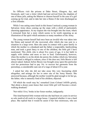Its Officers visit the prisons at Duke Street, Glasgow, Ayr, and Greenock, and I saw a letter which had just arrived from the chaplain of one of these jails, asking the Matron to interest herself in the case of a girl coming up for trial, and to take her into a Home if she were discharged as a first offender.

While I was eating some lunch in this house I noticed a young woman in Salvation Army dress coming up the steps with a child of particularly charming appearance. At my request she was brought into the room, where I extracted from her a story which seems to be worth repeating as an illustration of the spirit which animates so many members of the Army.

The young woman herself had once been an invalid who was taken into the Home and nursed till she recovered, after which she was sent to a situation in a large town. Here she came in contact with a poor family in which the mother is a drunkard and the father a respectable, hardworking man, and took a great fancy to one of the children, the little girl I have mentioned. This child, who is about five years of age, it is her habit to supply with clothes and more or less to feed. Unfortunately, however, when the mother is on the drink she pawns the clothes which my Salvation Army friend is obliged to redeem, since if she does not, little Bessie is left almost naked. Indeed, before Bessie was brought away upon this particular visit her protectress had to pay 14*s*. to recover her garments from the pawnshop, a considerable sum out of a wage of about £18 a year.

I asked her why she did not take away this very fascinating child altogether, and arrange for her to enter one of the Army Homes. She answered because, although the mother would be glad enough to let her go, the father, who is naturally fond of his children, objected.

'Of which the result may be,' remarked Lieut.-Colonel Jolliffe grimly, 'that about a dozen years hence that sweet little girl will become a streetwalking drunkard.'

'Not while I live,' broke in her foster-mother, indignantly.

This kind-hearted little woman told me she had been six years in service as sole maid-of-all-work in a large house. I inquired whether it was a hard place. She replied that it would be easier if her four mistresses, who are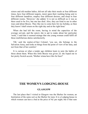sisters and old maiden ladies, did not all take their meals at four different times, have four different teapots, insist upon their washing being sent to four different laundries, employ four different doctors, and sleep in four different rooms. 'However,' she added, 'it is not so difficult as it was as there used to be five, but one has died. Also, they are kind to me in other ways and about Bessie. They like me to come here for my holiday, as then they know I shall return on the right day and at the right hour.'

When she had left the room, having in mind the capacities of the average servant, and the outcry she is apt to make about her particular 'work,' I said that it seemed strange that one young woman could fulfil all these multifarious duties satisfactorily.

'Oh,' said the matter-of-fact Colonel, 'you see, she belongs to the Salvation Army, and looks at things from the point of view of her duty, and not from that of her comfort.'

It is curious at what a tender age children learn to note the habits of those about them. When this little Bessie was given *2d*. she lisped out in her pretty Scotch accent, 'Mother winna have this for beer!'

# **THE WOMEN'S LODGING-HOUSE**

### **GLASGOW**

The last place that I visited in Glasgow was the Shelter for women, an Institution of the same sort as the Shelter for men. It is a Lodging-house in which women can have a bed at the price of 4*d*. per night; but if that sum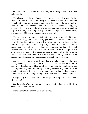is not forthcoming, they are not, as a rule, turned away if they are known to be destitute.

The class of people who frequent this Home is a very low one; for the most part they are drunkards. They must leave the Shelter before ten o'clock in the morning, when the majority of them go out hawking, selling laces, or other odds and ends. Some of them earn as much as 2*s*. a day; but, as a rule, they spend a good deal of what they earn, only saving enough to pay for their night's lodging. This place has been open for sixteen years, and contains 133 beds, which are almost always full.

The women whom I saw at this Shelter were a very rough-looking set, nearly all elderly, and, as their filthy garments and marred countenances showed, often the victims of drink. Still, they have good in them, for the lady in charge assured me that they are generous to each other. If one of the company has nothing they will collect the price of her bed or her food between them, and even pay her debts, if these are not too large. There were several children in the place, for each woman is allowed to bring in one. When I was there many of the inmates were cooking their meals on the common stove, and very curious and unappetizing these were.

Among them I noted a dark-eyed lassie of about sixteen who was crying. Drawing her aside, I questioned her. It seemed that her father, a drunken fellow, had turned her out of her home that afternoon because she had forgotten to give him a message. Having nowhere to go she wandered about the streets until she met a woman who told her of this Lodginghouse. She added, touchingly enough, that it was not her mother's fault.

Imagine a girl of sixteen thrown out to spend the night upon the streets of Glasgow!

On the walls of one of the rooms I saw a notice that read oddly in a Shelter for women. It ran:—

*Smoking is strictly prohibited after retiring*.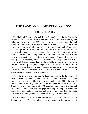# **THE LAND AND INDUSTRIAL COLONY**

#### **HADLEIGH, ESSEX**

The Hadleigh Colony, of which Lieut.-Colonel Laurie is the Officer in charge, is an estate of about 3,000 acres which was purchased by the Salvation Army in the year 1891 at a cost of about £20 the acre, the land being stiff clay of the usual Essex type. As it has chanced, owing to the amount of building which is going on in the neighbourhood of Southend, and to its proximity to London, that is within forty miles, the investment has proved a very good one. I imagine that if ever it should come to the hammer the Hadleigh Colony would fetch a great deal more than £20 the acre, independently of its cultural improvements. These, of course, are very great. For instance, more than 100 acres are now planted with fruittrees in full bearing. Also, there are brickfields which are furnished with the best machinery and plant, ranges of tomato and salad houses, and a large French garden where early vegetables are grown for market. A portion of the land, however, still remains in the hands of tenants, with whom the Army does not like to interfere.

The total turn-over of the land 'in hand' amounts to the large sum of over £30,000 per annum, and the total capital invested is in the neighbourhood of £110,000. Of this great sum about £78,000 is the cost of the land and the buildings; the brickworks and other industries account for £12,000, while the remaining £20,000 represents the value of the live and dead stock. I believe that the mortgage remaining on the place, which the Army had not funds to pay for outright, is now less than £50,000, borrowed at about 4 per cent, and, needless to say, it is well secured.

Lieut.-Colonel Laurie informed me on the occasion of my last visit to Hadleigh, in July, 1910, that taken as a whole even now the farm does not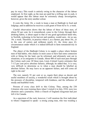pay its way.[6](#page-171-0) This result is entirely owing to the character of the labour employed. At first sight, as the men are paid but a trifling sum in cash, it would appear that this labour must be extremely cheap. Investigation, however, gives the story another colour.

It costs the Army 10*s*. a week to keep a man at Hadleigh in food and lodgings, and in addition he receives a cash grant of from 6*d* to 5*s*. a week.

Careful observation shows that the labour of three of these men, of whom 92 per cent, be it remembered, come to the Colony through their drinking habits, is about equal to that of one good agricultural hand who, in Norfolk, reckoning in his harvest and sundries, would earn—let us say, 18s. a week. Therefore, in practice where I, as a farmer, pay about 18s., or in the case of carters and milkmen nearly £1, the Army pays £2, circumstances under which it is indeed difficult to farm remuneratively in England.

The object of the Hadleigh Colony is to supply a place where broken men of bad habits, who chance in most cases to have had some connexion with or liking for the land, can be reformed, and ultimately sent out to situations, or as emigrants to Canada. About 400 of such men pass through the Colony each year. Of these men, Lieut.-Colonel Laurie estimates that 7-1/2 per cent prove absolute failures, although, he added that, 'it is very, very difficult to determine as to when a man should be labelled an absolute failure. He may leave us an apparent failure, and still come all right in the end.'

The rest, namely 91 per cent or so, regain their place as decent and useful members of society, a wonderful result which is brought about by the pressure of discipline, tempered with kindness, and the influence of steady and healthful work.

Persons of every class drift to this Colony. Thus, among the 230 Colonists who were training there when I visited it in July, 1910, were two chemists and a journalist, while a Church of England clergyman had just left it for Canada.

As a specimen of the ruck, however, I will mention the first individual to whom I happened to speak—a strong young man, who was weeding a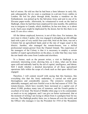bed of onions. He told me that he had been a farm labourer in early life, and, subsequently, for six years a coachman in a private livery stables in London. He lost his place through drink, became a wanderer on the Embankment, was picked up by the Salvation Army and sent to one of its Elevator paper-works. Afterwards, he volunteered to work on the land at Hadleigh, where he had then been employed for nine months. His ambition was to emigrate to Canada, which, doubtless, he has now done, or is about to do. Such cases might be duplicated by the dozen, but for this there is no need. *Ex uno disce omnes*.

All the labour employed, however, is not of this class. For instance, the next man to whom I spoke, who was engaged in ploughing up old cabbage land with a pair of very useful four-year-olds, bred on the farm, was not a Colonist but an agricultural hand, paid at the rate of wages usual in the district. Another, who managed the tomato-houses, was a skilled professional tomato-grower from the Channel Islands. The experience of the managers of the Colony is that it is necessary to employ a certain number of expert agriculturalists on the place, in order that they may train the raw hands who come from London and elsewhere.

To a farmer, such as the present writer, a visit to Hadleigh is an extremely interesting event, showing him, as it does, what can be done upon cold and unkindly land by the aid of capital, intelligence, and labour. Still I doubt whether a detailed description of all these agricultural operations falls within the scope of a book such as that upon which I am engaged.

Therefore, I will content myself with saying that this business, like everything else that the Army undertakes, is carried out with great thoroughness and considerable success. The extensive orchards are admirably managed, and were fruitful even in the bad season of 1910. The tomato-houses, which have recently been increased at a capital cost of about £1,000, produce many tons of tomatoes, and the French garden is excellent of its kind. The breed of Middle-white pigs is to be commended; so much so in my judgment, and I can give no better testimonial, that at the moment of writing I am trying to obtain from it a pedigree boar for my own use. The Hadleigh poultry farm, too, is famous all over the world, and the Officer who manages it was the President for 1910 of the Wyandotte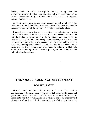Society, fowls for which Hadleigh is famous, having taken the championship prizes for this breed and others all over the kingdom. The cattle and horses are also good of their class, and the crops in a trying year looked extremely well.

All these things, however, are but a means to an end, which end is the redemption of our fallen fellow-creatures, or such of them as come within the reach of the work of the Salvation Army at this particular place.

I should add, perhaps, that there is a Citadel or gathering hall, which will seat 400, where religious services are held and concerts are given on Saturday nights for the amusement of the Colonists. I may mention that no pressure is brought to bear to force any man in its charge to conform to the religious principles of the Army. Indeed, many of these attend the services at the neighbouring parish church. Notwithstanding the past characters of those who live there, disturbances of any sort are unknown at Hadleigh. Indeed, it is extremely rare for a case originating on the Colony to come before the local magistrates.

# **THE SMALL-HOLDINGS SETTLEMENT**

#### **BOXTED, ESSEX**

General Booth and his Officers are, as I know from various conversations with them, firmly convinced that many of the great and patent evils of our civilization result from the desertion of the land by its inhabitants, and that crowding into cities which is one of the most marked phenomena of our time. Indeed, it was an identity of view upon this point,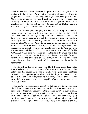which is one that I have advanced for years, that first brought me into contact with the Salvation Army. But to preach the advantages of bringing people back to the land is one thing, and to get them there quite another. Many obstacles stand in the way. I need only mention two of these: the necessity for large capital and the still more important necessity of enabling those who are settled on it to earn out of Mother Earth a sufficient living for themselves and their families.

That well-known philanthropist, the late Mr. Herring, was another person much impressed with the importance of this matter, and I remember about five years ago dining with him, with General Booth as my fellow-guest, on an occasion when all this subject was gone into in detail. So lively, indeed, was Mr. Herring's interest that he offered to advance a sum of £100,000 to the Army, to be used in an experiment of landsettlement, carried out under its auspices. Should that experiment prove successful, the capital repaid by the tenants was to go to King Edward's Hospital Fund, and should it fail, that capital was to be written off. Of this £100,000, £40,000 has now been invested in the Boxted venture, and if this succeeds, I understand that the balance will become available for other ventures under the provisions of Mr. Herring's will. A long while must elapse, however, before the result of the experiment can be definitely ascertained.

The Boxted Settlement is situated In North Essex, about three miles from Colchester, and covers an area of 400 acres. It is a flat place, that before the Enclosures Acts was a heath, with good road frontages throughout, an important point where small-holdings are concerned. The soil is a medium loam over gravel, neither very good nor very bad, so far as my judgment goes, and of course capable of great improvement under intensive culture.

This estate, which altogether cost about £20 per acre to buy, has been divided into sixty-seven holdings, varying in size from 4-1/2 acres to 7 acres. The cottages which stand upon the holdings have been built in pairs, at a cost of about £380 per pair, which price includes drainage, a drinking well, and, I think, a soft-water cistern. These are extremely good dwellings, and I was much struck with their substantial and practical character. They comprise three bedrooms, a large living-room, a parlour,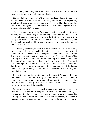and a scullery, containing a sink and a bath. Also there is a tool-house, a pigstye, and a movable fowl-house on wheels.

On each holding an orchard of fruit trees has been planted in readiness for the tenant, also strawberries, currants, gooseberries, and raspberries, which in all occupy about three-quarters of an acre. The plan is that the rest of the holding should be cultivated intensively upon a system that is estimated to return £20 per acre.

The arrangement between the Army and its settlers is briefly as follows: In every case the tenant begins without any capital, and is provided with seeds and manures to carry him through the first two years, also with a living allowance at the rate of 10*s*. a week for the man and his wife, and 1*s*. a week for each child, which allowance is to cease after he has marketed his first crops.

The tenancy terms are, that for two years the settler is a tenant at will, the agreement being terminable by either party at any time without compensation. At the end of these two years, subject to the approval of the Director of the Settlement, the settler can take a 999 years' lease of his holding, the Army for obvious reasons retaining the freehold. After the first year of this lease, the rental payable for forty years is to be 5 per cent per annum upon the capital invested in the settlement of the man and his family upon the holding, which rent is to include the cost of the house, land, and improvements, and all moneys advanced to him during his period of probation.

It is estimated that this capital sum will average £520 per holding, so that the tenant's annual rent for forty years will be £26, after which he will have nothing more to pay save a nominal rent, and the remainder of the lease will be the property of himself, or rather, of his descendants. This property, I presume, will be saleable.

So, putting aside all legal technicalities and complications, it comes to this: the tenant is started for two years after which he pays about £4 a year rent per acre for the next forty years, and thereby virtually purchases his holding. The whole question, which time alone can answer, is whether a man can earn £4 per acre rent per annum, and, in addition, provide a living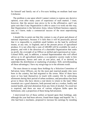for himself and family out of a five-acre holding on medium land near Colchester.

The problem is one upon which I cannot venture to express any decisive opinion, even after many years of experience of such matters. I trust, however, that the answer may prove to be in the affirmative, and I am quite sure that if any Organization is able to cause it to work out this way, that Organization is the Salvation Army, whose brilliant business capacity can, as I know, make a commercial success of the most unpromising materials.

I should like to point out that this venture is one of great and almost of national importance, because if it fails then it will be practically proved that it is impossible to establish small holders on the land by artificial means, at any rate, in England, and at the present prices of agricultural produce. It is not often that a sum of £40,000 will be available for such a purpose, and with it the direction of a charitable Organization that seeks no profit, the oversight of an Officer as skilled and experienced as Lieut.- Colonel Hiffe, and, in addition, a trained Superintendent who will afford advice as to all agricultural matters, a co-operative society ready to hire out implements, horses and carts at cost price, and, if so desired, to undertake the distribution or marketing of produce. Still, notwithstanding all these advantages, I have my misgivings as to the ultimate result.

The men chosen to occupy these holdings by a Selection Committee of Salvation Army Officers, are for the most part married people who were born in the country, but had migrated to the towns. Most of them have more or less kept themselves in touch with country life by cultivating allotments during their period of urban residence, and precedence has been given to those who have shown a real desire to return to the land. Other essentials are a good character, both personal and as a worker, bodily and mental health, and total abstention from any form of alcohol. No creed test is required, and there are men of various religious faiths upon the Settlement, only a proportion of them being Salvationists.

I interviewed two of these settlers at hazard upon their holdings, and, although the year had been adverse, found them happy and hopeful. No. 1, who had been a mechanic, proposed to increase his earnings by mending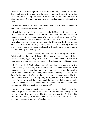bicycles. No. 2 was an agriculturist pure and simple, and showed me his fowls and pigs with pride. Here, however, I found a little rift within the rural lute, for on asking him how his wife liked the life he replied after a little hesitation, 'Not very well, sir: you see, she has been accustomed to a town.'

If she continues not to like it 'very well,' there will, I think, be an end to that man's prospects as a small holder.

I had the pleasure of bring present in July, 1910, at the formal opening of the Boxted Settlement, when the Salvation Army entertained several hundred guests to luncheon, many of them very well-known people. The day for a wonder was fine, General Booth spoke for over an hour in his most characteristic and interesting way; the Chairman, Earl Carrington, President of the Board of Agriculture, blessed the undertaking officially and privately; everybody seemed pleased with the holdings, and, in short, all went merrily as a marriage bell.

As I sat and listened, however, the query that arose in my mind was— What would be the state of these holdings and of the tenants or of their descendants on, say, that day thirty years? I trust and hope that it will be a good state in both instances; but I must confess to certain doubts and fears.

In this parish of Ditchingham, where I live, there is a man with a few acres of land, an orchard, a greenhouse, etc. That man works his little tenancy, deals in the surplus produce of large gardens, which he peddles out in the neighbouring town, and, on an average, takes piecework on my farm (at the moment of writing he and his son are hoeing mangolds) for two or three days a week; at any rate, for a great part of the year. He is a type of what I may call the natural small holder, and I believe does fairly well. The question is, can the artificially created small holder, who must pay a rent of £4 the acre, attain to a like result?

Again, I say I hope so most sincerely, for if not in England 'back to the land' will prove but an empty catchword. At any rate, the country should be most grateful to the late Mr. Herring, who provided the funds for this intensely interesting experiment, and to the Salvation Army which is carrying it out in the interests of the landless poor.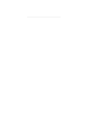r.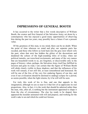# **IMPRESSIONS OF GENERAL BOOTH**

It has occurred to the writer that a few words descriptive of William Booth, the creator and first General of the Salvation Army, set down by a contemporary who has enjoyed a good many opportunities of observing him during the past ten years, may possibly have a future if not a present value.

Of the greatness of this man, to my mind, there can be no doubt. When the point of time whereon we stand and play our separate parts has receded, and those who follow us look back into the grey mist which veils the past; when that mist has hidden the glitter of the decorations and deadened the echoes of the high-sounding titles of to-day; when our political tumults, our town-bred excitements, and many of the very names that are household words to us, are forgotten, or discoverable only in the pages of history; when, perhaps, the Salvation Army itself has fulfilled its mission and gone its road, I am certain that the figure of William Booth will abide clearly visible in those shadows, and that the influences of his work will remain, if not still felt, at least remembered and honoured. He will be one of the few, of the very few enduring figures of our day; and even if our civilization should be destined to undergo eclipse for a period, as seems possible, when the light returns, by it he will still be seen.

For truly this work of his is fine, and one that appeals to the imagination, although we are so near to it that few of us appreciate its real proportions. Also, in fact, it is the work that should be admired rather than the man, who, after all, is nothing but the instrument appointed to shape it from the clay of circumstance. The clay lay ready to be shaped, then appeared the moulder animated with will and purpose, and working for the work's sake to an end which he could not foresee.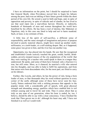I have no information on the point, but I should be surprised to learn that General Booth, when Providence moved him to begin his labours among the poor, had even an inkling of their future growth within the short period of his own life. He sowed a seed in faith and hope, and, in spite of opposition and poverty, in spite of ridicule and of slander, he has lived to see that seed ripen into a marvellous harvest. Directly, or indirectly, hundreds of thousands of men and women throughout the world have benefited by his efforts. He has been a tool of destiny, like Mahomet or Napoleon, only in this case one fated to help and not to harm mankind. Such, at least, is my estimate of him.

A little less of the spirit of self-sacrifice, a different sense of responsibility, and the same strength of imagination and power of purpose devoted to purely material objects, might have raised up another multimillionaire, or a mob-leader, or a self-seeking despot. But, as it happened, some grace was given to him, and the river has run another way.

Opportunity, too, has played into his hands. He saw that the recognized and established Creeds scarcely touched the great, sordid, lustful, drinksodden, poverty-steeped masses of the city populations of the world: that they were waiting for a teacher who could speak to them in a tongue they understood. He spoke, and some of them have listened: only a fraction it is true, but still some. More, as it chanced, he married a wife who entered into his thoughts, and was able to help to fulfil his aspirations, and from that union were born descendants who, for the most part, are fitted to carry on his labours.

Further, like Loyola, and others, he has the power of rule, being a born leader of men, so that thousands obey his word without question in every corner of the earth, although some of these have never seen his face. Lastly, Nature endowed him with a striking presence that appeals to the popular mind, with a considerable gift of speech, with great physical strength and abounding energy, qualities which have enabled him to toil without ceasing and to travel far and wide. Thus it comes about that as truly as any man of our generation, when his hour is ended, he, too, I believe, should be able to say with a clear conscience, 'I have finished the work that Thou gavest me to do': although his heart may add, 'I have not finished it as well as I could wish.'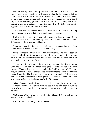Now let me try to convey my personal impressions of this man. I see him in various conversations with myself, when he has thought that he could make use of me to serve his ever-present and impersonal ends, trying to add me up, wondering how far I was sincere, and to what extent I might be influenced by private objects; then, at last, concluding that I was honest in my own fashion, opening his heart little by little, and finally appealing to me to aid him in his labours.

'I like that man; *he understands me!*' I once heard him say, mentioning my name, and believing that he was thinking, not speaking.

I tell this story merely to illustrate his habit of reflecting aloud, for as he spoke these words I was standing beside him. When I repeated it to his Officers, one of them remarked horrified:—

'Good gracious! it might just as well have been something much less complimentary. One never knows what he will say.'

He is an autocrat, whose word is law to thousands. Had he not been an autocrat indeed, the Salvation Army would not exist to-day, for it sprang from his brain like Minerva from the head of Jove, and has been driven to success by his single, forceful will.

Yet this quality of masterfulness is tempered and illuminated by an unfailing sense of humour, which he is quite ready to exercise at his own expense. Thus, a few years ago he and I dined with the late Mr. Herring, and, as a matter of fact, although I had certain things to say on the matters under discussion, his flow of most interesting conversation did not allow me over much opportunity of saying them. It is hard to compete in words with one who has preached continually for fifty years!

When General Booth departed to catch a midnight train, for the Continent I think, Mr. Herring went to see him to the door. Returning presently, much amused, he repeated their parting words, which were as follows:—

GENERAL BOOTH: 'A very good fellow Haggard; but a talker, you know, Herring, a talker!'

MR. HERRING (looking at him): 'Indeed!'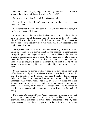GENERAL BOOTH (laughing): 'Ah! Herring, you mean that it was *I* who did the talking, not Haggard. Well, *perhaps I did*.'

Some people think that General Booth is conceited.

'It is a pity that the old gentleman is so vain,' a highly-placed person once said to me.

I answered that if he or I had done all that General Booth has done, we might be pardoned a little vanity.

In truth, however, the charge is mistaken, for at bottom I believe him to be a very humble-minded man, and one who does not in the least overrate himself. This may be gathered, indeed, from the tenor of his remarks on the subject of his personal value to the Army, that I have recorded at the beginning of this book.

What people of slower mind and narrower views may mistake for pride, in his case, I am sure, is but the impatient and unconscious assertiveness of superior power, based upon vision and accumulated knowledge. Also, as a general proposition, I believe vanity to be almost impossible to such a man. So far as my experience of life goes, that scarce creature, the innately, as distinguished from the accidentally eminent man, he who is fashioned from Nature's gold, not merely gilded by circumstance, is never vain.

Such a man knows but too well how poor is the fruit of his supremest effort, how marred by secret weakness is what the world calls his strength, and when his gifts are in the balance, how hard it would be for any seeing judge to distinguish his success from common failure. It is the little pinchbeck man, whom wealth, accident, or cheap cleverness has thrust forward, who grows vain over triumphs that are not worth having, not the great doer of deeds, or the seer whose imagination is wide enough to enable him to understand his own utter insignificance in the scale of things.

But to return to General Booth. Again I hear him explaining to me vast schemes, as yet unrealized, that lurk at the back of his vivid, practical, organizing brain. Schemes for settling tens of thousands of the city poor upon unoccupied lands in sundry portions of the earth. Schemes for great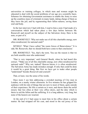universities or training colleges, in which men and women might be educated to deal with the social problems of our age on a scientific basis. Schemes for obtaining Government assistance to enable the Army to raise up the countless mass of criminals in many lands, taking charge of them as they leave the jail, and by regenerating their fallen natures, saving them soul and body.

In the last interview I had with him, I read to him a note I had made of a conversation which had taken place a few days before between Mr. Roosevelt and myself on the subject of the Salvation Army. Here is the note, or part of it.

MR. ROOSEVELT: 'Why not make use of all this charitable energy, now often misdirected, for national ends?'

MYSELF: 'What I have called "the waste forces of Benevolence." It is odd, Mr. Roosevelt, that we should both have come to that conclusion.'

MR. ROOSEVELT: 'Yes, that's the term. You see the reason is that we are both sensible men who understand.'

'That is very important,' said General Booth, when he had heard this extract. '"Make use of all this charitable energy, now often misdirected for national ends!" Why not, indeed? Heaven knows it is often misdirected. The Salvation Army has made mistakes enough. If only that could be done it would be a great thing. But first we have got to make other people "understand" besides Roosevelt and yourself.'

That, at least, was the sense of his words.

Once more I see him addressing a crowded meeting of City men in London, on a murky winter afternoon. In five minutes he has gripped his audience with his tale of things that are new to most of them, quite outside of their experience. He lifts a curtain as it were, and shows them the awful misery that lies often at their very office doors, and the duty which is theirs to aid the fallen and the suffering. It is a long address, very long, but none of the hearers are wearied.

At the end of it I had cause to meet him in his office about a certain matter. He had stripped off his coat, and stood in the red jersey of his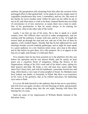uniform, the perspiration still streaming from him after the exertion of his prolonged effort in that packed hall. As he spoke he ate his simple meal of vegetables (mushrooms they were, I remember), and tea, for, like most of his family, he never touches meat. Either he must see me while he ate or not at all; and when there is work to be done, General Booth does not think of convenience or of rest; moreover, as usual, there was a train to catch. One of his peculiarities is that he seems always to be starting for somewhere, often at the other side of the world.

Lastly, I see him on one of his tours. He is due to speak in a small country town. His Officers have arrived to make arrangements, and are waiting with the audience. It pours with rain, and he is late. At length the motors dash up through the mud and wet, and out of the first of them he appears, a tall, cloaked figure. Already that day he has addressed two such meetings besides several roadside gatherings, and at night he must speak to a great audience in a city fourteen miles away; also stop at this place and at that before he gets there, for a like purpose. He is to appear in the big city at eight, and already it is half-past three.

Five minutes later he has been assisted on to the platform (for this was before his operation and he was almost blind), and for nearly an hour pours out a ceaseless flood of eloquence, telling the history of his Organization, telling of his life's work and of his heart's aims, asking for their prayers and help. He looks a very old man now, much older than when first I knew him, and with his handsome, somewhat Jewish face and long, white beard, a very type of some prophet of Israel. So Abraham must have looked, one thinks, or Jeremiah, or Elijah. But there is no weariness in his voice or his gestures; and, as he exhorts and prays, his darkening eyes seem to flash.

It is over. He bids farewell to the audience that he has never seen before, and will never see again, invokes a fervent blessing on them, and presently the motors are rushing away into the wet night, bearing with them this burning fire of a man.

Such are some of my impressions of William Booth, General of the Salvation Army.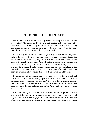## **THE CHIEF OF THE STAFF**

No account of the Salvation Army would be complete without some words about Mr. Bramwell Booth, General Booth's eldest son and righthand man, who in the Army is known as the Chief of the Staff. Being convinced of this, I sought an interview with him—the last of the many that I have had in connexion with the present work.

In the Army Mr. Bramwell Booth is generally recognized as 'the power behind the throne.' He it is who, seated in his office in London, directs the affairs and administers the policy of this vast Organization in all lands; the care of the countless Salvation Army churches is on his shoulders, and has been for these many years. He does not travel outside Europe; his work lies chiefly at home. I understand, however, that he takes his share in the evangelical labours of the Army, and is a powerful and convincing speaker, although I have never chanced to hear any of his addresses.

In appearance at his present age of something over fifty, he is tall and not robust, with an extremely sympathetic face that has about it little of his father's rugged cast and sternness. Perhaps it is this evident sympathy that commands the affection of so many, for I have been told more than once that he is the best beloved man in the Army, and one who never uses a stern word.

I found him busy and pressed for time, even more so, if possible, than I was myself; he had but just arrived by an early train from some provincial city. In fact, he was then engaged upon his annual visitation to all the Field Officers in the country, which, as he explained, takes him away from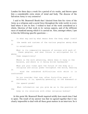London for three days a week for a period of six weeks, and throws upon him a considerable extra strain of mind and body. The diocese of the Salvation Army is very extensive!

I said to Mr. Bramwell Booth that I desired from him his views of the Army as a religious and a social force throughout the wide world, in every land where it sets its foot. I wished to hear of the work considered as a whole, likewise of that work in its various aspects, and of the different races of mankind among which it is carried on. Also, amongst others, I put to him the following specific questions:—

```
In what way and by what means does the Army adapt itself
to
     the needs and customs of the various peoples among whom
it
     is established?
     What is its comparative measure of success with each of
      these peoples, and what future is anticipated for it
among
    them respectively?
     Where is the work advancing, where does it hang in the
    balance, and where is it being driven backwards?
     What are your views upon the future of the Army as a
     religious and social power throughout the world, bearing
in
        mind the undoubted difficulties with which it is
confronted?
     Do you consider that now, after forty-five years of
     existence, it is, speaking generally, on the downward or
on
     the upward grade?
     What information can you give me as to the position of
the
     Army in its relations with other religious bodies?
```
At this point Mr. Bramwell Booth inquired mildly how much time I had to spare. The result of my answer was that we agreed together that it was clearly impossible to deal with all these great matters in an interview. So it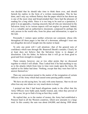was decided that he should take time to think them over, and should furnish his replies in the form of a written memorandum. This he has done, and I may say without flattery that the paper which he has drawn up is one of the most clear and broad-minded that I have had the pleasure of reading for a long while. Since it is too long to be used as a quotation, I print it in an appendix, trusting sincerely that all who are interested in the Salvation Army in its various aspects will not neglect its perusal. Indeed, it is a valuable and an authoritative document, composed by perhaps the only person in the world who, from his place and information, is equal to the task.

Personally I venture upon neither criticism nor comment, whose rôle throughout all these pages is but that of a showman, although I trust one not altogether devoid of insight into the matter in hand.

To only one point will I call attention—that of the general note of confidence which runs through Mr. Bramwell Booth's remarks. Clearly he at least does not believe that the Salvation Army is in danger of dissolution. Like his father, he believes that it will go on from good to good and from strength to strength.

There remain, however, one or two other points that we discussed together to which I will allude. Thus I asked him if he had anything to say as to the attacks which from time to time were made upon the Army. He replied as his father had done: 'Nothing, except that they were best left to answer themselves.'

Then our conversation turned to the matter of the resignation of certain Officers of the Army which had caused some passing public remark.

'We have an old saying here,' he said, with some humour, 'that we do not often lose any one whom we very much desire to keep.'

I pointed out that I had heard allegations made to the effect that the Army Officers were badly paid, hardly treated, and, when they proved of no more use, let go to find a living as best they could.

He replied that, as to the matter of money, the Army had established a Pension fund in all the Western countries, which now amounts to a large total. In this country the sum was about £44,000, and during 1909 about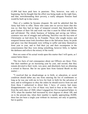£1,800 had been paid here in pensions. This, however, was only a beginning, but he thought that the effort was being made on the right lines, and that, notwithstanding their poverty, a really adequate Pension fund would be built up in due course.

Then of a sudden he became eloquent. He said he admitted that the Army had little to offer. Those who came into its service knew that this was so; that they had no hope of temporal reward; that thenceforth the great feature of their life and work was that it must be filled with labour and self-denial. The whole business of helping and saving our fellowcreatures was one of struggle and suffering. Sacrifice was the key-note of Christianity as laid down by its Founder. Those who sought money and temporal honour must look elsewhere than to the Salvation Army. Its pride and glory was that thousands were willing to suffer and deny themselves from year to year, and to find their joy and their recompense in the consciousness that they were doing something, however little, to lighten the darkness and relieve the misery of the world.

Here are some of his actual words upon this matter that I will quote, as I cannot better them:—

'The two facts of real consequence about our Officers are these: First, that their numbers go on increasing year by year, and second, that they remain devoted to their work, very poor, and absolutely bent on obtaining a reward in Heaven. But let me quote here from General Booth on this matter:—

'"I resolved that no disadvantage as to birth, or education, or social condition should debar any one from entering the list of combatants so long as he was one with me in love for God, in faith for the salvation of men, and in willingness to obey the orders he should receive from me and from those I authorized to direct him. I have, of course, had many disappointments—not a few of them very hard to bear at the time—but from the early days of 1868, when I engaged my first recognized helper, to 1878, when the number had increased by slow degrees to about 100, and on to the present day, when their number is rapidly approaching 20,000, there has not been a single year without its increase, not only in quantity, but in quality.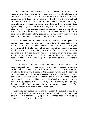'"I am sometimes asked, What about those who have left me? Well, I am thankful to say that we remain in sympathetic and friendly relations with the great bulk of them. It was to be expected that in work such as ours, demanding, as it does, not only arduous toil and constant self-denial and often real hardships of one kind or another, some should prove unworthy, some should grow weary, and others should faint by the way, whilst others again, though very excellent souls, should prove unsuitable. It could not be otherwise, for we are engaged in real warfare, and whoever heard of war without wounds and losses? But even of those who do thus step aside from the position of Officers, a large proportion—in this country nine out of ten —remain with us, engaged in some voluntary effort in our ranks."'

'But,' continued Mr. Bramwell Booth, 'I would be the last person to minimize our losses. They may be accounted for in the most natural way, and yet we cannot but feel them and suffer from them. And yet it is all just a repetition of the Bible stories of all ages; nay, of all stories of genuine fighting in any great cause. The great feature of our present experience in this matter is that the number who go out from us grows every year smaller in proportion to the whole, and that, as the General says in the above extract, a very large proportion of those continue in friendly relations with us.

'The triumph of these splendid men and women, in the face of every kind of difficulty in every part of the world is, however, really a triumph of their faith. It is not the Army, it is not their leaders, it is not even the wonderful devotion which many of them manifest, which is the secret of their continued life and continued success, nor is it any confidence in their own abilities. No! The true representative of the Army is relying at every turn upon the presence, guidance, and help of God in trying to carry out the Father's purpose with respect to every lost and suffering child of man. By that test, alike in the present and future, we must ever stand or fall. The Army is either a work of faith or it is nothing at all.

'Everything throughout all our ranks can really be brought to that test, and I regard with composure every loss and attack, every puzzle and danger, chiefly because I rely upon my comrades' trust in God being responded to by Him according to their need.'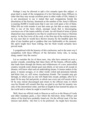Perhaps I may be allowed to add a few remarks upon this subject. A great deal is made of the resignation of a few Salvation Army Officers in order that they may accept excellent posts in other walks of life; indeed, it is not uncommon to see it stated that such resignations herald the dissolution of the Society. Inasmuch as the number of the Army's Officers is nearing 20,000 it would seem that it can very well spare a few of them. What fills me with wonder is not that some go, but that so many remain. *This* is one of the facts which, amongst much that is discouraging, convinces me of the innate nobility of man. An old friend of mine of pious disposition once remarked to me that *he* could never have been a Christian martyr. At the first twist of the cord, or the first nip of the red-hot pincers, he was sure that *he* would have thrown incense by the handful upon the altar of any heathen god or goddess that was fashionable at the moment. His spirit might have been willing, but his flesh would certainly have proved weak.

I sympathized with the honesty of this confession, and in the same way I sympathize with those Officers of the Salvation Army who, in racing slang, cannot 'stay the course.'

Let us consider the lot of these men. Any who have entered on even a secular crusade, something that takes them off the beaten, official paths, that leads them through the thorns and wildernesses of a new, untravelled country, towards some distant goal seen dimly, or not seen at all except in dreams, will know what such an undertaking means. It means snakes in the grass; it means savages, or in other words veiled and poisonous hatreds and bitter foes, or, still worse, treacherous friends. The crusader may get through, in which case no one will thank him except, perhaps, after he is dead. Or he may fail and perish, in which case every one will mock at him. Or he may retreat discouraged and return to the official road, in which case his friends will remark that they are glad to see that his insanity was only of the intermittent order, and that at length he has learned his place in the world and to whom he ought to touch his cap.

Well, these are official roads to Heaven as well as to the House of Lords and other mundane goals, a fact which the Salvation Army Officer and others of his kind have probably found out. On the official road, if he has interest and ability—the first is to be preferred—he might have become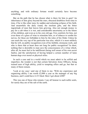anything, and with ordinary fortune would certainly have become something.

But on the path that he has chosen what is there for him to gain? An inheritance of dim glory beyond the stars, obscured doubtless from time to time, if he is like other men, by sudden and sickening eclipses of his faith. And meanwhile the daily round, the insolent gibe, and the bitter ingratitude of men that leaves him grieving. Also not enough money to pay for a cab when it is wet, and considerable uncertainty as to the future of his children, and even as to his own old age. Few comforts for him, not even those of a glass of wine to stimulate him, or of tobacco to soothe his nerves, for these are forbidden to him by the rules of his Order. Unless he can reach the very top of his particular tree also, which it is most unlikely that he will, no public recognition even of his faithful, strenuous work, and who is there that at heart does not long for public recognition? In short, nothing that is desirable to man save the consciousness of a virtue which, after all, he must feel to be indifferent (being well aware of his own secret faults), and the satisfaction of having helped a certain number of lame human dogs over moral or physical stiles.

In such a case and in a world which we must admit to be selfish and imperfect, the wonder is not that certain Salvation Army Officers, being trained men of high ability, yield to tempting offers and go, but that so many of them remain.

'Look at my case,' said one of them to me. 'With my experience and organizing ability I am worth £2,000 a year as the manager of any big business, and I could have it if I liked. Here I get about £200!'

This was one of those who remain. I say all honour to such noble souls, for surely they are of the salt of the earth.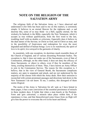# **NOTE ON THE RELIGION OF THE SALVATION ARMY**

The religious faith of the Salvation Army, as I have observed and understand it (for little has been said to me on this matter), is extremely simple. It believes in an eternal Heaven for the righteous and—a sad doctrine this, some of us may think—in a Hell, equally eternal, for the wicked. $8$  Its bedrock is the Bible, especially the New Testament, which it accepts as true without qualification, from the first word to the last, troubling itself with no doubts or criticisms. Especially does it believe in the dual nature of the Saviour, in Christ as God, and in Christ as man, and in the possibility of forgiveness and redemption for even the most degraded and defiled of human beings. Love is its watchword, the spirit of love is its spirit, love arrayed in the garments of charity.

In essentials, with one exception, its doctrines much resemble those of the Church of England, and of various dissenting Protestant bodies. The exception is, that it does not make use of the Sacraments, even of that of Communion, although, on the other hand, it does not deny the efficacy of those Sacraments, or object to others, even if they be members of the Army, availing themselves of them. Thus, I have known an Army Officer to join in the Communion Service. The reason for this exception is, I believe, that in the view of General Booth, the Sacraments complicate matters, are open to argument and attack, and are not understood by the majority of the classes with which the Army deals. How their omission is reconciled with certain prominent passages and directions laid down in the New Testament I do not know. To me, I confess, this disregard of them seems illogical.

The motto of the Army is 'Salvation for all,' and, as I have hinted in these pages, it has a sure conviction of the essential persistence of miracle in these modern days. It holds that when a man kneels at the Penitent-Form and 'gets converted,' a miracle takes place within him, if his repentance is true, and that thenceforward some Grace from on High will give him the power to overcome the evil in his heart and blood.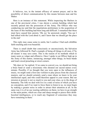It believes, too, in the instant efficacy of earnest prayer, and in the possibility of direct communication by this means between man and his Maker.

Here is an instance of this statement. While inspecting the Shelters in one of the provincial cities, I was shown a certain building which had recently passed into the possession of the Army. The Officer who was conducting me said that the negotiations preliminary to the acquisition of the lease of this building had been long and difficult. I remarked that these must have caused him anxiety. 'Oh, no,' he answered, simply. 'You see I had talked with the Lord about it, and I knew that we should get the place in the end.'

This reply may cause some to smile, but I confess I find such childlike faith touching and even beautiful.

There is small doubt that consciously or unconsciously, the Salvation Army has followed St. Paul's example of being all things to all men, if 'by all means' it may save some. This is the reason of its methods which to many seem so vulgar and offensive. Once I spoke to an Officer high up in the Army of this matter, instancing, amongst other things, its brass bands and loud-voiced preaching at street corners.

'My dear sir,' he replied, 'if we came to convert *you*, we should not bring a brass band or send a missionary who shouted out sacred names every minute. Possibly, if we thought that you were open to the influences of music, we might send a first-rate violinist to play pieces from the classical masters, and we should certainly send a man whom we knew to be your intellectual equal, and who could therefore appeal to your reason. But our mission at present is not so much to you and your class, as to the dregs of humanity. The folk we deal with live in a state of noise of which you have no conception, and if we want to force them to listen to us, we must begin by making a greater noise in order to attract their attention at all. In the same way it is of no use wasting subtleties on them; we have to go straight to the main points, which are clear and sharp enough to pierce their drinkbesotted intelligences, or to reach any fragment of conscience they may have remaining in them.'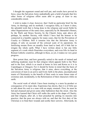I thought the argument sound and well put, and results have proved its force, since the Salvation Army undoubtedly gets a hold of people that few other forms of religious effort seem able to grasp, at least to any considerable extent.

I wish to make it clear, however, that I hold no particular brief for the Army, its theology, and its methods. I recognize fully, as I know it does, the splendid work that is being done in the religious and social fields by other Organizations of the same class, especially by Dr. Barnardo's Homes, by the Waifs and Strays Society, by the Church Army, and, above all, perhaps, by another Society, with which I have had the honour to be connected in a humble capacity for many years, that for the Prevention of Cruelty to Children. Still it remains true that the Salvation Army is unique, if only on account of the colossal scale of its operations. Its fertilizing stream flows on steadily from land to land, till it bids fair to irrigate the whole earth. What I have written about is but one little segment of a work which flourishes everywhere, and even lifts its head in Roman Catholic countries, although in these, as yet, it makes no very great progress.

How potent then, and how generally suited to the needs of stained and suffering mankind, must be that religion which appeals both to the West and to the East, which is as much at home in Java and Korea as it is in Copenhagen or Glasgow. For it should be borne in mind that the basis of the Salvation Army is religious, that it aims, above everything, at the conversion of men to an active and lively faith in the plain, uncomplicated tenets of Christianity to the benefit of their souls in some future state of existence and, incidentally, to the Reformation of their characters while on earth.

The social work of which I have been treating is a mere by-product or consequence of its main idea. Experience has shown, that it is of little use to talk about his soul to a man with an empty stomach. First, he must be fed and cleansed and given some other habitation than the street. Also the Army has learned that Christ still walks the earth in the shape of Charity; and that religion, after all, is best preached by putting its maxims into practice; that the poor are always with us; and that the first duty of the Christian is to bind their wounds and soothe their sorrows. Afterwards, he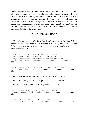may hope to cure them of their sins, for he knows that unless such a cure is effected, temporal assistance avails but little. Except in cases of pure misfortune which stand upon another, and, so far as the Army work is concerned, upon an outside footing, the causes of the fall must be removed, or that fall will be repeated. The man or woman must be born again, must be regenerated. Such, as I understand it, is at once the belief of the Salvation Army and the object of all its efforts. Therefore, I give to this book its title of 'Regeneration.'

#### **THE NEED IS GREAT!**

*The principal items of the Salvation Army's expenditure for Social Work during the financial year ending September 30, 1911, are as follows, and help is earnestly asked to meet these, the work being entirely dependent upon Voluntary Gifts*.

For Maintenance of Work amongst the Destitute and Outcast Men and Women, including Shelters for Homeless Men and Women, Homes for Children, Rescue Homes, etc..................................... £15,000 For Maintenance of the Slum Sisterhood and Nurses for the Sick Poor..................................... £3,000 For Prison Visitation Staff and Prison-Gate Work........ £5,000 For Work among Youths and Boys.......................... £2,000 For Special Relief and Distress Agencies................ £5,000 For Development of the Work and Agricultural Departments of the Hadleigh Colony................... £3,000 For Assistance and Partial Maintenance of the Unemployed and Inefficient...........................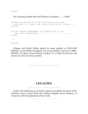£5,000

For Assisting suitable Men and Women to Emigrate........ £3,000

Towards the provision of New Institutions for Men and Boys in London and various provincial Cities...... £10,000

For the General Management and Supervision of all the above Operations.................................. £2,000

£53,000

———-

Cheques and Postal Orders should be made payable to WILLIAM BOOTH, crossed 'Bank of England, Law Courts Branch,' and sent to MRS. BOOTH, 101 Queen Victoria Street, London, E.C. Clothes for the poor and articles for sale are always needed.

## **LEGACIES**

Ladies and Gentlemen are earnestly asked to remember the needs of the Salvation Army's Social Work (the 'Darkest England' Social Scheme), in connexion with the preparation of their wills.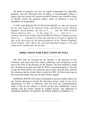All kinds of property can now be legally bequeathed for charitable purposes, and the following form of legacy is recommended. Where a legacy does not consist of a certain amount of money, care should be taken to identify clearly the property, shares, stock, or whatever it may be intended to be bequeathed.

*'I GIVE AND BEQUEATH TO WILLIAM BOOTH, or other the General for the time being of the Salvation Army, and Director of the "Darkest England" Social Scheme, the sum of £............* (or) *MY TWO freehold houses known as Nos.......... in the county of................* (or) *my £............ ordinary stock of the London and North-Western Railway Company* (or) *my shares in............Limited* (or as the case may be) *to be used or applied by him, at his discretion, for the general purposes of the "Darkest England" Social Scheme. And I direct the said last-mentioned Legacy to be paid within twelve months after my decease.'*

### **DIRECTIONS FOR EXECUTION OF WILL**

The Will must be executed by the Testator in the presence of two witnesses, who must sign their names, addresses, and occupations at the end of the Will in the presence of the Testator. The best method to adopt for a Testator to be quite sure that his Will is executed properly, is for him to take the Will and his two witnesses into a room, lock the door, and tell the witnesses that he wishes them to attest his Will. All three must sign in the room and nobody must go out until all have signed.

GENERAL BOOTH will always be pleased to procure further advice for any friends desiring to benefit the Salvation Army's work in any of its departments, by Will or otherwise, and will treat any communications made to him on the subject as strictly private and confidential. Letters dealing with the matter should be marked Private, and addressed to GENERAL BOOTH, 101 QUEEN VICTORIA STREET, LONDON, E.C.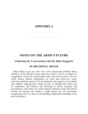## **APPENDIX A**

## **NOTES ON THE ARMY'S FUTURE**

### **(Following My Conversation with Mr. Rider Haggard)**

### **BY BRAMWELL BOOTH**

When asked to give my own view of the present and probable future influence of the Salvation Army upon the world, I feel in no danger of exaggeration. If any one could imagine what it has been for me to sit at its centre almost without intermission for more than thirty-five years, receiving continual reports of its development and progress in one nation after another, studying from within not only its strength and vitality, but its weaknesses and failures, and labouring to devise remedies and preventatives, until what was a little unknown Mission in the East End of London has become the widely, I might almost say, the universally recognized Army of to-day, he could perhaps understand something of my great confidence.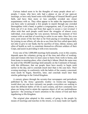Curious indeed seem to be the thoughts of many people about us! people, I mean, who have only had a glance at one of our open-air meetings, or have only heard some wild challenge of General Booth's good faith, and have then more or less carefully avoided any closer acquaintance with us. They often appear to be under the impression that you have only to persuade a few people to march through any crowded thoroughfare with a band, to gather a congregation, and, if you please, to form out of it an Army, and from that again to secure a vast revenue! I often wish that such people could know the struggles of almost every individual, even amongst the very poorest, between the moment of first contact with us and that of resolving to enlist in our ranks. How few, even now, seem aware of the fact that so far from paying or rewarding any one for joining in our efforts, all who do so are from the first called upon daily not only to give to our funds, but by sacrifice of time, labour, money, and often of health as well, to constitute themselves efficient soldiers of their Corps, and assist in providing it with every necessity.

Every one of the 3,000,000 meetings held annually, even in this country, depends upon the voluntary giving up of the time and effort of workingmen and women who have in most cases to hurry from work to home, and from home to meeting-place, after a hard day's labour. Much the same may be said of the 450,000 meetings held annually on the Continent of Europe; with this difference, that our people there have mostly to begin work earlier in the day, and to conclude much later than is the case here. Their evening meetings, in conformity with the habits of the country concerned, must needs be begun, therefore, later, and conclude much later than similar gatherings in the United Kingdom.

A cursory glance through the seventy-four newspapers and periodicals published by the Army—generally weekly—in twenty-one languages, would show any one how variously our people everywhere are seeking to meet the different habits of life in each country, and how constantly new plans are being tried to attain the supreme object of all our multitudinous agencies—the arousing of men's attention to the claims of God and their ingathering to His Kingdom.

The original plan adopted in this country of going to the people by means of meetings and marches in the streets, is in many lands not legally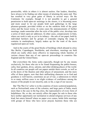permissible, while in others it is almost useless. Our leaders, therefore, have always to be finding out other means of attaining the same end. This has resulted in very great gains of liberty in several ways. On the Continent, for example, though it is not possible to get a general permission to hold open-air meetings in the streets, it is becoming more and more usual to let our people hold such gatherings in the large pleasure-grounds, provided within or on the outskirts both of the great cities and the lesser towns. In some cases the announcements of further meetings, made somewhat after the style of the public crier, develops into a series of short open-air addresses. In other cases, conspicuously in Italy, where our work is only as yet in its infancy—the sale of our paper, both by individual hawkers and by groups of comrades singing the songs it contains in marketplaces, largely makes up for the want of the more regularized open-air work.

And in the courts of the great blocks of buildings which abound in cities like Berlin, Copenhagen, Stockholm, and elsewhere, meetings are held which are really often more effective in impressing whole families of various classes than any of our open-air proceedings in countries like England and the United States.

But everywhere the Army seeks especially, though not by any means exclusively, for those who are to be found frequenting the public-houses, cafes, beer gardens, dives, saloons, and other drinking-places of the world. In all countries our people sell our papers amidst these crowds, as well as at the doors of the theatres and other places of amusement, and the mere offer of these papers, now that their unflinching character as to God and goodness is well known, constitutes an act of war, a submission to which in so many million cases is no slight evidence of confidence among the masses of the people in our sincerity, and, so far, a sign of our success.

But 'The War Cry' seller is in the countries of more scattered population, such as Switzerland, some of the colonies, and large parts of India, much more than is the case in the big cities, the representative of every form of helpfulness. He, or she, not merely offers the paper for sale to those who have neither opportunity nor inclination to attend religious services of any kind, but enters himself where no paper ever comes, holds little meetings with groups of those who have never prayed, heartens those who are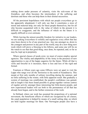sinking down under pressure of calamity, visits the sick-room of the friendless, and often becomes the intermediary of the suffering and destitute and those who can help them in their dismal necessities.

Of the persistent hopefulness with which our people everywhere go to the apparently abandoned, I will only say that it constitutes a store of moral and material help, not only for those people themselves, but for all who become acquainted with it, the value of which in the present it is difficult to exaggerate, and the influence of which on the future it is equally difficult to over-estimate.

While leaving the utmost possible freedom for initiative to our leaders, we are seeking everywhere to solidify and regularize every effort that has once been shown to be of any practical use. Any one amongst us, down to the youngest and poorest in any part of the world, may do a new thing next week which will prove a blessing to his fellows, and some one will be on the watch to see that that good thing, once done, be repeated, and, so far as may be, kept up in perpetuity.

Where special classes of needs exist, we must of course employ special agencies. The vitality and adaptability of the Army in the presence of new opportunities is one of the happy auguries for the future. While all that is virile and forceful in it increases, there is less and less of the rigid and formal.

Fourteen or fifteen years ago some Officers were set apart to visit the Lapps who range over all the Territories to the north of Scandinavia. This meant at first only months of solitary travelling during the summer, and no little suffering in the winter, with little apparent result. But gradually a system of meetings was established, the people's confidence was gained, and at length it has been found possible to group together various centres of regular activity amongst these interesting but little-known people, and now experienced leaders will see both to the permanence of all that has already been begun, and to the further extension of the work.

In Holland, where our work has assumed the proportions of a national movement, the beneficent effects of which are recognized by all classes, the canal population is helped by means of a small sailing ship, on which are held regular meetings for them. Our Norwegian people also have a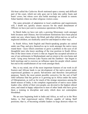life-boat called the *Catherine Booth* stationed upon a stormy and difficult part of the coast, which not only goes out to help into safety boats and boats' crews, but whose crew also holds meetings on islands in remote fisher hamlets where no other religious visitors come.

The same principle of adaptation to local conditions and requirements will, I doubt not, quickly ensure success for the small detachment of Officers we have just sent to commence operations in Russia.

In Dutch India we have not only a growing Missionary work amongst both Javanese and Chinese, but Government Institutions have been placed under our care, where lepers, the blind, and other infirm natives, as well as neglected children, are medically cared for and helped in other ways.

In South Africa, both English and Dutch-speaking peoples are united under one Flag, and give themselves up to work amongst the native races round them—races which constitute so grave a problem in the eyes of all thoughtful men who know anything of the true position in South Africa. One of the latest items of news is that an Angoni has accepted salvation at one of our settlements in Mashonaland, and on return to his own home and work—lying away between Lake Nyassa and the Zambezi—has begun to hold meetings and to exercise an influence upon his people which cannot but end in the establishment of our work amongst them.

But, to my mind, one of the most important features of our work in all Eastern and African lands is our development of the native power under experienced guidance to purely Salvationist and therefore non-political purposes. Surely the most potent possible corrective for the sort of half rebel influence that has grown or is growing up in Africa under the name of Ethiopianism, as well as for much of the strange uneasiness among the dumb masses of India, is the complete organization of native races under leaders who, whilst of their own people, are devoted to the highest ethical aims, and stand in happy subjection to men of other lands who have given them a training in discipline and unity which does not contemplate bloodshed.

We are now beginning both in India and Africa, as well as in the West Indies, to find experienced native Officers capable of taking Staff positions; that is, of becoming reliable leaders in large districts where we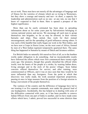are at work. These men have not merely all the advantages of language and of fitness for the varieties of climate which are so trying to Westerners, but they show a courage and tenacity and tact—in short, a capacity for leadership and administration such as no one—at any rate, no one that I know of—expected to find in them. Here is opened a prospect of the highest significance.

More than can be easily estimated has been done in spreading information about us for some years past by Salvationists belonging to various national armies and navies. We encourage all such men to group themselves into brigades, so far as may be allowed, in their various barracks and ships. Thus united, they work for their mutual encouragement, and for the spreading of good influences among others. It was such a little handful that really began our work in the West Indies, and we have now a Corps in Sierra Leone, on the west coast of Africa, formed by men of a West Indian regiment temporarily quartered there. The same thing has happened in Sumatra by means of Dutch and Javanese soldiers.

For British India we naturally felt ourselves first of all, as to the heathen world, under obligation to do something. And no inconsiderable results have followed the efforts which were first commenced there twenty-eight years ago. Our pioneers, though they greatly disturbed the official white world, won the hearts of the people at a stroke, by wearing Indian dress, living amongst and in the style of the poorer villages. Soon Indian converts offered themselves for service, and after training; were commissioned as Officers, and it was at once seen that they would be far more influential than any foreigners. From the point at which that discovery was really made, the work assumed important proportions, passing at once in large measure from the position of a foreign mission to being a movement of the people themselves.

The vastness of the country and the difference of language have led to our treating it as five separate commands, now under the general lead of one headquarters. Incidentally, this has helped us in dealing with some of the difficulties connected with caste, as it has been possible to remove Indian Officers from one part of India to another, and we have made some efforts which have, I admit, proved less successful in some districts than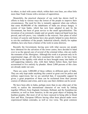in others, to deal with castes which, within their own lines, are often little more than Trade Unions with a mixture of superstition.

Meanwhile, the practical character of our work has shown itself in efforts to help in various ways the lowest of the people to improve their circumstances. The need for this is instantly apparent when one reflects that some 40,000,000 of the inhabitants of India are always hungry. A system of loan banks, which has now been adopted in part by the Government, has been of great service to the small agriculturalists. The invention of an extremely simple and yet greatly improved hand loom has proved, and will prove, very valuable to the weavers. New plans of relief in times of scarcity and famine have also greatly helped in some districts to win the confidence of the people. Industrial schools, chiefly for orphan children, have also been a feature of the work in some districts.

Recently the Government, having seen with what success our people have laboured for the salvation of the lower castes, have decided to hand over to us the special care of several of the criminal tribes, who are really the remnants of the Aborigines. Although this work is at present only in its experimental stage, all who have examined the results so far have been delighted at the rapidity with which we have brought many into habits of self-supporting industry, who, with their fathers before them, had been accustomed to live entirely by plunder. About 2,000 persons of this class are already under our care.

There are some 3,000,000 of these robbers in different parts of India. They are only kept under anything like control at great cost for police and military supervision; but we are satisfied that, if reasonable support be given, a great proportion of them can be reclaimed from their present courses of idleness and crime, and in any case their children can be saved.

We have been able in India, perhaps more than in any other part of the world, to realize the international character of our work by linking together Officers from England, Germany, Holland, and the Scandinavian countries, as well as from America, in the one great object of helping the heathen peoples. But most of all we have rejoiced in being able to blend East and West, European Officers having often been placed under more experienced Indian comrades, as well as vice versa. The great common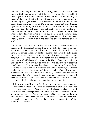purpose dominating all sections of the Army, and the influences of the Spirit of God, have united men of different levels of intelligence, and knit them together in the same fellowship, without any unwise mingling of races. We have now 2,000 Officers in India, and that alone is a testimony of the highest significance to the success of our efforts, and to the possibilities which lie before us. But even more important in its bearing upon the future, in my estimation, is the wonderful ambition dominating our people there to reach every class, but most of all to deal with the low caste, or outcast, as they are sometimes called. Many of our Indian Officers have followed in the steps of our pioneers in the country, and, consumed by an enthusiasm amounting to a passion for their fellows, have literally sacrificed their lives in the ceaseless pressing forward of their work.

In America we have had to deal, perhaps, with the other extreme of human needs. Throughout Canada there is very little to be seen of poverty and wretchedness. In the United States the great cities begin indeed to have areas of vice and misery not to be surpassed in any of the older cities of the world. But everywhere we have found people who have become forgetful of God, neglectful of every higher duty, and abandoned to one or other form of selfishness. Our work in the United States especially has been confronted with difficulties peculiar to the country, its widespread populations and their cosmopolitan character being not the least of these. Nevertheless, we have now in the States and Canada nearly 4,000 Officers leading the work in 1,380 Corps and Societies, and 350 Social Institutions. I ought to say that it has not been found easy to raise large numbers in many places, but of the generosity and devotion of those who have united themselves with us, and the immense amount of work which they accomplish for their fellows, it is impossible to speak too highly.

I look with confidence to the future in both these great countries. Governments and local Authorities are beginning to grant us the facilities and help we need to deal effectually with their abandoned classes, as well as to attack some other problems of a difficult nature. Within the last few years, we have placed in Canada more than 50,000 emigrants, chiefly from this country. Their characteristics, and their success in their new surroundings, have won for us the highest commendation of the Authorities concerned.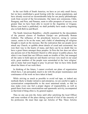In the vast fields of South America, we have as yet only small forces, but we have established a good footing with the various populations, and have already received no inconsiderable help for our purely philanthropic work from several of the Governments. Our latest new extensions, Chile, Paraguay, and Peru, and Panama, seem to offer prospects of success, even greater than we have been able to record in the Argentine or Uruguay. Before your book is published, we shall probably have made a beginning also in both Bolivia and Brazil.

The South American Republics—chiefly populated by the descendants of the poorest classes of Southern Europe—are professedly Roman Catholic. The influence of the priesthood, however, owing to various causes, seems to be on the wane, and a habit of abandoning all religious thought is much on the increase. But the realization that our people never attack any Church, or quibble about details of creed and ceremonial, has won their way to the hearts of many, and there can be no doubt that we have a great future amongst these peoples. In Peru the law does not allow any persons not of the Romish Church to offer prayer in public places, but when it was found that our Officers made no trouble of this, but managed all the same to hold open-air and theatre services very much in our usual style, great numbers of the people were astonished at the 'new religion,' and so many had soon begun to pray 'in private' that we have little doubt about the future of our work there.

In thinking of the future, I cannot overlook our plans of organization which have, I am persuaded, much to do with the proper maintenance and continuance of the work we have taken in hand.

While striving as much as possible to avoid red tape, or indeed any methods likely to hinder initiative and enterprise, we are careful to apply a systemization comprehensible to the most untrained minds, so that we may make every one feel a proper degree of responsibility, as well as guard them from mere emotionalism and spasmodic activity, accompanied as that kind of thing often is, by general neglect.

Thus no one can join the Army until after satisfying the local Officer and some resident of the place during a period of trial of the sincerity of his profession. He must then sign our Articles of War. These Articles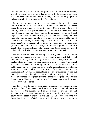describe precisely our doctrines, our promise to abstain from intoxicants, worldly pleasures, and fashions, bad or unworthy language, or conduct, and unfairness to either employer or employé, as well as our purpose to help and benefit those around us. (See Appendix B.)

Some local voluntary worker becomes responsible for setting each recruit a definite task in connexion with our efforts, and all are placed under the general oversight of their Captain. A Corps, which is the unit of our Organization, is organized under a Captain and Lieutenant who have been trained in the work they have to do as leaders. Corps are linked together into divisions under Officers, who, in addition to seeing that they regularly carry out their work, have the oversight of a considerable tract of country, with the duty of extending our operations within that area. In some countries a number of divisions are sometimes grouped into provinces with an Officer in charge of the whole province, and each country has its national headquarters under a Territorial Commissioner, all being under the lead of the International Headquarters in London.

No time is wasted in committee-ing or debating amongst us, and yet in all matters of finance and property there is such arrangement that several individuals are cognizant of every detail, and that no one person's fault or neglect shall necessarily involve permanent injury or loss. The central accounts in each country, including those in London, are under the care of public auditors; but we have also our own International Audit Department, whose representatives visit every headquarters from time to time, so as to make sure, not only that the accounts are kept on our approved system, but that all expenditure is rigidly criticized. All who really look into our financial methods are impressed by their economy and precision. The fact is that almost all our people have been well schooled in poverty. They have learned the value of pence.

All this seems to me to have great importance in connexion with estimates of our future. On the one hand we are ever seeking to impress on all our people the supreme need of God's spirit of love and life and freedom, without whose presence the most carefully managed system could not but speedily grow cold and useless. But at the same time, we insist that the service of God, however full of love and gladness, ought to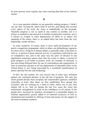be more precise, more regular, nay, more exacting than that of any inferior master.

As to your question whether we are generally making progress, I think I can say that, viewing the whole field of activity, and taking into account every aspect of the work, the Army is undoubtedly on the up-grade. Naturally progress is not so rapid in one country as another, nor is it always so marked in one period as in another in particular countries, nor is it always so evident in some departments of effort as in others; but speaking of the whole, there is, as indeed there has been from the very beginnings, steady advance.

In some countries, of course, there is more rapid development of our purely evangelistic propaganda, while in others our philanthropic agencies are more active. Progress in human affairs is generally tidal. It has been so with us. A period of great outward activity is sometimes followed by one of comparative rest, and in the same way the spirit of advance in one department sometimes passes from that for a time to others. A period of great progress in all kinds of pioneer work, for example in Germany, is just now being followed there by one of consolidation and organization. A time of enormous advance in all our departments of charitable effort in the United States is now being succeeded by a wonderful manifestation of purely spiritual fervour and awakening.

In this, the old country, our very success has in some ways militated against our continued advance at the old rate of progress. Not only has much ground already been occupied, but innumerable agencies, modelled outwardly, at least, after those we first established, have sprung into existence, and are working on a field of effort which was at one time largely left to us. And yet during the last five years the Army has enormously strengthened its hold on the confidence of all classes of the people here, increased its numbers, developed in a remarkable degree its internal organization, greatly added to its material resources, as well as maintained and extended its offering of men and money for the support of the work in heathen countries.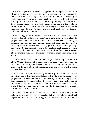But even in places where we have appeared to be stagnant, in the sense of not undertaking any new aggressive activities, we are constantly making as a part of our regular warfare new captures from the enemy of souls, maintaining the care of congregations and people linked with us, working at full pressure our social machinery, training the children for future labour, raising up men and women to go out into the world as missionaries of one kind or another, and doing it all while carrying on vigorous efforts to bring to those who are most needy in every locality both material and spiritual support.

Like all aggressive movements, the Army is, of course, peculiarly subject to loss of one kind or another. That arising from the removals of its people alone constitutes a serious item. Any one who knows anything of religious work amongst the working-classes will understand how great a loss may be caused—even where the population is, generally speaking, increasing—by the removal of one or two zealous local leaders. But such losses are trifling compared with those which follow from some stoppage of employment when large numbers of workmen must either migrate or starve.

Similar results often occur from the change of leadership. The removal of our Officers from point to point, and even from country to country, is one of our most indispensable needs; but, of course, we have to pay for it, chiefly in the dislocation and discouragements and losses which it often necessarily entails.

So far from such variations being in any way discreditable to us, we think them one of the most valuable tests of the vitality and courage of our people, both Officers and Soldiers, that they fight on unflinchingly under such circumstances—fight on happily, to prove that while fluctuations of this character are very trying, they often also open the way both to the wider diffusion of our work elsewhere and to the breaking up of entirely new ground in the old centres.

In brief, it is with us at all times a real warfare wherein triumphs can only be secured at the cost of struggles that are very often painful and unpleasant. You cannot have the aggression, the advance, the captures of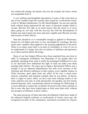war without the change, the alarms, the cost, the wounds, the losses, which are inseparable from it.

A very striking and thoughtful description of some of the work done at one of our London Corps has recently been issued by a well-known writer. I refer to 'Broken Earthenware,' by Mr. Harold Begbie. No one can read the book without being impressed by the sense of personal insight which it reveals. But how few take in its main lesson, that the Army is in every place going on, not only with the recovery but with the development of broken men and women into more and more capable and efficient servants and rescuers of their fellows.

That this should be so is remarkable enough as applied to Westerners, broken by evil habits and more or less surrounded by wreckage, but how much more valuable when applied to the teeming populations of the East! There in so many cases there is no past of criminality or even of vice as we understand it to forget, but only an infancy of darkness and ignorance as to Christ and the liberty He brings.

Many of our best Indian Officers have been snatched from one form or other of outrageous selfishness, but thousands of our people there are gradually emerging from what is really the prolonged childhood of a race to see and know how influential the light of God can make even them amongst their fellows. Ten years ago in Japan a Salvationist Officer was a strange if not an unknown phenomenon, but with every increase of the Christian and Western influences in that country, every capable witness to Christ becomes, quite apart from any effort of his own, a much more noticed, consulted, and imitated example than he was before. In Korea, after a couple of years' effort, we have seen most striking results of our work, and have just sent, to work among their own people, our first twenty married Koreans, after a preliminary period of training for Officership. It is most difficult to realize the revolution involved in the whole outlook on life to men who have been looked upon as little more than serfs, without any prospect of influence in their country.

The same processes of inner and outer development which have made of the unknown English workman or workwoman of twenty years ago, the recognized servants of the community, welcomed everywhere by mayors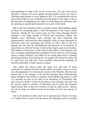and magistrates to help in the service of the poor, will, out of the clever Oriental, I believe, far more rapidly develop leaders in the new line of Christian improvement in every sphere of life. It is considerations such as these which make me say sometimes that the danger in the Army is not in the direction of magnifying, but rather of minimizing the influences that are carrying us upward and outward in every part of the world.

But in our own estimation there is another reason which perhaps equals all these for calculating upon a wider development of the Army's future influence. During the last twenty years we have been pressing forward amongst a very large number of Church and missionary efforts. Our speakers have notoriously been amongst the most unlearned and ungrammatical, and therefore often despised, while so many thousands of university men were preaching and writing of Christ. But no one now disputes the fact that the old-fashioned proclamation of the doctrine of Jesus Christ as a Divine Saviour of the lost has largely gone out of fashion. The influence of the priest, of the clerk in holy orders, of the minister, has been so largely undermined that candidates for the ministry are becoming scarce in many Churches, just while we are seeing them arise in steadily increasing numbers from among the very people who know the Army and its work best, and who have most carefully observed the demands of sacrifice and labour it makes upon its leaders.

One cannot but rejoice when one hears ever and anon of some conference or congress at which various efforts are made to recover, at any rate, the appearance of a forward movement in the Churches. But the most serious fact of all, perhaps, is the mixture amongst these Christianizing plans, whether in one country or another, of the unbelieving leaven, so that it is possible for men to go forth as the emissaries of Christianity who have ceased to believe in the Divine nature of its Founder, and who look for success rather to schemes of education and of social and temporal improvement than to that new creation of man by God's power, wherein lies all our hope, as indeed it must be the hope of every true servant of Christ.

But I call attention to these facts not to reproach any Church. Far from it. I simply desire to point out one reason for thinking ourselves justified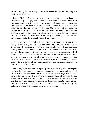in anticipating for the Army a future influence far beyond anything we have yet experienced.

Recent 'defences' of Christian revelation have, in our view, been far more seriously damaging than any attacks that have ever been made from the hostile camp. In the hope—a vain hope—of conciliating opposition, there has too often been a timid surrender of much that can alone give authority to Christian testimony. If Jesus Christ was not competent to decide the truth or untruth of the Divine revelation, which He fully and constantly endorsed as such, how absurd it is to suppose that any eulogies of His character can save Him from the just contempt of all fearless thinkers, no matter to what nationality they belong.

The Army finds itself already, and every year seems more and more likely to find itself, the only firm and unalterable witness to the truth of Christ and of His redeeming work in many neighbourhoods and districts, among them even some wide stretches of Christian territory. And the times can only bring upon us, it seems to me, more and more the scrutiny of all who wish to know whether the declarations of the Scriptures as to God's work in men are or are not reliable. This, then, however melancholy the reflection may be—and to me it is in some aspects melancholy indeed assures to us a future of far wider importance and influence than any we have dreamed of in the past.

Our strength, as your book eloquently shows, in dealing with the deepest sunken, the forgotten, the outcasts of society, the pariahs and lepers of modern life; has ever been our absolute certainty with regard to Christ's love and power to help them. How much greater must of necessity be the value and influence of our testimony where the very existence of Christ and His salvation becomes a matter of doubt and dispute! Here, at any rate, is one reason which leads me to believe that the Salvation Army has before it a future of the highest moment to the world.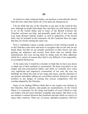In relation to other religious bodies, our position is marvellously altered from the time when they nearly all, if not quite all, denounced us.

I do not think that any of the Churches in any part of the world do this now, although no doubt individuals here and there are still bitterly hostile to us. In the United States and in many of the British Colonies the Churches welcome our help, and generally speak well of our work; and even many Roman Catholic leaders, as well as authorities of the Jewish faith, may be included in this statement. On the Continent there are signs that they are slowly turning the same way.

Now, I confidently expect a steady extension of this feeling towards us as the Churches come more and more to recognize that we not only do not attack them, but that we are actually auxiliaries to their forces, not only gaining our audiences and recruits from those who are outside their ministrations, but even serving them by doing work for their adherents which for a variety of reasons they find it very difficult, if not impossible, to accomplish themselves.

At the same time it would be a mistake to think that we have any desire to adopt any of their methods or ceremonials. We keep everywhere to our simple and non-ecclesiastical habits, and while we certainly have some very significant and impressive ceremonials of our own, the way our buildings are fitted, the style of our songs and music, and the character of our prayers and public talking are everywhere entirely distinctive, and are nowhere in any danger of coming into serious competition with the worship adopted by the Churches.

Some of our leading Officers think that in one respect our relations to the Churches, their pastors, and people are unsatisfactory. In the United States it is customary for the clergy and leaders of every Church to treat our leaders with the most manifest sympathy and respect. But there is far too marked a contrast between that treatment and that which we receive in many other countries. There are, of course, splendid exceptions. Still few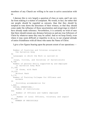members of any Church are willing to be seen in active association with us.

I daresay this is very largely a question of class or caste, and I am very far from making it a matter of complaint. We would, in fact, far rather that our people should be regarded as outcasts, than that they should be tempted to tone down the directness of their witness, or that they should come under the influence of those uncertainties and misgivings to which I have already made reference. Nevertheless, it is certainly no wish of ours that there should remain any distance between us and any true followers of Christ by whatever name they may be called. And so we keep firmly, even where it may seem difficult or impolitic to do so, to our original attitude of entire friendliness with all those who name the Name of Christ.

I give a few figures bearing upon the present extent of our operations:—

Number of Countries and Colonies occupied by the Salvation Army 56 Languages in which the Work is carried on 33 Corps, Circles, and Societies of Salvationists 8,768 Number of persons wholly supported by and employed in Salvation Army Work 21,390 Of those, with Rank 16,220 Without Rank 5,170 Number of Training Colleges for Officers and workers 35 Providing accommodation for 1,866 SOCIAL OPERATIONS.— Number of Institutions 954 Number of Officers and Cadets employed 2,573 Number of Local Officers, voluntary and unpaid 60,260 NUMBER OF PERIODICALS 74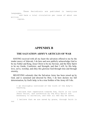These Periodicals are published in twenty-one languages, and have a total circulation per issue of about one million copies.

**APPENDIX B**

## **THE SALVATION ARMY'S ARTICLES OF WAR**

HAVING received with all my heart the salvation offered to me by the tender mercy of Jehovah, I do here and now publicly acknowledge God to be my Father and King, Jesus Christ to be my Saviour, and the Holy Spirit to be my Guide, Comforter, and Strength; and that I will, by His help, love, serve, worship, and obey this glorious God through time and through eternity,

BELIEVING solemnly that the Salvation Army has been raised up by God, and is sustained and directed by Him, I do here declare my full determination, by God's help, to be a true Soldier of the Army till I die.

I am thoroughly convinced of the truth of the Army's teaching. I believe that repentance towards God, faith in our Lord Jesus Christ, and conversion by the Holy Spirit are necessary to salvation, and that all men may be saved. I believe that we are saved by grace, through faith in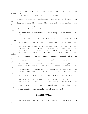Lord Jesus Christ, and he that believeth hath the witness of it in himself. I have got it. Thank God! I believe that the Scriptures were given by inspiration of God, and that they teach that not only does continuance in the favour of God depend upon continued faith in and obedience to Christ, but that it is possible for those who have been truly converted to fall away and be eternally lost. I believe that it is the privilege of all God's people to be wholly sanctified, and that 'their whole spirit and soul and body' may 'be preserved blameless unto the coming of our Lord Jesus Christ,' That is to say, I believe that after conversion there remain in the heart of the believer inclinations to evil, or roots of bitterness, which, unless overpowered by divine grace, produce actual sin; but these evil tendencies can be entirely taken away by the Spirit of God, and the whole heart, thus cleansed from anything contrary to the will of God, or entirely sanctified, will then produce the fruit of the Spirit only. And I believe that persons thus entirely sanctified may, by the power of God, be kept unblameable and unreprovable before Him. I believe in the immortality of the soul; in the resurrection of the body; in the general judgment at the end of the world; in the eternal happiness of the righteous; and in the everlasting punishment of the wicked.

## **THEREFORE,**

I do here and now, and for ever, renounce the world with all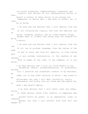its sinful pleasures, companionships, treasures, and objects, and declare my full determination boldly to show myself a soldier of Jesus Christ in all places and companies, no matter what I may have to suffer, do, or lose, by so doing. I do here and now declare that I will abstain from the use of all intoxicating liquors, and from the habitual use of opium, laudanum, morphia, and all other baneful drugs, except when in illness such drugs shall be ordered for me by a doctor. I do here and now declare that I will abstain from the use of all low or profane language; from the taking of the name of God in vain; and from all impurity, or from taking part in any unclean conversation, or the reading of any obscene book or paper at any time, in any company, or in any place. I do here declare that I will not allow myself in any falsehood, deceit, misrepresentation, or dishonesty; neither will I practise any fraudulent conduct in my business, my home, nor in any other relation in which I may stand to my fellow-men, but that I will deal truthfully, fairly, honourably, and kindly with all those who may employ me, or whom I may myself employ, I do here declare that I will never treat any woman, child, or other person, whose life, comfort, or happiness may be placed within my power, in an oppressive, cruel or cowardly manner, but that I will protect such from evil and danger so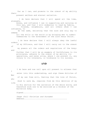far as I can, and promote to the utmost of my ability their present welfare and eternal salvation. I do here declare that I will spend all the time, strength, money, and influence I can in supporting and carrying on this war, and that I will endeavour to lead my family, friends, neighbours, and all others whom I can influence, to do the same, believing that the sure and only way to remedy all the evils in the world is by bringing men to submit themselves to the Government of the Lord Jesus Christ. I do here declare that I will always obey the lawful orders of my Officers, and that I will carry out to the utmost of my powers all the orders and regulations of the Army; and further that I will be an example of faithfulness to its principles, advance to the utmost of my ability its operations, and never allow, where I can prevent it, any injury to its interests, or hindrance to its success.

### **AND**

I do here and now call upon all present to witness that  $\top$ enter into this undertaking, and sign these Articles of War of my own free will, feeling that the love of Christ, who died to save me, requires from me this devotion of my life to His service for the salvation of the whole world, and therefore wish now to be enrolled as a Soldier of the Salvation Army. *Signed*........................................... *Image (full Christian and Surname) Address*........................................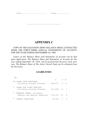*Date*........................ *Corps*.............

## **APPENDIX C**

## COPY OF THE SALVATION ARMY BALANCE SHEET, EXTRACTED FROM THE FORTY-THIRD ANNUAL STATEMENTS OF ACCOUNT FOR THE YEAR ENDING SEPTEMBER 30, 1909.

*Copies of this Balance Sheet with Statements of Account can be had upon application. The Balance Sheet and Statements of Account for the year ending September 30, 1910, will be posted from the press early next year. The Balance Sheet of The Army's Social Fund can be obtained from the Secretary.*

### **LIABILITIES**

| ۰.<br>× |  |
|---------|--|
|---------|--|

|                   |                                                          |                             | s. d. |  |
|-------------------|----------------------------------------------------------|-----------------------------|-------|--|
|                   | TO LOANS UPON MORTGAGE,<br>including accrued Interest    | 540, 277 3 11               |       |  |
| $\mathbf{H}$      | LOANS FOR FIXED PERIODS,<br>including accrued Interest   | 121,958 8 1                 |       |  |
| $\mathbf{H}$      | RESERVE FUNDS, including<br>General and Special Reserves | $176, 143$ 15 $\frac{1}{2}$ |       |  |
| $^{\prime\prime}$ | SUNDRY CREDITORS                                         | $10,359$ 3                  |       |  |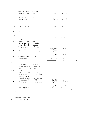| 11<br>COLONIAL AND FOREIGN<br>TERRITORIES FUND                                                                                                  | 55,219 10<br>7                                          |
|-------------------------------------------------------------------------------------------------------------------------------------------------|---------------------------------------------------------|
| П<br>SELF-DENIAL FUND<br>(Balance)                                                                                                              | 3,463 12<br>3                                           |
| Carried Forward                                                                                                                                 | £907,621 13 $1/2$                                       |
| ASSETS                                                                                                                                          |                                                         |
| CR.<br>E<br>s.d.                                                                                                                                | £ s.d.                                                  |
| BY FREEHOLD and LEASEHOLD<br>PROPERTY (at or below<br>cost) in the United<br>Kingdom, as on September                                           |                                                         |
| 30, 1908<br>П.<br>Additions during the year                                                                                                     | $1,066,923$ 16 $2-1/2$<br>23, 271 4 6                   |
| w<br>Freehold Estate in<br>Australia                                                                                                            | $1,090,195$ 2 8-1/2<br>10,375<br>$3\quad 6$             |
| 1/2<br>π<br>INVESTMENTS, including<br>Investment of Reserve                                                                                     | $1, 100, 571$ 6 4-                                      |
| and Sinking Funds<br>196,412<br>9<br>2<br>FURNITURE and FITTINGS<br>"<br>at Headquarters, Officers'<br>Quarters, and<br>Training College, as on |                                                         |
| September 30, 1908<br>П<br>Additions during the year                                                                                            | 5,412 16 1<br>$2,768$ 9 $5-1/2$                         |
| Less Depreciation                                                                                                                               | $8,181$ 5 $6-1/2$<br>2,433 19 9<br>5,748<br>$5^{\circ}$ |
| $9 - 1/2$                                                                                                                                       |                                                         |
|                                                                                                                                                 |                                                         |

Carried forward £1,802,732 1 4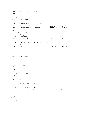BALANCE SHEET—*continued* DR. Brought forward 907,621 13 0-1/2 To The Salvation Army Fund, as per last Balance Sheet  $411,701$  0 6-1/4 " Donations and Subscriptions For Capital Purposes (including building Contributions, £20,044 0s. 2d.) 37,044 6 2 " General Income and Expenditure Account (Balance) 1,309 17 8-1/2

———————————————————————————————————

450,064 18 4-1/2

————————-

£1,357,706 11 5

CR.

Brought forward 1,302,732 1 4

By Loans

- " Trade Headquarters Fund 27,902 16 5
- " Sundry Colonial and Foreign Territories 8,606 16 0 ——————

34,506 12 5

" Sundry Debtors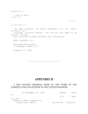———————- £1,357,706 11 5 We have examined the above Statement with the Books, Accounts, and Vouchers relating thereto, and certify the same to be correct. We have also verified the Bank balances and Investments. KNOX, CROPPER & CO., *Chartered Accountants.* 16 FINSBURY CIRCUS, E.C.

*December* 31, 1909.

18,360 10 4

2,107 7 4

" Cash at Bank

## **APPENDIX D**

## A FEW FIGURES SHOWING SOME OF THE WORK OF THE DARKEST ENGLAND SCHEME IN THE UNITED KINGDOM.

| TO SEPTEMBER 30, 1909       |  |                      | DURING | TOTAL |
|-----------------------------|--|----------------------|--------|-------|
| TΟ                          |  |                      |        |       |
|                             |  | 1910                 |        | SEPT. |
| 30, 1910                    |  |                      |        |       |
| Number of Meals supplied at |  |                      |        |       |
| Cheap Food Dépôts           |  | 69,784,480 6,869,897 |        |       |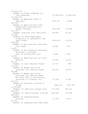| 76,654,377                       |                |                      |
|----------------------------------|----------------|----------------------|
| Number of Cheap Lodgings for     |                |                      |
| the Homeless                     |                | 27,850,674 2,445,300 |
| 30, 295, 974                     |                |                      |
| Number of Meetings held in       |                |                      |
| Shelters                         | 140,747        | 8,660                |
| 149,407                          |                |                      |
| Number of Applications from      |                |                      |
| Unemployed registered at         |                |                      |
| Labour Bureaux                   | 302,538        | 13,009               |
| 315,547                          |                |                      |
| Number received into Factories   | 63,694         | 6,754                |
| 70,448                           |                |                      |
| Number for whom Employment       |                |                      |
| (temporary or permanent) has     |                |                      |
| been found                       | 249,453        | 20,210               |
| 269,663                          |                |                      |
| Number of Ex-Criminals received  |                |                      |
| into Homes                       | 8,840          | 416                  |
| 9,256                            |                |                      |
| Number of Ex-Criminals assisted, |                |                      |
| restored to Friends,             |                |                      |
| sent to situations, etc.         | 7,886          | 1,166                |
| 9,052                            |                |                      |
| Number of Applications for Lost  |                |                      |
| Persons                          | 44,001         | 2,120                |
| 46,121                           |                |                      |
| Number of Lost Persons found     | 13,710         | 398                  |
| 14,108                           |                |                      |
| Number of Women and Girls        |                |                      |
| received into Rescue Homes       | 44,417         | 3,679                |
| 48,096                           |                |                      |
| Number of Women and Girls        |                |                      |
| received into Rescue Homes       |                |                      |
| who were sent to Situations,     |                |                      |
| restored to Friends, etc.        | 37, 168 3, 346 |                      |
| 40,514                           |                |                      |
| Number of Families visited in    |                |                      |
| Slums                            | 998,079        | 109,750              |
| 1,107,829                        |                |                      |
| Number of Families prayed with   | 577,550        | 64,141               |
| 641,691                          |                |                      |
| Number of Public-houses visited  | 630,021        | 33,188               |
| 663,209                          |                |                      |
| Number of Lodging-houses         |                |                      |
| visited                          | 17,330         | 3,457                |
| 20,787                           |                |                      |
| Number of Lodging-house Meetings |                |                      |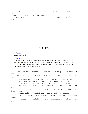| held                          | 7,319  | 1,792  |
|-------------------------------|--------|--------|
| 9,111                         |        |        |
| Number of Sick People visited |        |        |
| and nursed                    | 93,233 | 21,912 |
| 115,145                       |        |        |

# **NOTES:**

### *1 ([return](#page-2-0))*

*[ See Appendix C.]*

### *2 ([return](#page-38-0))*

*[ The following extract from the recently issued 'Report of the Commissioners of Prisons and the Directors of Convict Prisons,' for the year ended March 31, 1910, Part I [Cd. 5360], published since the above was written, sets out the present views of the Authorities on this important matter:—*

| 'Out of the present inmates of convict prisons over 40                                                                                                                                                                             |
|------------------------------------------------------------------------------------------------------------------------------------------------------------------------------------------------------------------------------------|
| per                                                                                                                                                                                                                                |
| cent have been previously in penal servitude, viz. out                                                                                                                                                                             |
| of                                                                                                                                                                                                                                 |
| 3,046 male convicts in convict prisons, 1,253 had been<br>previously sentenced to penal servitude, 672 once, 271<br>twice, 196 three times, and 114 four times or more. Mr.<br>Secretary Churchill has referred to us the question |
| whether,                                                                                                                                                                                                                           |
| and in what way, it would be possible to make any                                                                                                                                                                                  |
| impression                                                                                                                                                                                                                         |
| on this roll of recidivism-this unyielding corpus of<br>habitual crime. The problem is never absent from the                                                                                                                       |
| minds                                                                                                                                                                                                                              |
| of those responsible for the administration of prisons<br>and                                                                                                                                                                      |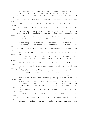the treatment of crime, and during recent years great efforts have been made to improve the machinery of assistance on discharge, fully impressed as we are with the truth of the old French saying, "*Le difficile ce n'est pas emprisoner un homme, c'est de le relâcher*." We have tried to avail ourselves fully of the resources offered by such powerful agencies as the Church Army, Salvation Army, as well as other societies who have for years operated in this particular field of charitable effort. We recognize the ready help given by all these agencies. No doubt by their efforts many difficult and unpromising cases have been rehabilitated; but after full consideration we have come to the opinion that the task of rehabilitation in the case of men returning to freedom after a sentence of penal servitude is too difficult and too costly to be left entirely to voluntary societies, unaided by any grant of public funds, and working independently of each other at a problem where unity of method and direction is above all things required. Mr. Secretary Churchill, to whom these views have been represented, at once agreed that the difficulty lay in this question of discharge, and that the official authority, acting in close and friendly co-operation with the voluntary societies must take a more active part than hitherto in controlling the passage into free life of a man emerging from penal servitude. ... A plan is now under consideration for establishing a Central Agency of Control for Discharged Convicts, on which both the official and unofficial element will be represented, with a subsidy from public funds, the purpose of which will be to take in hand the guidance